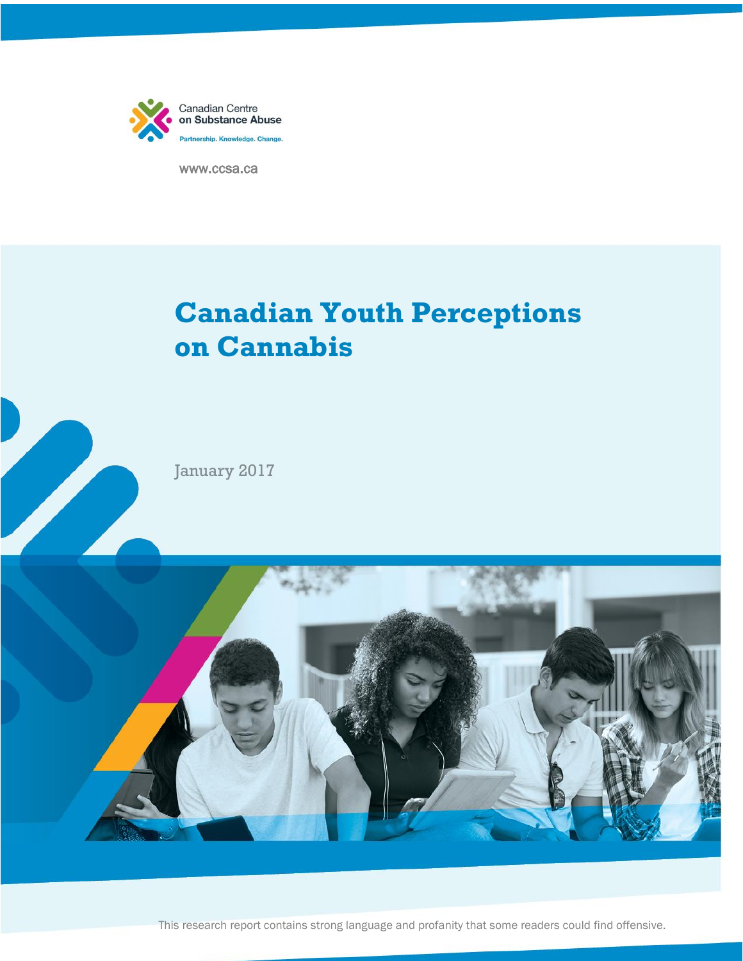

www.ccsa.ca

# **Canadian Youth Perceptions on Cannabis**

January 2017



This research report contains strong language and profanity that some readers could find offensive.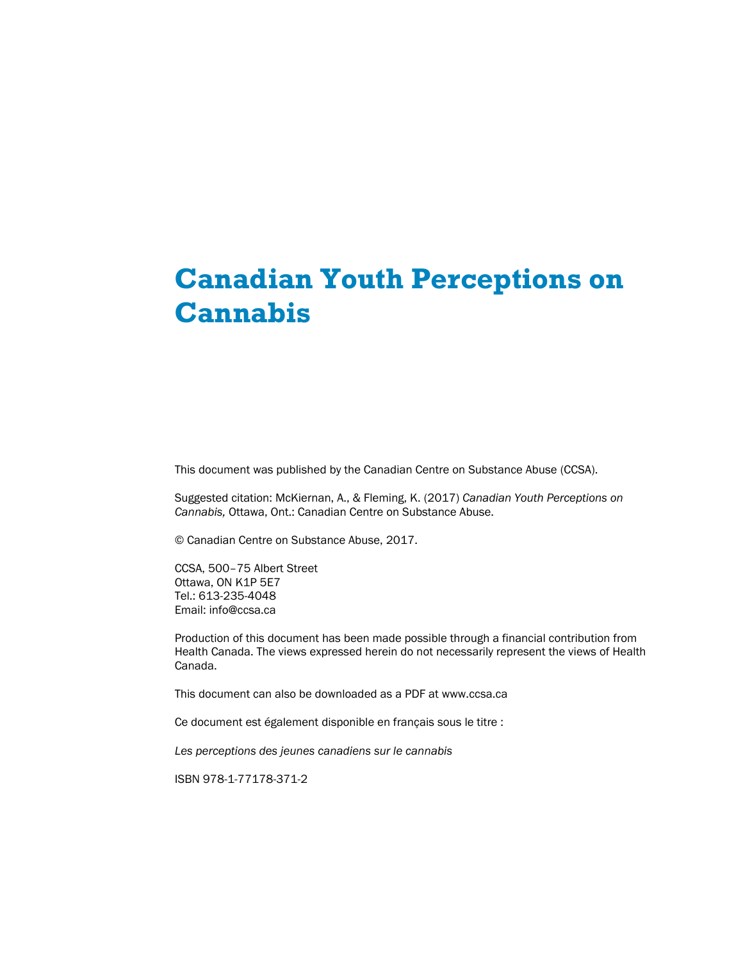# **Canadian Youth Perceptions on Cannabis**

This document was published by the Canadian Centre on Substance Abuse (CCSA).

Suggested citation: McKiernan, A., & Fleming, K. (2017) *Canadian Youth Perceptions on Cannabis,* Ottawa, Ont.: Canadian Centre on Substance Abuse.

© Canadian Centre on Substance Abuse, 2017.

CCSA, 500–75 Albert Street Ottawa, ON K1P 5E7 Tel.: 613-235-4048 Email: info@ccsa.ca

Production of this document has been made possible through a financial contribution from Health Canada. The views expressed herein do not necessarily represent the views of Health Canada.

This document can also be downloaded as a PDF at www.ccsa.ca

Ce document est également disponible en français sous le titre :

*Les perceptions des jeunes canadiens sur le cannabis* 

ISBN 978-1-77178-371-2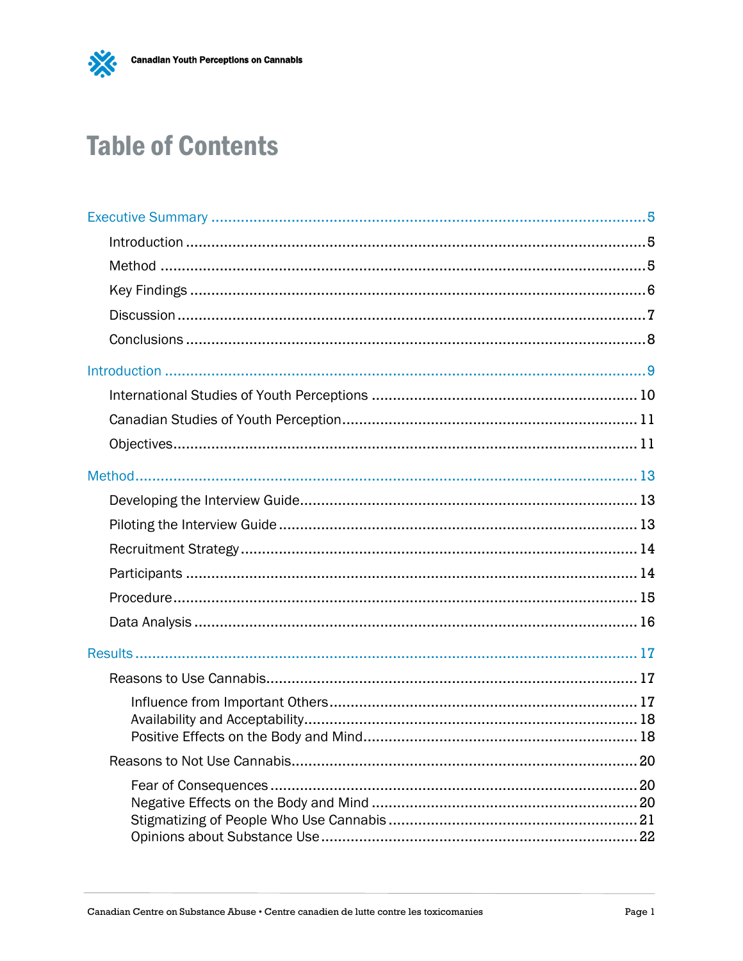

# **Table of Contents**

| 20 |
|----|
|    |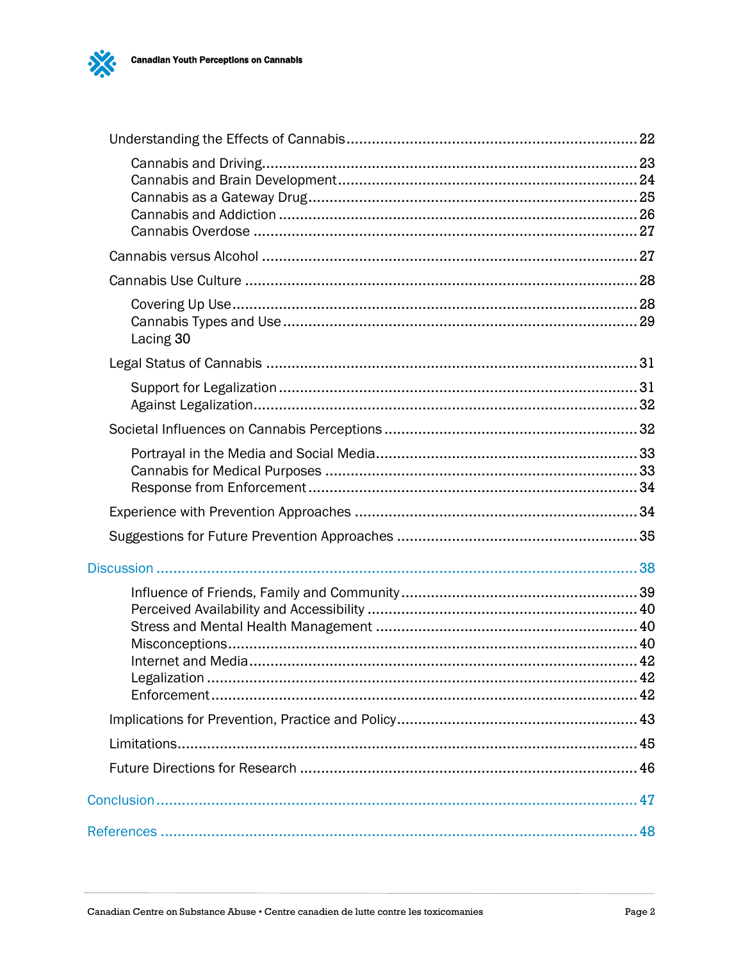

 $\bm{\delta}$ 

| Lacing 30 |  |
|-----------|--|
|           |  |
|           |  |
|           |  |
|           |  |
|           |  |
|           |  |
|           |  |
|           |  |
|           |  |
|           |  |
|           |  |
|           |  |
|           |  |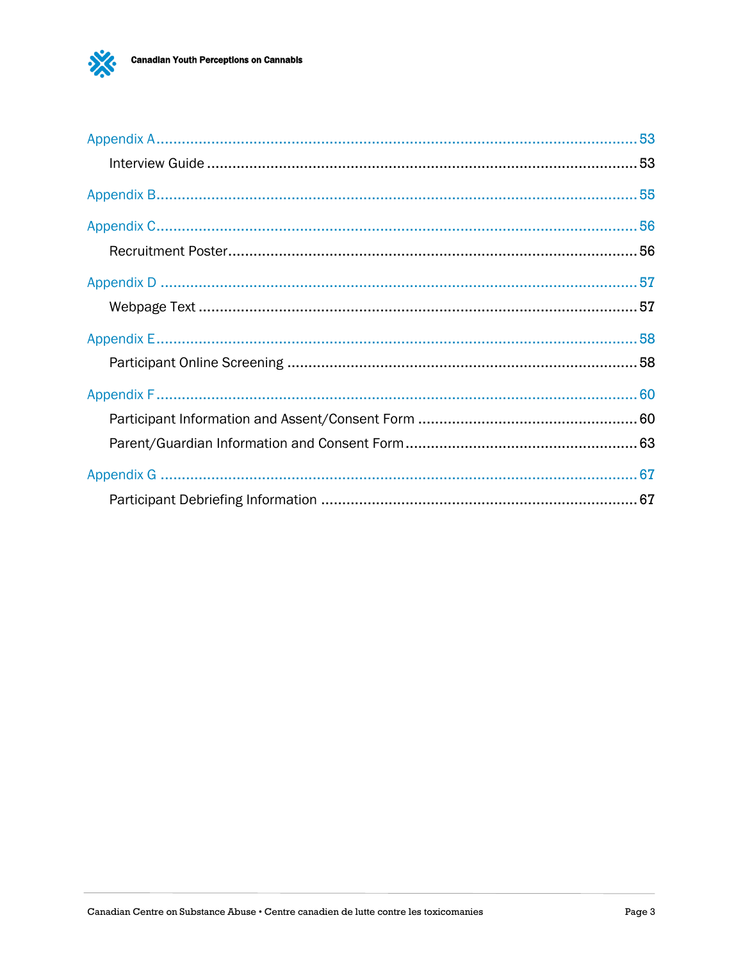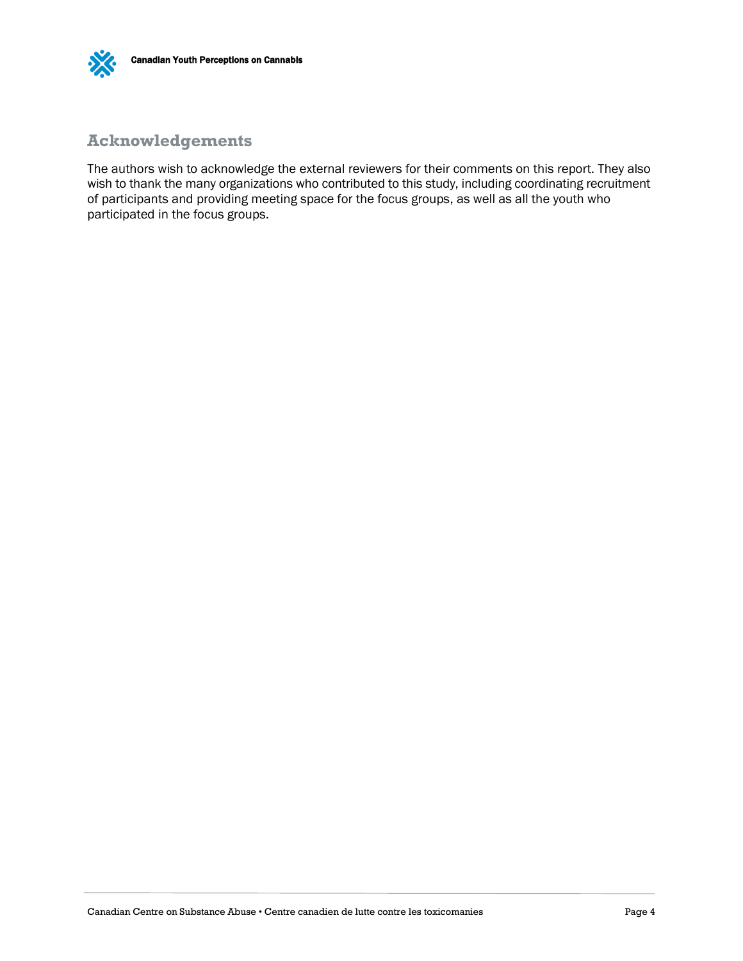

### **Acknowledgements**

The authors wish to acknowledge the external reviewers for their comments on this report. They also wish to thank the many organizations who contributed to this study, including coordinating recruitment of participants and providing meeting space for the focus groups, as well as all the youth who participated in the focus groups.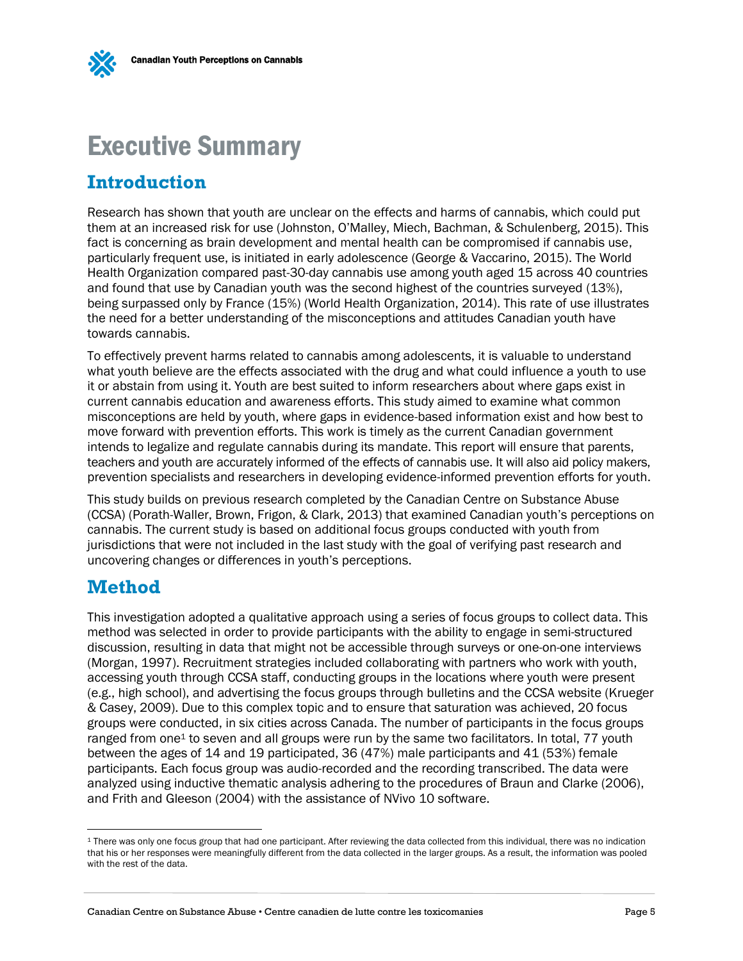<span id="page-6-0"></span>

## <span id="page-6-1"></span>**Introduction**

Research has shown that youth are unclear on the effects and harms of cannabis, which could put them at an increased risk for use (Johnston, O'Malley, Miech, Bachman, & Schulenberg, 2015). This fact is concerning as brain development and mental health can be compromised if cannabis use, particularly frequent use, is initiated in early adolescence (George & Vaccarino, 2015). The World Health Organization compared past-30-day cannabis use among youth aged 15 across 40 countries and found that use by Canadian youth was the second highest of the countries surveyed (13%), being surpassed only by France (15%) (World Health Organization, 2014). This rate of use illustrates the need for a better understanding of the misconceptions and attitudes Canadian youth have towards cannabis.

To effectively prevent harms related to cannabis among adolescents, it is valuable to understand what youth believe are the effects associated with the drug and what could influence a youth to use it or abstain from using it. Youth are best suited to inform researchers about where gaps exist in current cannabis education and awareness efforts. This study aimed to examine what common misconceptions are held by youth, where gaps in evidence-based information exist and how best to move forward with prevention efforts. This work is timely as the current Canadian government intends to legalize and regulate cannabis during its mandate. This report will ensure that parents, teachers and youth are accurately informed of the effects of cannabis use. It will also aid policy makers, prevention specialists and researchers in developing evidence-informed prevention efforts for youth.

This study builds on previous research completed by the Canadian Centre on Substance Abuse (CCSA) (Porath-Waller, Brown, Frigon, & Clark, 2013) that examined Canadian youth's perceptions on cannabis. The current study is based on additional focus groups conducted with youth from jurisdictions that were not included in the last study with the goal of verifying past research and uncovering changes or differences in youth's perceptions.

## <span id="page-6-2"></span>**Method**

 $\overline{a}$ 

This investigation adopted a qualitative approach using a series of focus groups to collect data. This method was selected in order to provide participants with the ability to engage in semi-structured discussion, resulting in data that might not be accessible through surveys or one-on-one interviews (Morgan, 1997). Recruitment strategies included collaborating with partners who work with youth, accessing youth through CCSA staff, conducting groups in the locations where youth were present (e.g., high school), and advertising the focus groups through bulletins and the CCSA website (Krueger & Casey, 2009). Due to this complex topic and to ensure that saturation was achieved, 20 focus groups were conducted, in six cities across Canada. The number of participants in the focus groups ranged from one<sup>1</sup> to seven and all groups were run by the same two facilitators. In total, 77 youth between the ages of 14 and 19 participated, 36 (47%) male participants and 41 (53%) female participants. Each focus group was audio-recorded and the recording transcribed. The data were analyzed using inductive thematic analysis adhering to the procedures of Braun and Clarke (2006), and Frith and Gleeson (2004) with the assistance of NVivo 10 software.

<sup>&</sup>lt;sup>1</sup> There was only one focus group that had one participant. After reviewing the data collected from this individual, there was no indication that his or her responses were meaningfully different from the data collected in the larger groups. As a result, the information was pooled with the rest of the data.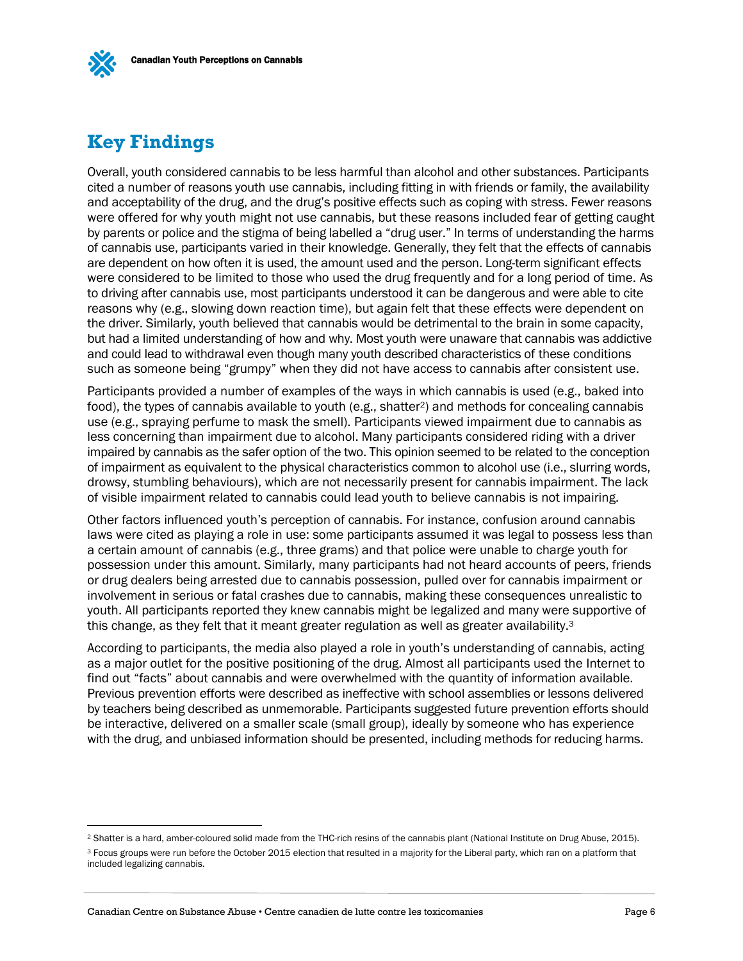# <span id="page-7-0"></span>**Key Findings**

 $\overline{a}$ 

Overall, youth considered cannabis to be less harmful than alcohol and other substances. Participants cited a number of reasons youth use cannabis, including fitting in with friends or family, the availability and acceptability of the drug, and the drug's positive effects such as coping with stress. Fewer reasons were offered for why youth might not use cannabis, but these reasons included fear of getting caught by parents or police and the stigma of being labelled a "drug user." In terms of understanding the harms of cannabis use, participants varied in their knowledge. Generally, they felt that the effects of cannabis are dependent on how often it is used, the amount used and the person. Long-term significant effects were considered to be limited to those who used the drug frequently and for a long period of time. As to driving after cannabis use, most participants understood it can be dangerous and were able to cite reasons why (e.g., slowing down reaction time), but again felt that these effects were dependent on the driver. Similarly, youth believed that cannabis would be detrimental to the brain in some capacity, but had a limited understanding of how and why. Most youth were unaware that cannabis was addictive and could lead to withdrawal even though many youth described characteristics of these conditions such as someone being "grumpy" when they did not have access to cannabis after consistent use.

Participants provided a number of examples of the ways in which cannabis is used (e.g., baked into food), the types of cannabis available to youth (e.g., shatter<sup>2</sup>) and methods for concealing cannabis use (e.g., spraying perfume to mask the smell). Participants viewed impairment due to cannabis as less concerning than impairment due to alcohol. Many participants considered riding with a driver impaired by cannabis as the safer option of the two. This opinion seemed to be related to the conception of impairment as equivalent to the physical characteristics common to alcohol use (i.e., slurring words, drowsy, stumbling behaviours), which are not necessarily present for cannabis impairment. The lack of visible impairment related to cannabis could lead youth to believe cannabis is not impairing.

Other factors influenced youth's perception of cannabis. For instance, confusion around cannabis laws were cited as playing a role in use: some participants assumed it was legal to possess less than a certain amount of cannabis (e.g., three grams) and that police were unable to charge youth for possession under this amount. Similarly, many participants had not heard accounts of peers, friends or drug dealers being arrested due to cannabis possession, pulled over for cannabis impairment or involvement in serious or fatal crashes due to cannabis, making these consequences unrealistic to youth. All participants reported they knew cannabis might be legalized and many were supportive of this change, as they felt that it meant greater regulation as well as greater availability.<sup>3</sup>

According to participants, the media also played a role in youth's understanding of cannabis, acting as a major outlet for the positive positioning of the drug. Almost all participants used the Internet to find out "facts" about cannabis and were overwhelmed with the quantity of information available. Previous prevention efforts were described as ineffective with school assemblies or lessons delivered by teachers being described as unmemorable. Participants suggested future prevention efforts should be interactive, delivered on a smaller scale (small group), ideally by someone who has experience with the drug, and unbiased information should be presented, including methods for reducing harms.

<sup>&</sup>lt;sup>2</sup> Shatter is a hard, amber-coloured solid made from the THC-rich resins of the cannabis plant (National Institute on Drug Abuse, 2015).

<sup>&</sup>lt;sup>3</sup> Focus groups were run before the October 2015 election that resulted in a majority for the Liberal party, which ran on a platform that included legalizing cannabis.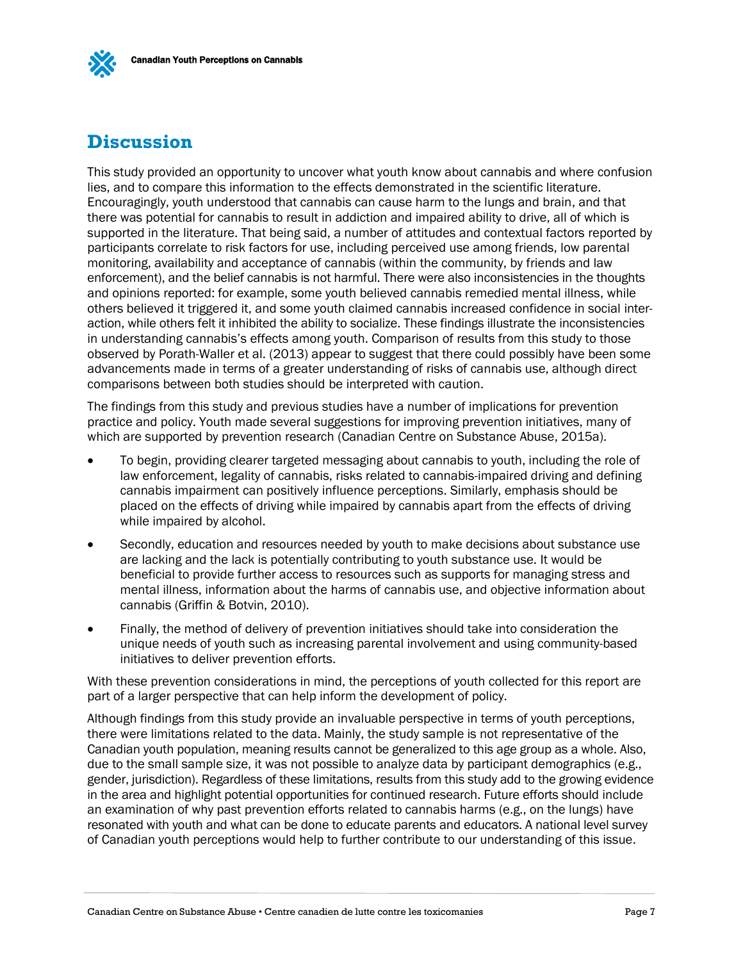# <span id="page-8-0"></span>**Discussion**

This study provided an opportunity to uncover what youth know about cannabis and where confusion lies, and to compare this information to the effects demonstrated in the scientific literature. Encouragingly, youth understood that cannabis can cause harm to the lungs and brain, and that there was potential for cannabis to result in addiction and impaired ability to drive, all of which is supported in the literature. That being said, a number of attitudes and contextual factors reported by participants correlate to risk factors for use, including perceived use among friends, low parental monitoring, availability and acceptance of cannabis (within the community, by friends and law enforcement), and the belief cannabis is not harmful. There were also inconsistencies in the thoughts and opinions reported: for example, some youth believed cannabis remedied mental illness, while others believed it triggered it, and some youth claimed cannabis increased confidence in social interaction, while others felt it inhibited the ability to socialize. These findings illustrate the inconsistencies in understanding cannabis's effects among youth. Comparison of results from this study to those observed by Porath-Waller et al. (2013) appear to suggest that there could possibly have been some advancements made in terms of a greater understanding of risks of cannabis use, although direct comparisons between both studies should be interpreted with caution.

The findings from this study and previous studies have a number of implications for prevention practice and policy. Youth made several suggestions for improving prevention initiatives, many of which are supported by prevention research (Canadian Centre on Substance Abuse, 2015a).

- To begin, providing clearer targeted messaging about cannabis to youth, including the role of law enforcement, legality of cannabis, risks related to cannabis-impaired driving and defining cannabis impairment can positively influence perceptions. Similarly, emphasis should be placed on the effects of driving while impaired by cannabis apart from the effects of driving while impaired by alcohol.
- Secondly, education and resources needed by youth to make decisions about substance use are lacking and the lack is potentially contributing to youth substance use. It would be beneficial to provide further access to resources such as supports for managing stress and mental illness, information about the harms of cannabis use, and objective information about cannabis (Griffin & Botvin, 2010).
- Finally, the method of delivery of prevention initiatives should take into consideration the unique needs of youth such as increasing parental involvement and using community-based initiatives to deliver prevention efforts.

With these prevention considerations in mind, the perceptions of youth collected for this report are part of a larger perspective that can help inform the development of policy.

Although findings from this study provide an invaluable perspective in terms of youth perceptions, there were limitations related to the data. Mainly, the study sample is not representative of the Canadian youth population, meaning results cannot be generalized to this age group as a whole. Also, due to the small sample size, it was not possible to analyze data by participant demographics (e.g., gender, jurisdiction). Regardless of these limitations, results from this study add to the growing evidence in the area and highlight potential opportunities for continued research. Future efforts should include an examination of why past prevention efforts related to cannabis harms (e.g., on the lungs) have resonated with youth and what can be done to educate parents and educators. A national level survey of Canadian youth perceptions would help to further contribute to our understanding of this issue.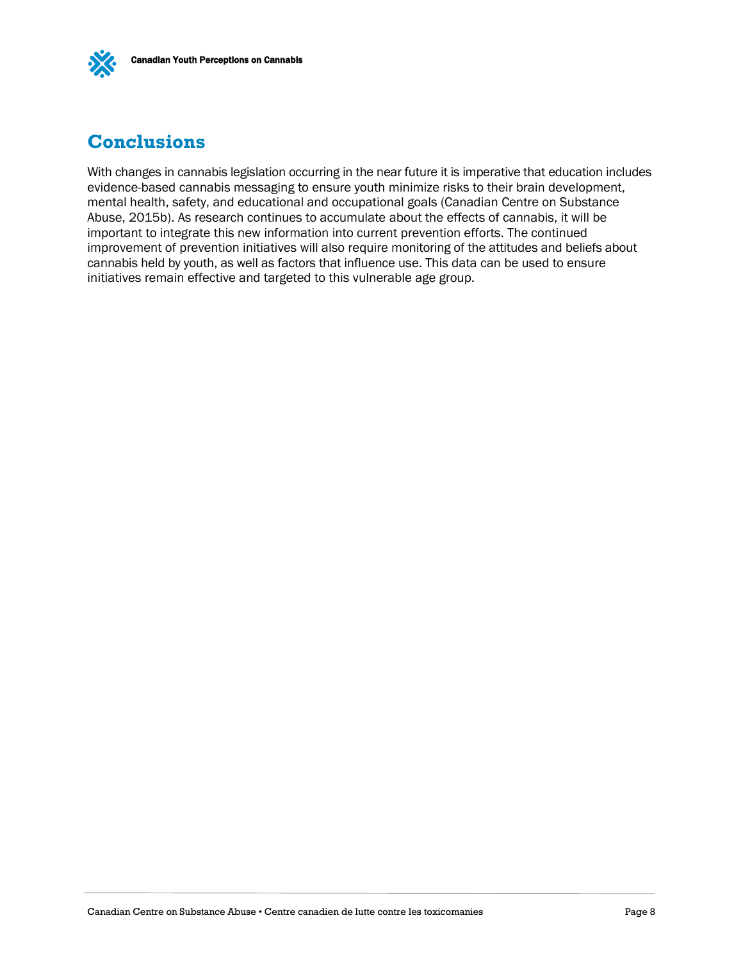

# <span id="page-9-0"></span>**Conclusions**

With changes in cannabis legislation occurring in the near future it is imperative that education includes evidence-based cannabis messaging to ensure youth minimize risks to their brain development, mental health, safety, and educational and occupational goals (Canadian Centre on Substance Abuse, 2015b). As research continues to accumulate about the effects of cannabis, it will be important to integrate this new information into current prevention efforts. The continued improvement of prevention initiatives will also require monitoring of the attitudes and beliefs about cannabis held by youth, as well as factors that influence use. This data can be used to ensure initiatives remain effective and targeted to this vulnerable age group.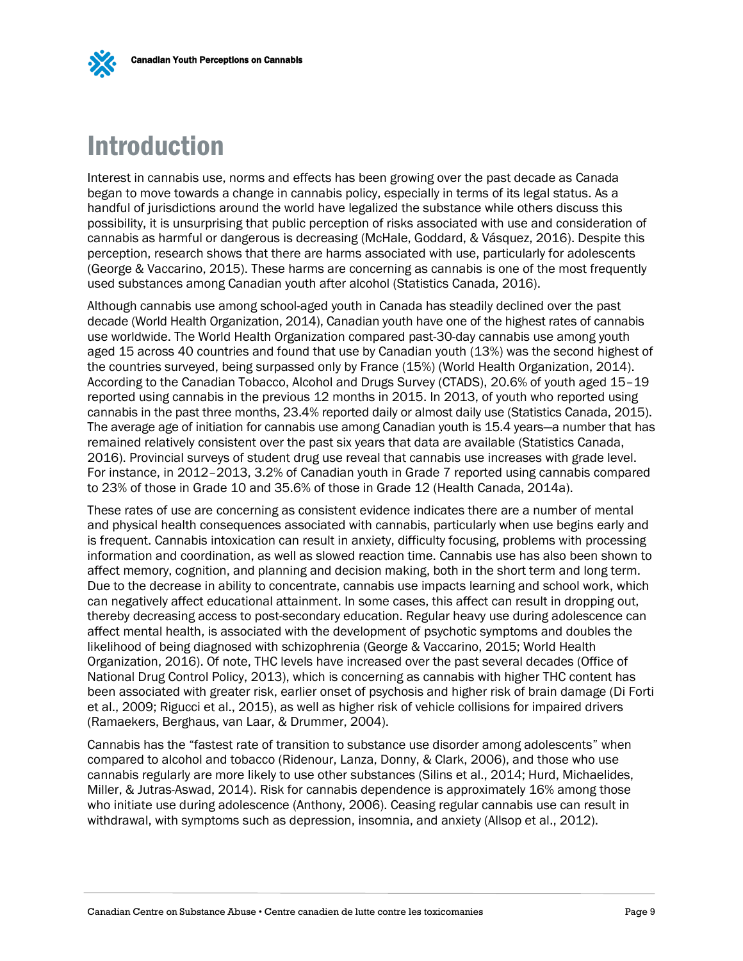

# <span id="page-10-0"></span>Introduction

Interest in cannabis use, norms and effects has been growing over the past decade as Canada began to move towards a change in cannabis policy, especially in terms of its legal status. As a handful of jurisdictions around the world have legalized the substance while others discuss this possibility, it is unsurprising that public perception of risks associated with use and consideration of cannabis as harmful or dangerous is decreasing (McHale, Goddard, & Vásquez, 2016). Despite this perception, research shows that there are harms associated with use, particularly for adolescents (George & Vaccarino, 2015). These harms are concerning as cannabis is one of the most frequently used substances among Canadian youth after alcohol (Statistics Canada, 2016).

Although cannabis use among school-aged youth in Canada has steadily declined over the past decade (World Health Organization, 2014), Canadian youth have one of the highest rates of cannabis use worldwide. The World Health Organization compared past-30-day cannabis use among youth aged 15 across 40 countries and found that use by Canadian youth (13%) was the second highest of the countries surveyed, being surpassed only by France (15%) (World Health Organization, 2014). According to the Canadian Tobacco, Alcohol and Drugs Survey (CTADS), 20.6% of youth aged 15–19 reported using cannabis in the previous 12 months in 2015. In 2013, of youth who reported using cannabis in the past three months, 23.4% reported daily or almost daily use (Statistics Canada, 2015). The average age of initiation for cannabis use among Canadian youth is 15.4 years—a number that has remained relatively consistent over the past six years that data are available (Statistics Canada, 2016). Provincial surveys of student drug use reveal that cannabis use increases with grade level. For instance, in 2012–2013, 3.2% of Canadian youth in Grade 7 reported using cannabis compared to 23% of those in Grade 10 and 35.6% of those in Grade 12 (Health Canada, 2014a).

These rates of use are concerning as consistent evidence indicates there are a number of mental and physical health consequences associated with cannabis, particularly when use begins early and is frequent. Cannabis intoxication can result in anxiety, difficulty focusing, problems with processing information and coordination, as well as slowed reaction time. Cannabis use has also been shown to affect memory, cognition, and planning and decision making, both in the short term and long term. Due to the decrease in ability to concentrate, cannabis use impacts learning and school work, which can negatively affect educational attainment. In some cases, this affect can result in dropping out, thereby decreasing access to post-secondary education. Regular heavy use during adolescence can affect mental health, is associated with the development of psychotic symptoms and doubles the likelihood of being diagnosed with schizophrenia (George & Vaccarino, 2015; World Health Organization, 2016). Of note, THC levels have increased over the past several decades (Office of National Drug Control Policy, 2013), which is concerning as cannabis with higher THC content has been associated with greater risk, earlier onset of psychosis and higher risk of brain damage (Di Forti et al., 2009; Rigucci et al., 2015), as well as higher risk of vehicle collisions for impaired drivers (Ramaekers, Berghaus, van Laar, & Drummer, 2004).

Cannabis has the "fastest rate of transition to substance use disorder among adolescents" when compared to alcohol and tobacco (Ridenour, Lanza, Donny, & Clark, 2006), and those who use cannabis regularly are more likely to use other substances (Silins et al., 2014; Hurd, Michaelides, Miller, & Jutras-Aswad, 2014). Risk for cannabis dependence is approximately 16% among those who initiate use during adolescence (Anthony, 2006). Ceasing regular cannabis use can result in withdrawal, with symptoms such as depression, insomnia, and anxiety (Allsop et al., 2012).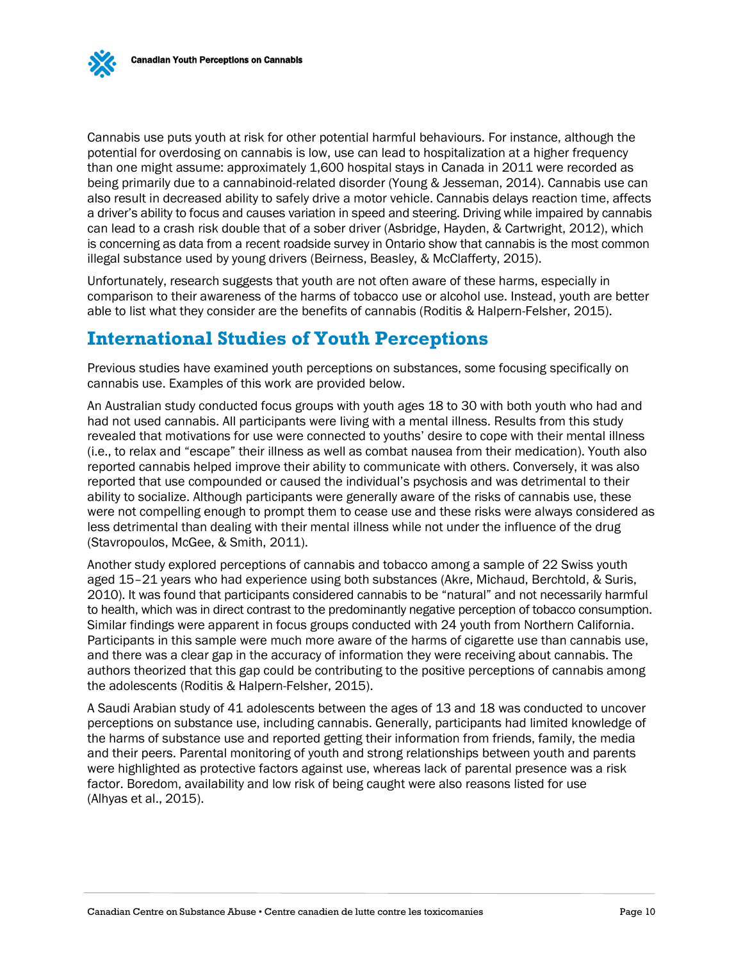Cannabis use puts youth at risk for other potential harmful behaviours. For instance, although the potential for overdosing on cannabis is low, use can lead to hospitalization at a higher frequency than one might assume: approximately 1,600 hospital stays in Canada in 2011 were recorded as being primarily due to a cannabinoid-related disorder (Young & Jesseman, 2014). Cannabis use can also result in decreased ability to safely drive a motor vehicle. Cannabis delays reaction time, affects a driver's ability to focus and causes variation in speed and steering. Driving while impaired by cannabis can lead to a crash risk double that of a sober driver (Asbridge, Hayden, & Cartwright, 2012), which is concerning as data from a recent roadside survey in Ontario show that cannabis is the most common illegal substance used by young drivers (Beirness, Beasley, & McClafferty, 2015).

Unfortunately, research suggests that youth are not often aware of these harms, especially in comparison to their awareness of the harms of tobacco use or alcohol use. Instead, youth are better able to list what they consider are the benefits of cannabis (Roditis & Halpern-Felsher, 2015).

## <span id="page-11-0"></span>**International Studies of Youth Perceptions**

Previous studies have examined youth perceptions on substances, some focusing specifically on cannabis use. Examples of this work are provided below.

An Australian study conducted focus groups with youth ages 18 to 30 with both youth who had and had not used cannabis. All participants were living with a mental illness. Results from this study revealed that motivations for use were connected to youths' desire to cope with their mental illness (i.e., to relax and "escape" their illness as well as combat nausea from their medication). Youth also reported cannabis helped improve their ability to communicate with others. Conversely, it was also reported that use compounded or caused the individual's psychosis and was detrimental to their ability to socialize. Although participants were generally aware of the risks of cannabis use, these were not compelling enough to prompt them to cease use and these risks were always considered as less detrimental than dealing with their mental illness while not under the influence of the drug (Stavropoulos, McGee, & Smith, 2011).

Another study explored perceptions of cannabis and tobacco among a sample of 22 Swiss youth aged 15–21 years who had experience using both substances (Akre, Michaud, Berchtold, & Suris, 2010). It was found that participants considered cannabis to be "natural" and not necessarily harmful to health, which was in direct contrast to the predominantly negative perception of tobacco consumption. Similar findings were apparent in focus groups conducted with 24 youth from Northern California. Participants in this sample were much more aware of the harms of cigarette use than cannabis use, and there was a clear gap in the accuracy of information they were receiving about cannabis. The authors theorized that this gap could be contributing to the positive perceptions of cannabis among the adolescents (Roditis & Halpern-Felsher, 2015).

A Saudi Arabian study of 41 adolescents between the ages of 13 and 18 was conducted to uncover perceptions on substance use, including cannabis. Generally, participants had limited knowledge of the harms of substance use and reported getting their information from friends, family, the media and their peers. Parental monitoring of youth and strong relationships between youth and parents were highlighted as protective factors against use, whereas lack of parental presence was a risk factor. Boredom, availability and low risk of being caught were also reasons listed for use (Alhyas et al., 2015).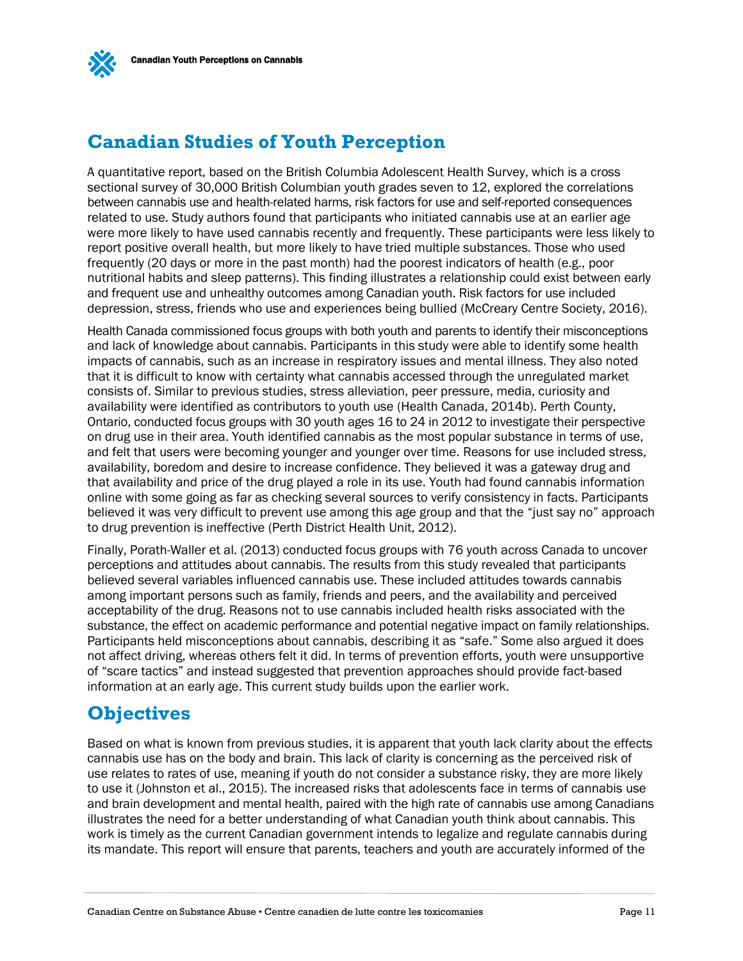

# <span id="page-12-0"></span>**Canadian Studies of Youth Perception**

A quantitative report, based on the British Columbia Adolescent Health Survey, which is a cross sectional survey of 30,000 British Columbian youth grades seven to 12, explored the correlations between cannabis use and health-related harms, risk factors for use and self-reported consequences related to use. Study authors found that participants who initiated cannabis use at an earlier age were more likely to have used cannabis recently and frequently. These participants were less likely to report positive overall health, but more likely to have tried multiple substances. Those who used frequently (20 days or more in the past month) had the poorest indicators of health (e.g., poor nutritional habits and sleep patterns). This finding illustrates a relationship could exist between early and frequent use and unhealthy outcomes among Canadian youth. Risk factors for use included depression, stress, friends who use and experiences being bullied (McCreary Centre Society, 2016).

Health Canada commissioned focus groups with both youth and parents to identify their misconceptions and lack of knowledge about cannabis. Participants in this study were able to identify some health impacts of cannabis, such as an increase in respiratory issues and mental illness. They also noted that it is difficult to know with certainty what cannabis accessed through the unregulated market consists of. Similar to previous studies, stress alleviation, peer pressure, media, curiosity and availability were identified as contributors to youth use (Health Canada, 2014b). Perth County, Ontario, conducted focus groups with 30 youth ages 16 to 24 in 2012 to investigate their perspective on drug use in their area. Youth identified cannabis as the most popular substance in terms of use, and felt that users were becoming younger and younger over time. Reasons for use included stress, availability, boredom and desire to increase confidence. They believed it was a gateway drug and that availability and price of the drug played a role in its use. Youth had found cannabis information online with some going as far as checking several sources to verify consistency in facts. Participants believed it was very difficult to prevent use among this age group and that the "just say no" approach to drug prevention is ineffective (Perth District Health Unit, 2012).

Finally, Porath-Waller et al. (2013) conducted focus groups with 76 youth across Canada to uncover perceptions and attitudes about cannabis. The results from this study revealed that participants believed several variables influenced cannabis use. These included attitudes towards cannabis among important persons such as family, friends and peers, and the availability and perceived acceptability of the drug. Reasons not to use cannabis included health risks associated with the substance, the effect on academic performance and potential negative impact on family relationships. Participants held misconceptions about cannabis, describing it as "safe." Some also argued it does not affect driving, whereas others felt it did. In terms of prevention efforts, youth were unsupportive of "scare tactics" and instead suggested that prevention approaches should provide fact-based information at an early age. This current study builds upon the earlier work.

## <span id="page-12-1"></span>**Objectives**

Based on what is known from previous studies, it is apparent that youth lack clarity about the effects cannabis use has on the body and brain. This lack of clarity is concerning as the perceived risk of use relates to rates of use, meaning if youth do not consider a substance risky, they are more likely to use it (Johnston et al., 2015). The increased risks that adolescents face in terms of cannabis use and brain development and mental health, paired with the high rate of cannabis use among Canadians illustrates the need for a better understanding of what Canadian youth think about cannabis. This work is timely as the current Canadian government intends to legalize and regulate cannabis during its mandate. This report will ensure that parents, teachers and youth are accurately informed of the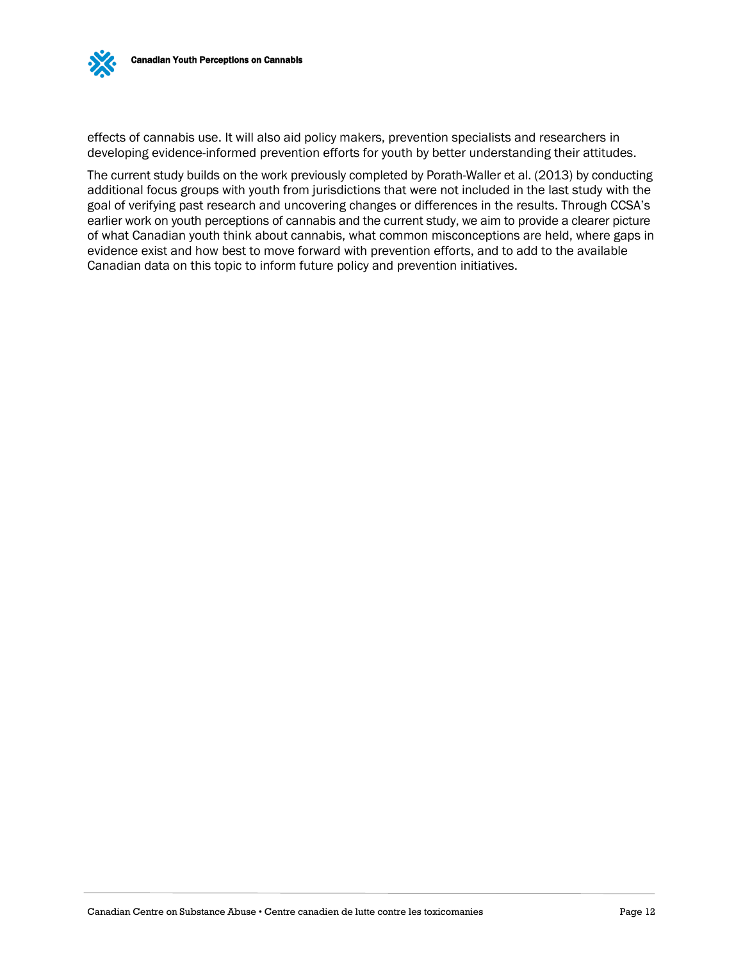

effects of cannabis use. It will also aid policy makers, prevention specialists and researchers in developing evidence-informed prevention efforts for youth by better understanding their attitudes.

The current study builds on the work previously completed by Porath-Waller et al. (2013) by conducting additional focus groups with youth from jurisdictions that were not included in the last study with the goal of verifying past research and uncovering changes or differences in the results. Through CCSA's earlier work on youth perceptions of cannabis and the current study, we aim to provide a clearer picture of what Canadian youth think about cannabis, what common misconceptions are held, where gaps in evidence exist and how best to move forward with prevention efforts, and to add to the available Canadian data on this topic to inform future policy and prevention initiatives.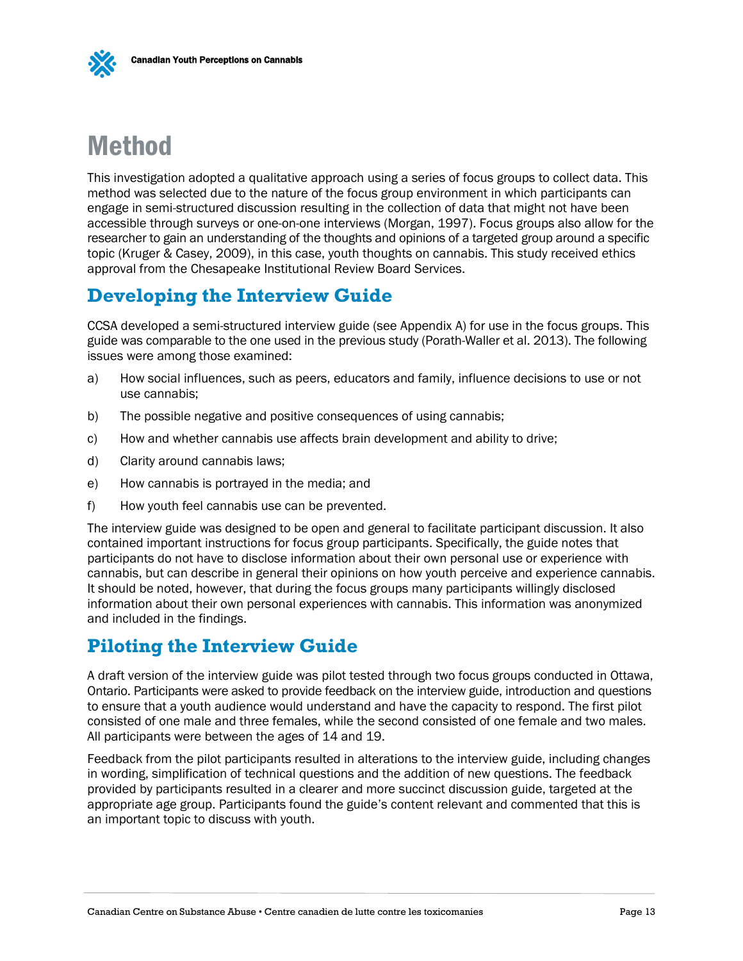# <span id="page-14-0"></span>Method

This investigation adopted a qualitative approach using a series of focus groups to collect data. This method was selected due to the nature of the focus group environment in which participants can engage in semi-structured discussion resulting in the collection of data that might not have been accessible through surveys or one-on-one interviews (Morgan, 1997). Focus groups also allow for the researcher to gain an understanding of the thoughts and opinions of a targeted group around a specific topic (Kruger & Casey, 2009), in this case, youth thoughts on cannabis. This study received ethics approval from the Chesapeake Institutional Review Board Services.

# <span id="page-14-1"></span>**Developing the Interview Guide**

CCSA developed a semi-structured interview guide (see Appendix A) for use in the focus groups. This guide was comparable to the one used in the previous study (Porath-Waller et al. 2013). The following issues were among those examined:

- a) How social influences, such as peers, educators and family, influence decisions to use or not use cannabis;
- b) The possible negative and positive consequences of using cannabis;
- c) How and whether cannabis use affects brain development and ability to drive;
- d) Clarity around cannabis laws;
- e) How cannabis is portrayed in the media; and
- f) How youth feel cannabis use can be prevented.

The interview guide was designed to be open and general to facilitate participant discussion. It also contained important instructions for focus group participants. Specifically, the guide notes that participants do not have to disclose information about their own personal use or experience with cannabis, but can describe in general their opinions on how youth perceive and experience cannabis. It should be noted, however, that during the focus groups many participants willingly disclosed information about their own personal experiences with cannabis. This information was anonymized and included in the findings.

# <span id="page-14-2"></span>**Piloting the Interview Guide**

A draft version of the interview guide was pilot tested through two focus groups conducted in Ottawa, Ontario. Participants were asked to provide feedback on the interview guide, introduction and questions to ensure that a youth audience would understand and have the capacity to respond. The first pilot consisted of one male and three females, while the second consisted of one female and two males. All participants were between the ages of 14 and 19.

Feedback from the pilot participants resulted in alterations to the interview guide, including changes in wording, simplification of technical questions and the addition of new questions. The feedback provided by participants resulted in a clearer and more succinct discussion guide, targeted at the appropriate age group. Participants found the guide's content relevant and commented that this is an important topic to discuss with youth.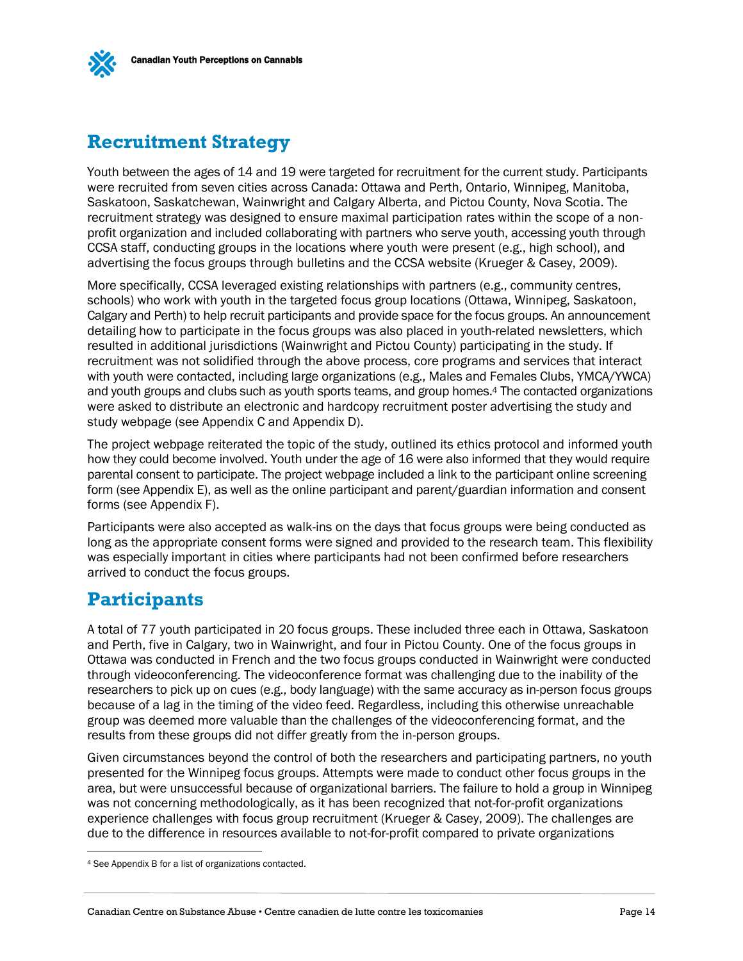<span id="page-15-0"></span>

Youth between the ages of 14 and 19 were targeted for recruitment for the current study. Participants were recruited from seven cities across Canada: Ottawa and Perth, Ontario, Winnipeg, Manitoba, Saskatoon, Saskatchewan, Wainwright and Calgary Alberta, and Pictou County, Nova Scotia. The recruitment strategy was designed to ensure maximal participation rates within the scope of a nonprofit organization and included collaborating with partners who serve youth, accessing youth through CCSA staff, conducting groups in the locations where youth were present (e.g., high school), and advertising the focus groups through bulletins and the CCSA website (Krueger & Casey, 2009).

More specifically, CCSA leveraged existing relationships with partners (e.g., community centres, schools) who work with youth in the targeted focus group locations (Ottawa, Winnipeg, Saskatoon, Calgary and Perth) to help recruit participants and provide space for the focus groups. An announcement detailing how to participate in the focus groups was also placed in youth-related newsletters, which resulted in additional jurisdictions (Wainwright and Pictou County) participating in the study. If recruitment was not solidified through the above process, core programs and services that interact with youth were contacted, including large organizations (e.g., Males and Females Clubs, YMCA/YWCA) and youth groups and clubs such as youth sports teams, and group homes. <sup>4</sup> The contacted organizations were asked to distribute an electronic and hardcopy recruitment poster advertising the study and study webpage (see Appendix C and Appendix D).

The project webpage reiterated the topic of the study, outlined its ethics protocol and informed youth how they could become involved. Youth under the age of 16 were also informed that they would require parental consent to participate. The project webpage included a link to the participant online screening form (see Appendix E), as well as the online participant and parent/guardian information and consent forms (see Appendix F).

Participants were also accepted as walk-ins on the days that focus groups were being conducted as long as the appropriate consent forms were signed and provided to the research team. This flexibility was especially important in cities where participants had not been confirmed before researchers arrived to conduct the focus groups.

## <span id="page-15-1"></span>**Participants**

 $\overline{a}$ 

A total of 77 youth participated in 20 focus groups. These included three each in Ottawa, Saskatoon and Perth, five in Calgary, two in Wainwright, and four in Pictou County. One of the focus groups in Ottawa was conducted in French and the two focus groups conducted in Wainwright were conducted through videoconferencing. The videoconference format was challenging due to the inability of the researchers to pick up on cues (e.g., body language) with the same accuracy as in-person focus groups because of a lag in the timing of the video feed. Regardless, including this otherwise unreachable group was deemed more valuable than the challenges of the videoconferencing format, and the results from these groups did not differ greatly from the in-person groups.

Given circumstances beyond the control of both the researchers and participating partners, no youth presented for the Winnipeg focus groups. Attempts were made to conduct other focus groups in the area, but were unsuccessful because of organizational barriers. The failure to hold a group in Winnipeg was not concerning methodologically, as it has been recognized that not-for-profit organizations experience challenges with focus group recruitment (Krueger & Casey, 2009). The challenges are due to the difference in resources available to not-for-profit compared to private organizations

<sup>4</sup> See Appendix B for a list of organizations contacted.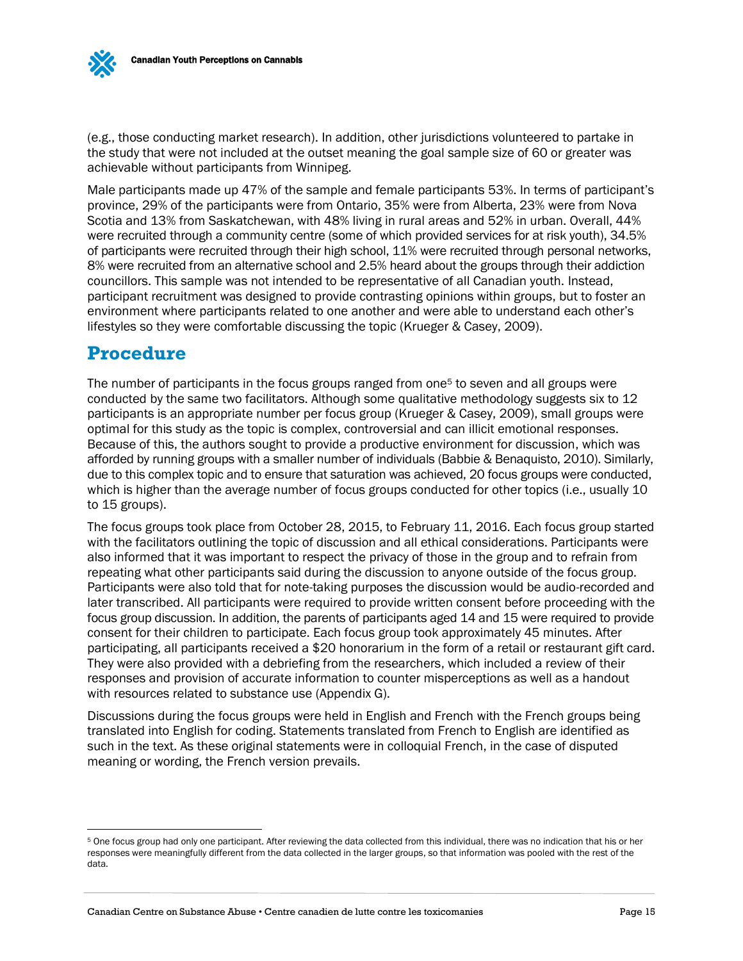(e.g., those conducting market research). In addition, other jurisdictions volunteered to partake in the study that were not included at the outset meaning the goal sample size of 60 or greater was achievable without participants from Winnipeg.

Male participants made up 47% of the sample and female participants 53%. In terms of participant's province, 29% of the participants were from Ontario, 35% were from Alberta, 23% were from Nova Scotia and 13% from Saskatchewan, with 48% living in rural areas and 52% in urban. Overall, 44% were recruited through a community centre (some of which provided services for at risk youth), 34.5% of participants were recruited through their high school, 11% were recruited through personal networks, 8% were recruited from an alternative school and 2.5% heard about the groups through their addiction councillors. This sample was not intended to be representative of all Canadian youth. Instead, participant recruitment was designed to provide contrasting opinions within groups, but to foster an environment where participants related to one another and were able to understand each other's lifestyles so they were comfortable discussing the topic (Krueger & Casey, 2009).

## <span id="page-16-0"></span>**Procedure**

 $\overline{a}$ 

The number of participants in the focus groups ranged from one<sup>5</sup> to seven and all groups were conducted by the same two facilitators. Although some qualitative methodology suggests six to 12 participants is an appropriate number per focus group (Krueger & Casey, 2009), small groups were optimal for this study as the topic is complex, controversial and can illicit emotional responses. Because of this, the authors sought to provide a productive environment for discussion, which was afforded by running groups with a smaller number of individuals (Babbie & Benaquisto, 2010). Similarly, due to this complex topic and to ensure that saturation was achieved, 20 focus groups were conducted, which is higher than the average number of focus groups conducted for other topics (i.e., usually 10 to 15 groups).

The focus groups took place from October 28, 2015, to February 11, 2016. Each focus group started with the facilitators outlining the topic of discussion and all ethical considerations. Participants were also informed that it was important to respect the privacy of those in the group and to refrain from repeating what other participants said during the discussion to anyone outside of the focus group. Participants were also told that for note-taking purposes the discussion would be audio-recorded and later transcribed. All participants were required to provide written consent before proceeding with the focus group discussion. In addition, the parents of participants aged 14 and 15 were required to provide consent for their children to participate. Each focus group took approximately 45 minutes. After participating, all participants received a \$20 honorarium in the form of a retail or restaurant gift card. They were also provided with a debriefing from the researchers, which included a review of their responses and provision of accurate information to counter misperceptions as well as a handout with resources related to substance use (Appendix G).

Discussions during the focus groups were held in English and French with the French groups being translated into English for coding. Statements translated from French to English are identified as such in the text. As these original statements were in colloquial French, in the case of disputed meaning or wording, the French version prevails.

<sup>5</sup> One focus group had only one participant. After reviewing the data collected from this individual, there was no indication that his or her responses were meaningfully different from the data collected in the larger groups, so that information was pooled with the rest of the data.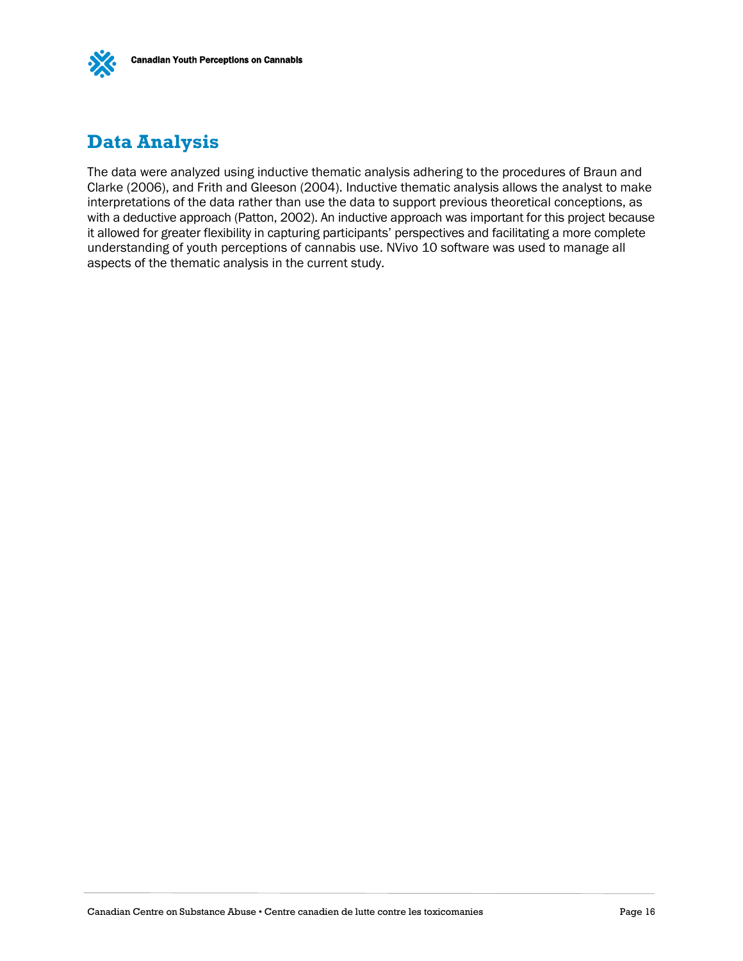

# <span id="page-17-0"></span>**Data Analysis**

The data were analyzed using inductive thematic analysis adhering to the procedures of Braun and Clarke (2006), and Frith and Gleeson (2004). Inductive thematic analysis allows the analyst to make interpretations of the data rather than use the data to support previous theoretical conceptions, as with a deductive approach (Patton, 2002). An inductive approach was important for this project because it allowed for greater flexibility in capturing participants' perspectives and facilitating a more complete understanding of youth perceptions of cannabis use. NVivo 10 software was used to manage all aspects of the thematic analysis in the current study.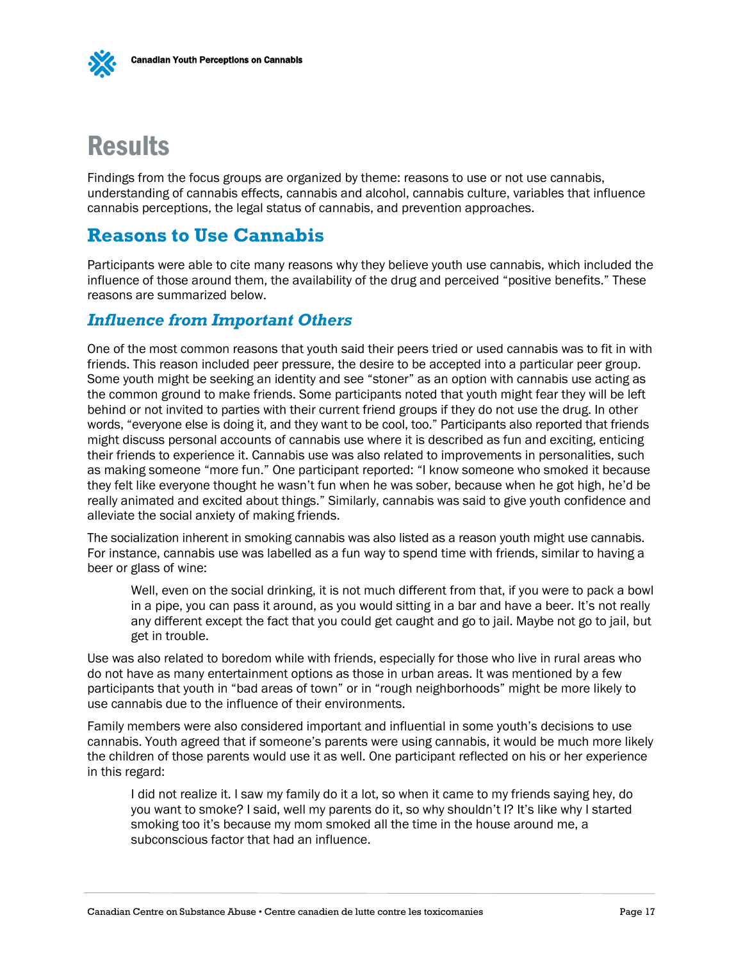

# <span id="page-18-0"></span>**Results**

Findings from the focus groups are organized by theme: reasons to use or not use cannabis, understanding of cannabis effects, cannabis and alcohol, cannabis culture, variables that influence cannabis perceptions, the legal status of cannabis, and prevention approaches.

## <span id="page-18-1"></span>**Reasons to Use Cannabis**

Participants were able to cite many reasons why they believe youth use cannabis, which included the influence of those around them, the availability of the drug and perceived "positive benefits." These reasons are summarized below.

### <span id="page-18-2"></span>*Influence from Important Others*

One of the most common reasons that youth said their peers tried or used cannabis was to fit in with friends. This reason included peer pressure, the desire to be accepted into a particular peer group. Some youth might be seeking an identity and see "stoner" as an option with cannabis use acting as the common ground to make friends. Some participants noted that youth might fear they will be left behind or not invited to parties with their current friend groups if they do not use the drug. In other words, "everyone else is doing it, and they want to be cool, too." Participants also reported that friends might discuss personal accounts of cannabis use where it is described as fun and exciting, enticing their friends to experience it. Cannabis use was also related to improvements in personalities, such as making someone "more fun." One participant reported: "I know someone who smoked it because they felt like everyone thought he wasn't fun when he was sober, because when he got high, he'd be really animated and excited about things." Similarly, cannabis was said to give youth confidence and alleviate the social anxiety of making friends.

The socialization inherent in smoking cannabis was also listed as a reason youth might use cannabis. For instance, cannabis use was labelled as a fun way to spend time with friends, similar to having a beer or glass of wine:

Well, even on the social drinking, it is not much different from that, if you were to pack a bowl in a pipe, you can pass it around, as you would sitting in a bar and have a beer. It's not really any different except the fact that you could get caught and go to jail. Maybe not go to jail, but get in trouble.

Use was also related to boredom while with friends, especially for those who live in rural areas who do not have as many entertainment options as those in urban areas. It was mentioned by a few participants that youth in "bad areas of town" or in "rough neighborhoods" might be more likely to use cannabis due to the influence of their environments.

Family members were also considered important and influential in some youth's decisions to use cannabis. Youth agreed that if someone's parents were using cannabis, it would be much more likely the children of those parents would use it as well. One participant reflected on his or her experience in this regard:

I did not realize it. I saw my family do it a lot, so when it came to my friends saying hey, do you want to smoke? I said, well my parents do it, so why shouldn't I? It's like why I started smoking too it's because my mom smoked all the time in the house around me, a subconscious factor that had an influence.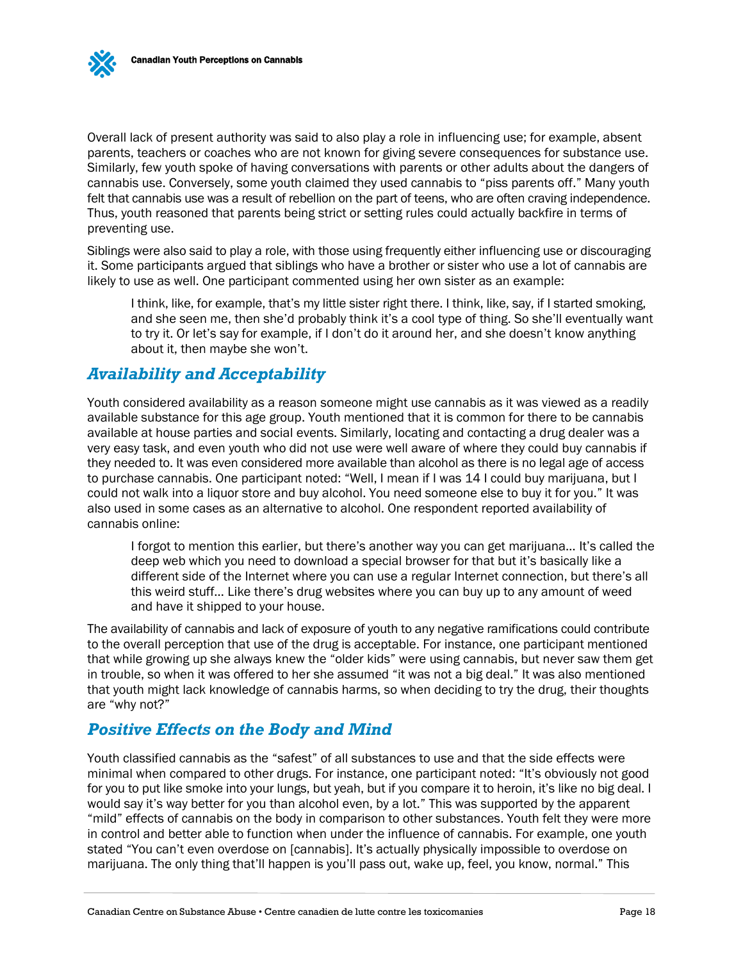Overall lack of present authority was said to also play a role in influencing use; for example, absent parents, teachers or coaches who are not known for giving severe consequences for substance use. Similarly, few youth spoke of having conversations with parents or other adults about the dangers of cannabis use. Conversely, some youth claimed they used cannabis to "piss parents off." Many youth felt that cannabis use was a result of rebellion on the part of teens, who are often craving independence. Thus, youth reasoned that parents being strict or setting rules could actually backfire in terms of preventing use.

Siblings were also said to play a role, with those using frequently either influencing use or discouraging it. Some participants argued that siblings who have a brother or sister who use a lot of cannabis are likely to use as well. One participant commented using her own sister as an example:

I think, like, for example, that's my little sister right there. I think, like, say, if I started smoking, and she seen me, then she'd probably think it's a cool type of thing. So she'll eventually want to try it. Or let's say for example, if I don't do it around her, and she doesn't know anything about it, then maybe she won't.

#### <span id="page-19-0"></span>*Availability and Acceptability*

Youth considered availability as a reason someone might use cannabis as it was viewed as a readily available substance for this age group. Youth mentioned that it is common for there to be cannabis available at house parties and social events. Similarly, locating and contacting a drug dealer was a very easy task, and even youth who did not use were well aware of where they could buy cannabis if they needed to. It was even considered more available than alcohol as there is no legal age of access to purchase cannabis. One participant noted: "Well, I mean if I was 14 I could buy marijuana, but I could not walk into a liquor store and buy alcohol. You need someone else to buy it for you." It was also used in some cases as an alternative to alcohol. One respondent reported availability of cannabis online:

I forgot to mention this earlier, but there's another way you can get marijuana… It's called the deep web which you need to download a special browser for that but it's basically like a different side of the Internet where you can use a regular Internet connection, but there's all this weird stuff… Like there's drug websites where you can buy up to any amount of weed and have it shipped to your house.

The availability of cannabis and lack of exposure of youth to any negative ramifications could contribute to the overall perception that use of the drug is acceptable. For instance, one participant mentioned that while growing up she always knew the "older kids" were using cannabis, but never saw them get in trouble, so when it was offered to her she assumed "it was not a big deal." It was also mentioned that youth might lack knowledge of cannabis harms, so when deciding to try the drug, their thoughts are "why not?"

## <span id="page-19-1"></span>*Positive Effects on the Body and Mind*

Youth classified cannabis as the "safest" of all substances to use and that the side effects were minimal when compared to other drugs. For instance, one participant noted: "It's obviously not good for you to put like smoke into your lungs, but yeah, but if you compare it to heroin, it's like no big deal. I would say it's way better for you than alcohol even, by a lot." This was supported by the apparent "mild" effects of cannabis on the body in comparison to other substances. Youth felt they were more in control and better able to function when under the influence of cannabis. For example, one youth stated "You can't even overdose on [cannabis]. It's actually physically impossible to overdose on marijuana. The only thing that'll happen is you'll pass out, wake up, feel, you know, normal." This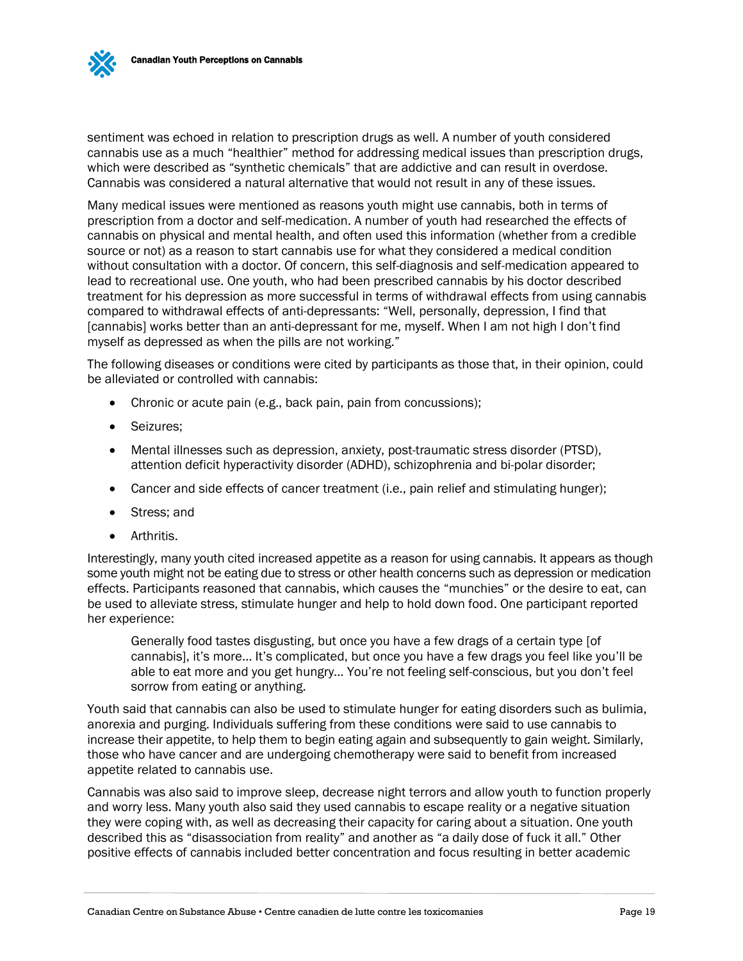

sentiment was echoed in relation to prescription drugs as well. A number of youth considered cannabis use as a much "healthier" method for addressing medical issues than prescription drugs, which were described as "synthetic chemicals" that are addictive and can result in overdose. Cannabis was considered a natural alternative that would not result in any of these issues.

Many medical issues were mentioned as reasons youth might use cannabis, both in terms of prescription from a doctor and self-medication. A number of youth had researched the effects of cannabis on physical and mental health, and often used this information (whether from a credible source or not) as a reason to start cannabis use for what they considered a medical condition without consultation with a doctor. Of concern, this self-diagnosis and self-medication appeared to lead to recreational use. One youth, who had been prescribed cannabis by his doctor described treatment for his depression as more successful in terms of withdrawal effects from using cannabis compared to withdrawal effects of anti-depressants: "Well, personally, depression, I find that [cannabis] works better than an anti-depressant for me, myself. When I am not high I don't find myself as depressed as when the pills are not working."

The following diseases or conditions were cited by participants as those that, in their opinion, could be alleviated or controlled with cannabis:

- Chronic or acute pain (e.g., back pain, pain from concussions);
- Seizures;
- Mental illnesses such as depression, anxiety, post-traumatic stress disorder (PTSD), attention deficit hyperactivity disorder (ADHD), schizophrenia and bi-polar disorder;
- Cancer and side effects of cancer treatment (i.e., pain relief and stimulating hunger);
- Stress: and
- Arthritis.

Interestingly, many youth cited increased appetite as a reason for using cannabis. It appears as though some youth might not be eating due to stress or other health concerns such as depression or medication effects. Participants reasoned that cannabis, which causes the "munchies" or the desire to eat, can be used to alleviate stress, stimulate hunger and help to hold down food. One participant reported her experience:

Generally food tastes disgusting, but once you have a few drags of a certain type [of cannabis], it's more… It's complicated, but once you have a few drags you feel like you'll be able to eat more and you get hungry… You're not feeling self-conscious, but you don't feel sorrow from eating or anything.

Youth said that cannabis can also be used to stimulate hunger for eating disorders such as bulimia, anorexia and purging. Individuals suffering from these conditions were said to use cannabis to increase their appetite, to help them to begin eating again and subsequently to gain weight. Similarly, those who have cancer and are undergoing chemotherapy were said to benefit from increased appetite related to cannabis use.

Cannabis was also said to improve sleep, decrease night terrors and allow youth to function properly and worry less. Many youth also said they used cannabis to escape reality or a negative situation they were coping with, as well as decreasing their capacity for caring about a situation. One youth described this as "disassociation from reality" and another as "a daily dose of fuck it all." Other positive effects of cannabis included better concentration and focus resulting in better academic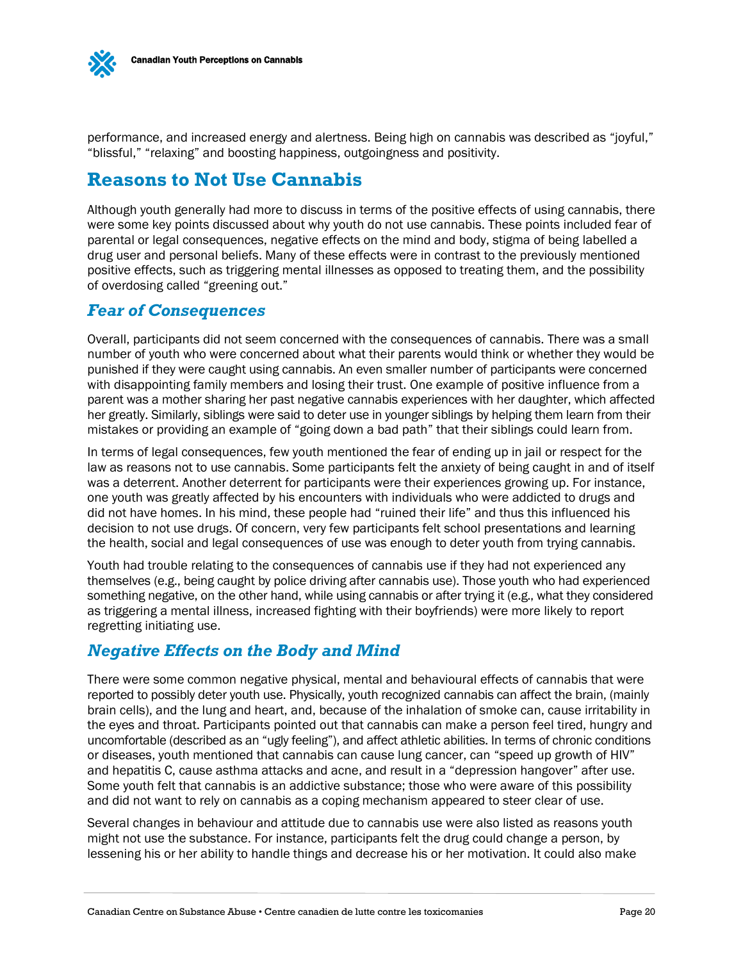

performance, and increased energy and alertness. Being high on cannabis was described as "joyful," "blissful," "relaxing" and boosting happiness, outgoingness and positivity.

## <span id="page-21-0"></span>**Reasons to Not Use Cannabis**

Although youth generally had more to discuss in terms of the positive effects of using cannabis, there were some key points discussed about why youth do not use cannabis. These points included fear of parental or legal consequences, negative effects on the mind and body, stigma of being labelled a drug user and personal beliefs. Many of these effects were in contrast to the previously mentioned positive effects, such as triggering mental illnesses as opposed to treating them, and the possibility of overdosing called "greening out."

#### <span id="page-21-1"></span>*Fear of Consequences*

Overall, participants did not seem concerned with the consequences of cannabis. There was a small number of youth who were concerned about what their parents would think or whether they would be punished if they were caught using cannabis. An even smaller number of participants were concerned with disappointing family members and losing their trust. One example of positive influence from a parent was a mother sharing her past negative cannabis experiences with her daughter, which affected her greatly. Similarly, siblings were said to deter use in younger siblings by helping them learn from their mistakes or providing an example of "going down a bad path" that their siblings could learn from.

In terms of legal consequences, few youth mentioned the fear of ending up in jail or respect for the law as reasons not to use cannabis. Some participants felt the anxiety of being caught in and of itself was a deterrent. Another deterrent for participants were their experiences growing up. For instance, one youth was greatly affected by his encounters with individuals who were addicted to drugs and did not have homes. In his mind, these people had "ruined their life" and thus this influenced his decision to not use drugs. Of concern, very few participants felt school presentations and learning the health, social and legal consequences of use was enough to deter youth from trying cannabis.

Youth had trouble relating to the consequences of cannabis use if they had not experienced any themselves (e.g., being caught by police driving after cannabis use). Those youth who had experienced something negative, on the other hand, while using cannabis or after trying it (e.g., what they considered as triggering a mental illness, increased fighting with their boyfriends) were more likely to report regretting initiating use.

## <span id="page-21-2"></span>*Negative Effects on the Body and Mind*

There were some common negative physical, mental and behavioural effects of cannabis that were reported to possibly deter youth use. Physically, youth recognized cannabis can affect the brain, (mainly brain cells), and the lung and heart, and, because of the inhalation of smoke can, cause irritability in the eyes and throat. Participants pointed out that cannabis can make a person feel tired, hungry and uncomfortable (described as an "ugly feeling"), and affect athletic abilities. In terms of chronic conditions or diseases, youth mentioned that cannabis can cause lung cancer, can "speed up growth of HIV" and hepatitis C, cause asthma attacks and acne, and result in a "depression hangover" after use. Some youth felt that cannabis is an addictive substance; those who were aware of this possibility and did not want to rely on cannabis as a coping mechanism appeared to steer clear of use.

Several changes in behaviour and attitude due to cannabis use were also listed as reasons youth might not use the substance. For instance, participants felt the drug could change a person, by lessening his or her ability to handle things and decrease his or her motivation. It could also make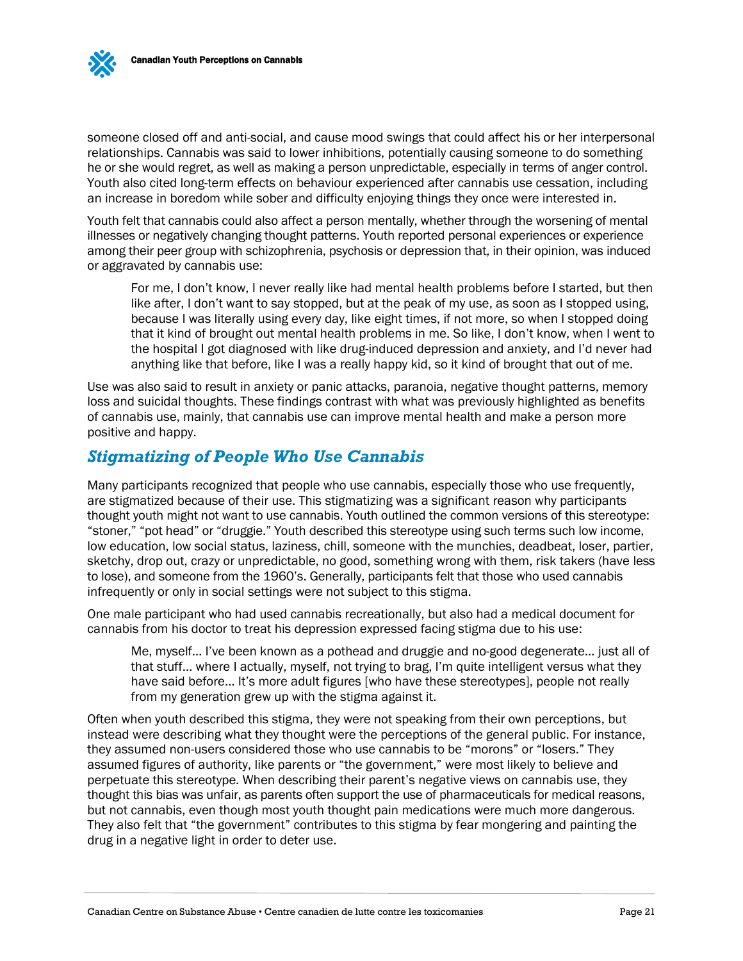someone closed off and anti-social, and cause mood swings that could affect his or her interpersonal relationships. Cannabis was said to lower inhibitions, potentially causing someone to do something he or she would regret, as well as making a person unpredictable, especially in terms of anger control. Youth also cited long-term effects on behaviour experienced after cannabis use cessation, including an increase in boredom while sober and difficulty enjoying things they once were interested in.

Youth felt that cannabis could also affect a person mentally, whether through the worsening of mental illnesses or negatively changing thought patterns. Youth reported personal experiences or experience among their peer group with schizophrenia, psychosis or depression that, in their opinion, was induced or aggravated by cannabis use:

For me, I don't know, I never really like had mental health problems before I started, but then like after, I don't want to say stopped, but at the peak of my use, as soon as I stopped using, because I was literally using every day, like eight times, if not more, so when I stopped doing that it kind of brought out mental health problems in me. So like, I don't know, when I went to the hospital I got diagnosed with like drug-induced depression and anxiety, and I'd never had anything like that before, like I was a really happy kid, so it kind of brought that out of me.

Use was also said to result in anxiety or panic attacks, paranoia, negative thought patterns, memory loss and suicidal thoughts. These findings contrast with what was previously highlighted as benefits of cannabis use, mainly, that cannabis use can improve mental health and make a person more positive and happy.

### <span id="page-22-0"></span>*Stigmatizing of People Who Use Cannabis*

Many participants recognized that people who use cannabis, especially those who use frequently, are stigmatized because of their use. This stigmatizing was a significant reason why participants thought youth might not want to use cannabis. Youth outlined the common versions of this stereotype: "stoner," "pot head" or "druggie." Youth described this stereotype using such terms such low income, low education, low social status, laziness, chill, someone with the munchies, deadbeat, loser, partier, sketchy, drop out, crazy or unpredictable, no good, something wrong with them, risk takers (have less to lose), and someone from the 1960's. Generally, participants felt that those who used cannabis infrequently or only in social settings were not subject to this stigma.

One male participant who had used cannabis recreationally, but also had a medical document for cannabis from his doctor to treat his depression expressed facing stigma due to his use:

Me, myself… I've been known as a pothead and druggie and no-good degenerate… just all of that stuff… where I actually, myself, not trying to brag, I'm quite intelligent versus what they have said before… It's more adult figures [who have these stereotypes], people not really from my generation grew up with the stigma against it.

Often when youth described this stigma, they were not speaking from their own perceptions, but instead were describing what they thought were the perceptions of the general public. For instance, they assumed non-users considered those who use cannabis to be "morons" or "losers." They assumed figures of authority, like parents or "the government," were most likely to believe and perpetuate this stereotype. When describing their parent's negative views on cannabis use, they thought this bias was unfair, as parents often support the use of pharmaceuticals for medical reasons, but not cannabis, even though most youth thought pain medications were much more dangerous. They also felt that "the government" contributes to this stigma by fear mongering and painting the drug in a negative light in order to deter use.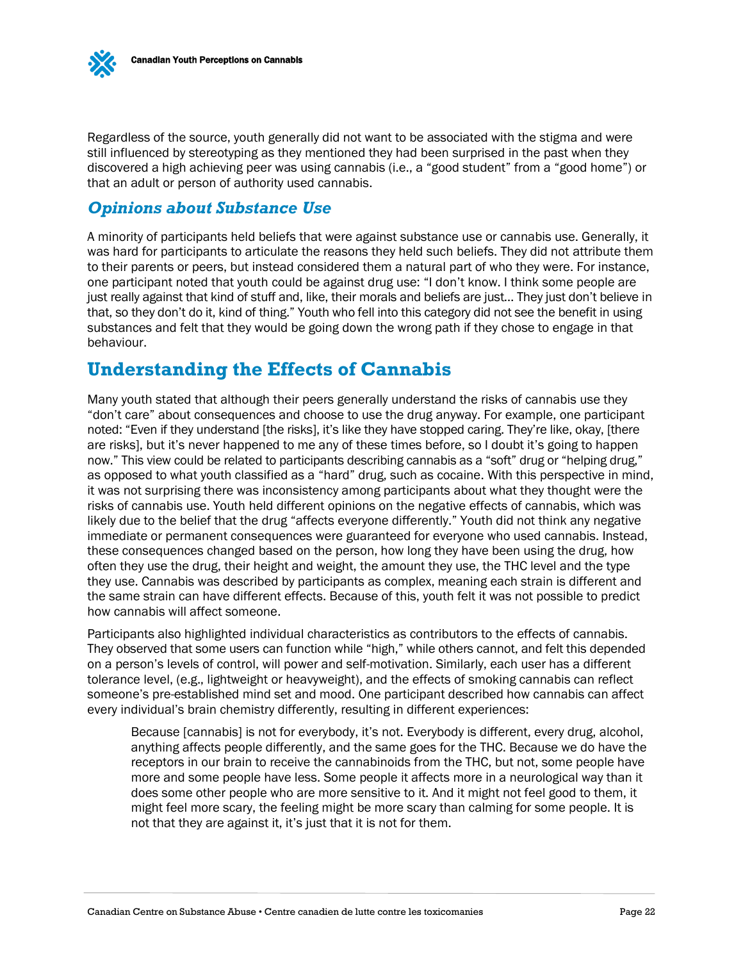

Regardless of the source, youth generally did not want to be associated with the stigma and were still influenced by stereotyping as they mentioned they had been surprised in the past when they discovered a high achieving peer was using cannabis (i.e., a "good student" from a "good home") or that an adult or person of authority used cannabis.

## <span id="page-23-0"></span>*Opinions about Substance Use*

A minority of participants held beliefs that were against substance use or cannabis use. Generally, it was hard for participants to articulate the reasons they held such beliefs. They did not attribute them to their parents or peers, but instead considered them a natural part of who they were. For instance, one participant noted that youth could be against drug use: "I don't know. I think some people are just really against that kind of stuff and, like, their morals and beliefs are just… They just don't believe in that, so they don't do it, kind of thing." Youth who fell into this category did not see the benefit in using substances and felt that they would be going down the wrong path if they chose to engage in that behaviour.

## <span id="page-23-1"></span>**Understanding the Effects of Cannabis**

Many youth stated that although their peers generally understand the risks of cannabis use they "don't care" about consequences and choose to use the drug anyway. For example, one participant noted: "Even if they understand [the risks], it's like they have stopped caring. They're like, okay, [there are risks], but it's never happened to me any of these times before, so I doubt it's going to happen now." This view could be related to participants describing cannabis as a "soft" drug or "helping drug," as opposed to what youth classified as a "hard" drug, such as cocaine. With this perspective in mind, it was not surprising there was inconsistency among participants about what they thought were the risks of cannabis use. Youth held different opinions on the negative effects of cannabis, which was likely due to the belief that the drug "affects everyone differently." Youth did not think any negative immediate or permanent consequences were guaranteed for everyone who used cannabis. Instead, these consequences changed based on the person, how long they have been using the drug, how often they use the drug, their height and weight, the amount they use, the THC level and the type they use. Cannabis was described by participants as complex, meaning each strain is different and the same strain can have different effects. Because of this, youth felt it was not possible to predict how cannabis will affect someone.

Participants also highlighted individual characteristics as contributors to the effects of cannabis. They observed that some users can function while "high," while others cannot, and felt this depended on a person's levels of control, will power and self-motivation. Similarly, each user has a different tolerance level, (e.g., lightweight or heavyweight), and the effects of smoking cannabis can reflect someone's pre-established mind set and mood. One participant described how cannabis can affect every individual's brain chemistry differently, resulting in different experiences:

Because [cannabis] is not for everybody, it's not. Everybody is different, every drug, alcohol, anything affects people differently, and the same goes for the THC. Because we do have the receptors in our brain to receive the cannabinoids from the THC, but not, some people have more and some people have less. Some people it affects more in a neurological way than it does some other people who are more sensitive to it. And it might not feel good to them, it might feel more scary, the feeling might be more scary than calming for some people. It is not that they are against it, it's just that it is not for them.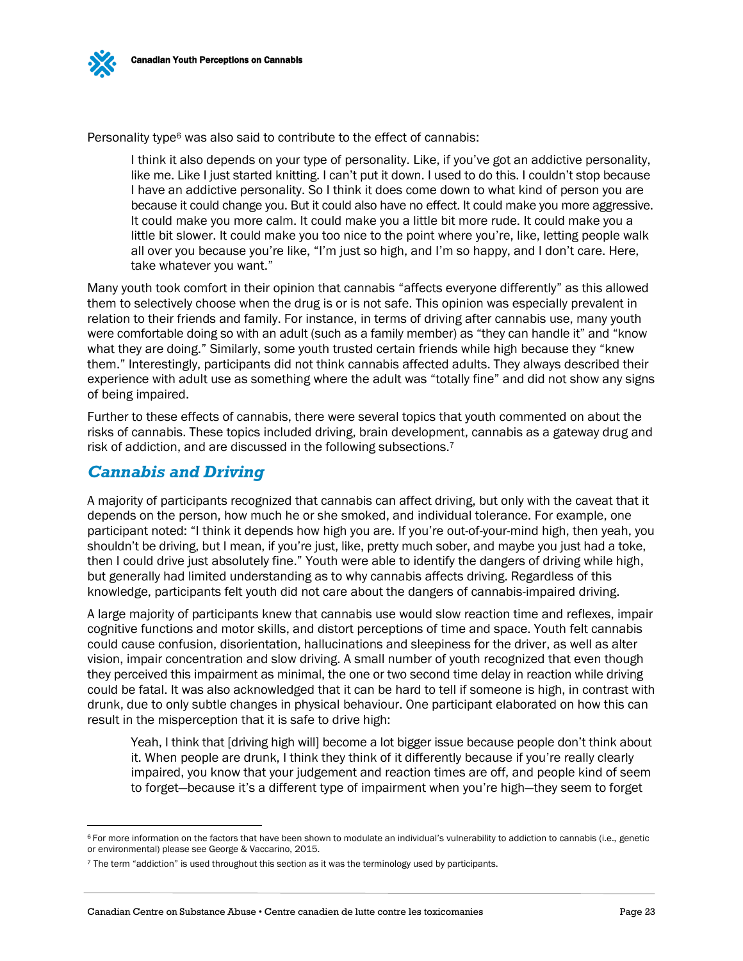Personality type<sup>6</sup> was also said to contribute to the effect of cannabis:

I think it also depends on your type of personality. Like, if you've got an addictive personality, like me. Like I just started knitting. I can't put it down. I used to do this. I couldn't stop because I have an addictive personality. So I think it does come down to what kind of person you are because it could change you. But it could also have no effect. It could make you more aggressive. It could make you more calm. It could make you a little bit more rude. It could make you a little bit slower. It could make you too nice to the point where you're, like, letting people walk all over you because you're like, "I'm just so high, and I'm so happy, and I don't care. Here, take whatever you want."

Many youth took comfort in their opinion that cannabis "affects everyone differently" as this allowed them to selectively choose when the drug is or is not safe. This opinion was especially prevalent in relation to their friends and family. For instance, in terms of driving after cannabis use, many youth were comfortable doing so with an adult (such as a family member) as "they can handle it" and "know what they are doing." Similarly, some youth trusted certain friends while high because they "knew them." Interestingly, participants did not think cannabis affected adults. They always described their experience with adult use as something where the adult was "totally fine" and did not show any signs of being impaired.

Further to these effects of cannabis, there were several topics that youth commented on about the risks of cannabis. These topics included driving, brain development, cannabis as a gateway drug and risk of addiction, and are discussed in the following subsections.<sup>7</sup>

### <span id="page-24-0"></span>*Cannabis and Driving*

 $\overline{a}$ 

A majority of participants recognized that cannabis can affect driving, but only with the caveat that it depends on the person, how much he or she smoked, and individual tolerance. For example, one participant noted: "I think it depends how high you are. If you're out-of-your-mind high, then yeah, you shouldn't be driving, but I mean, if you're just, like, pretty much sober, and maybe you just had a toke, then I could drive just absolutely fine." Youth were able to identify the dangers of driving while high, but generally had limited understanding as to why cannabis affects driving. Regardless of this knowledge, participants felt youth did not care about the dangers of cannabis-impaired driving.

A large majority of participants knew that cannabis use would slow reaction time and reflexes, impair cognitive functions and motor skills, and distort perceptions of time and space. Youth felt cannabis could cause confusion, disorientation, hallucinations and sleepiness for the driver, as well as alter vision, impair concentration and slow driving. A small number of youth recognized that even though they perceived this impairment as minimal, the one or two second time delay in reaction while driving could be fatal. It was also acknowledged that it can be hard to tell if someone is high, in contrast with drunk, due to only subtle changes in physical behaviour. One participant elaborated on how this can result in the misperception that it is safe to drive high:

Yeah, I think that [driving high will] become a lot bigger issue because people don't think about it. When people are drunk, I think they think of it differently because if you're really clearly impaired, you know that your judgement and reaction times are off, and people kind of seem to forget—because it's a different type of impairment when you're high—they seem to forget

<sup>&</sup>lt;sup>6</sup> For more information on the factors that have been shown to modulate an individual's vulnerability to addiction to cannabis (i.e., genetic or environmental) please see George & Vaccarino, 2015.

<sup>7</sup> The term "addiction" is used throughout this section as it was the terminology used by participants.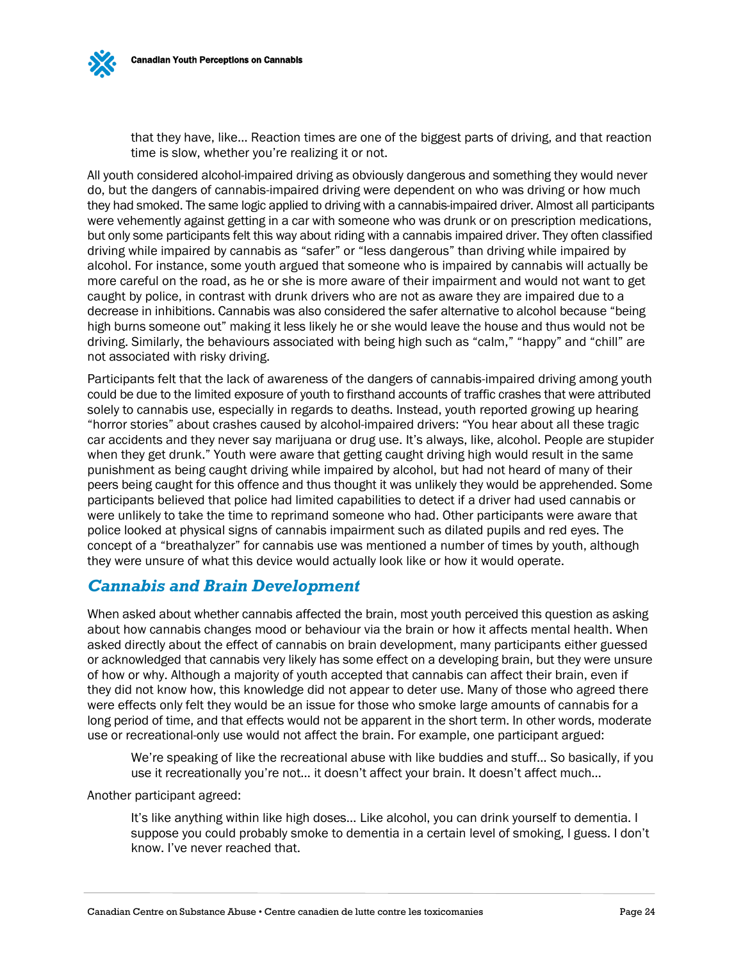

All youth considered alcohol-impaired driving as obviously dangerous and something they would never do, but the dangers of cannabis-impaired driving were dependent on who was driving or how much they had smoked. The same logic applied to driving with a cannabis-impaired driver. Almost all participants were vehemently against getting in a car with someone who was drunk or on prescription medications, but only some participants felt this way about riding with a cannabis impaired driver. They often classified driving while impaired by cannabis as "safer" or "less dangerous" than driving while impaired by alcohol. For instance, some youth argued that someone who is impaired by cannabis will actually be more careful on the road, as he or she is more aware of their impairment and would not want to get caught by police, in contrast with drunk drivers who are not as aware they are impaired due to a decrease in inhibitions. Cannabis was also considered the safer alternative to alcohol because "being high burns someone out" making it less likely he or she would leave the house and thus would not be driving. Similarly, the behaviours associated with being high such as "calm," "happy" and "chill" are not associated with risky driving.

Participants felt that the lack of awareness of the dangers of cannabis-impaired driving among youth could be due to the limited exposure of youth to firsthand accounts of traffic crashes that were attributed solely to cannabis use, especially in regards to deaths. Instead, youth reported growing up hearing "horror stories" about crashes caused by alcohol-impaired drivers: "You hear about all these tragic car accidents and they never say marijuana or drug use. It's always, like, alcohol. People are stupider when they get drunk." Youth were aware that getting caught driving high would result in the same punishment as being caught driving while impaired by alcohol, but had not heard of many of their peers being caught for this offence and thus thought it was unlikely they would be apprehended. Some participants believed that police had limited capabilities to detect if a driver had used cannabis or were unlikely to take the time to reprimand someone who had. Other participants were aware that police looked at physical signs of cannabis impairment such as dilated pupils and red eyes. The concept of a "breathalyzer" for cannabis use was mentioned a number of times by youth, although they were unsure of what this device would actually look like or how it would operate.

#### <span id="page-25-0"></span>*Cannabis and Brain Development*

When asked about whether cannabis affected the brain, most youth perceived this question as asking about how cannabis changes mood or behaviour via the brain or how it affects mental health. When asked directly about the effect of cannabis on brain development, many participants either guessed or acknowledged that cannabis very likely has some effect on a developing brain, but they were unsure of how or why. Although a majority of youth accepted that cannabis can affect their brain, even if they did not know how, this knowledge did not appear to deter use. Many of those who agreed there were effects only felt they would be an issue for those who smoke large amounts of cannabis for a long period of time, and that effects would not be apparent in the short term. In other words, moderate use or recreational-only use would not affect the brain. For example, one participant argued:

We're speaking of like the recreational abuse with like buddies and stuff… So basically, if you use it recreationally you're not… it doesn't affect your brain. It doesn't affect much…

Another participant agreed:

It's like anything within like high doses… Like alcohol, you can drink yourself to dementia. I suppose you could probably smoke to dementia in a certain level of smoking, I guess. I don't know. I've never reached that.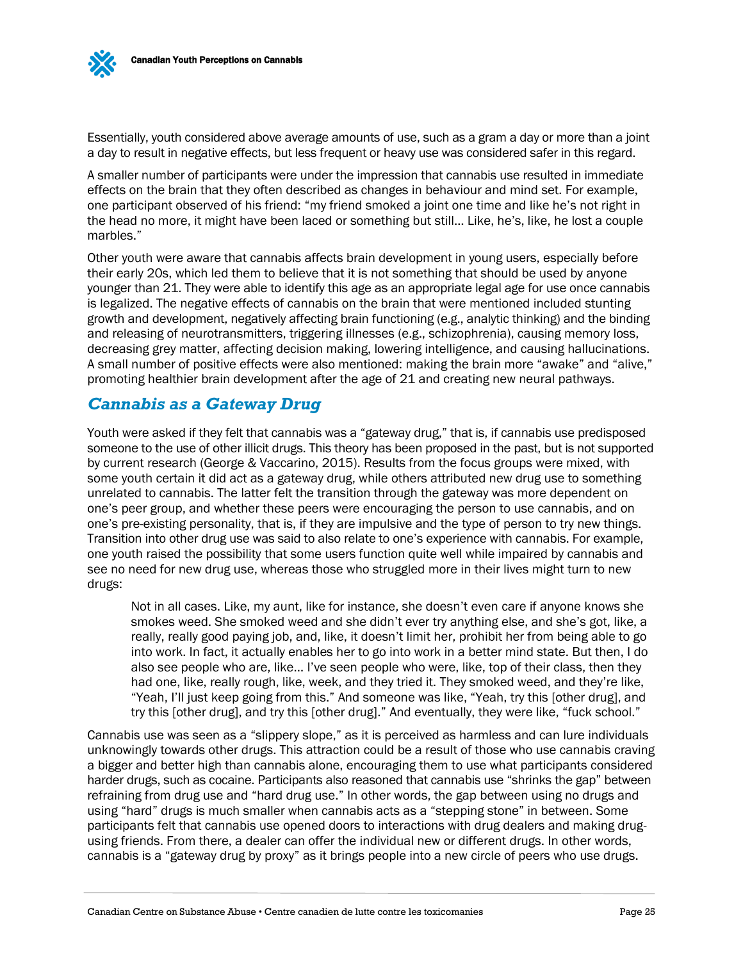

Essentially, youth considered above average amounts of use, such as a gram a day or more than a joint a day to result in negative effects, but less frequent or heavy use was considered safer in this regard.

A smaller number of participants were under the impression that cannabis use resulted in immediate effects on the brain that they often described as changes in behaviour and mind set. For example, one participant observed of his friend: "my friend smoked a joint one time and like he's not right in the head no more, it might have been laced or something but still… Like, he's, like, he lost a couple marbles."

Other youth were aware that cannabis affects brain development in young users, especially before their early 20s, which led them to believe that it is not something that should be used by anyone younger than 21. They were able to identify this age as an appropriate legal age for use once cannabis is legalized. The negative effects of cannabis on the brain that were mentioned included stunting growth and development, negatively affecting brain functioning (e.g., analytic thinking) and the binding and releasing of neurotransmitters, triggering illnesses (e.g., schizophrenia), causing memory loss, decreasing grey matter, affecting decision making, lowering intelligence, and causing hallucinations. A small number of positive effects were also mentioned: making the brain more "awake" and "alive," promoting healthier brain development after the age of 21 and creating new neural pathways.

#### <span id="page-26-0"></span>*Cannabis as a Gateway Drug*

Youth were asked if they felt that cannabis was a "gateway drug," that is, if cannabis use predisposed someone to the use of other illicit drugs. This theory has been proposed in the past, but is not supported by current research (George & Vaccarino, 2015). Results from the focus groups were mixed, with some youth certain it did act as a gateway drug, while others attributed new drug use to something unrelated to cannabis. The latter felt the transition through the gateway was more dependent on one's peer group, and whether these peers were encouraging the person to use cannabis, and on one's pre-existing personality, that is, if they are impulsive and the type of person to try new things. Transition into other drug use was said to also relate to one's experience with cannabis. For example, one youth raised the possibility that some users function quite well while impaired by cannabis and see no need for new drug use, whereas those who struggled more in their lives might turn to new drugs:

Not in all cases. Like, my aunt, like for instance, she doesn't even care if anyone knows she smokes weed. She smoked weed and she didn't ever try anything else, and she's got, like, a really, really good paying job, and, like, it doesn't limit her, prohibit her from being able to go into work. In fact, it actually enables her to go into work in a better mind state. But then, I do also see people who are, like… I've seen people who were, like, top of their class, then they had one, like, really rough, like, week, and they tried it. They smoked weed, and they're like, "Yeah, I'll just keep going from this." And someone was like, "Yeah, try this [other drug], and try this [other drug], and try this [other drug]." And eventually, they were like, "fuck school."

Cannabis use was seen as a "slippery slope," as it is perceived as harmless and can lure individuals unknowingly towards other drugs. This attraction could be a result of those who use cannabis craving a bigger and better high than cannabis alone, encouraging them to use what participants considered harder drugs, such as cocaine. Participants also reasoned that cannabis use "shrinks the gap" between refraining from drug use and "hard drug use." In other words, the gap between using no drugs and using "hard" drugs is much smaller when cannabis acts as a "stepping stone" in between. Some participants felt that cannabis use opened doors to interactions with drug dealers and making drugusing friends. From there, a dealer can offer the individual new or different drugs. In other words, cannabis is a "gateway drug by proxy" as it brings people into a new circle of peers who use drugs.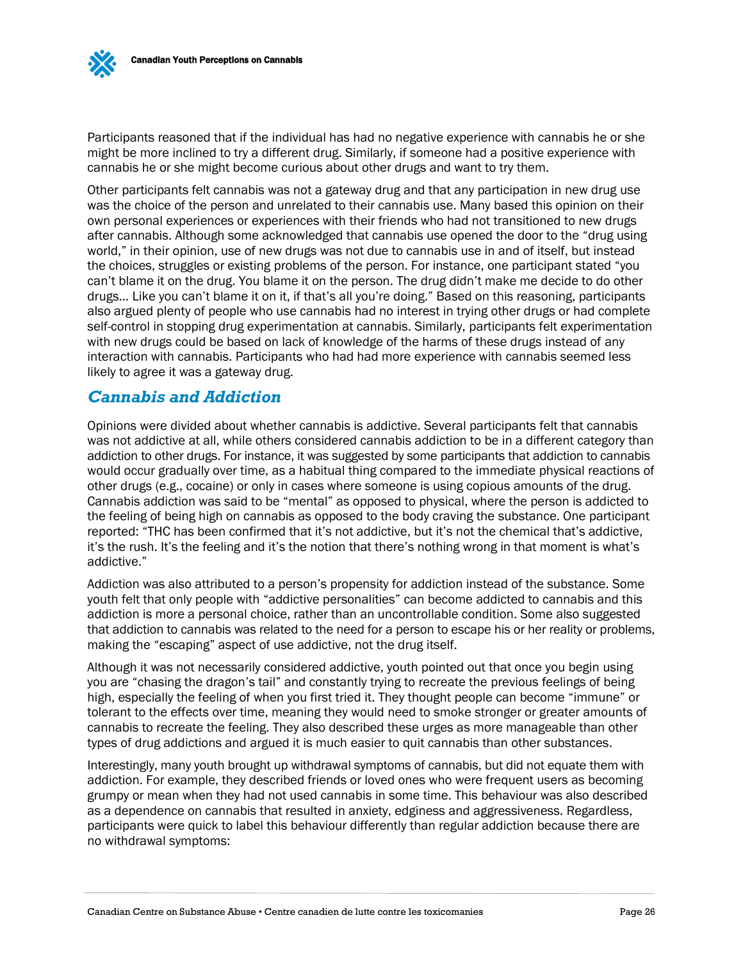

Participants reasoned that if the individual has had no negative experience with cannabis he or she might be more inclined to try a different drug. Similarly, if someone had a positive experience with cannabis he or she might become curious about other drugs and want to try them.

Other participants felt cannabis was not a gateway drug and that any participation in new drug use was the choice of the person and unrelated to their cannabis use. Many based this opinion on their own personal experiences or experiences with their friends who had not transitioned to new drugs after cannabis. Although some acknowledged that cannabis use opened the door to the "drug using world," in their opinion, use of new drugs was not due to cannabis use in and of itself, but instead the choices, struggles or existing problems of the person. For instance, one participant stated "you can't blame it on the drug. You blame it on the person. The drug didn't make me decide to do other drugs… Like you can't blame it on it, if that's all you're doing." Based on this reasoning, participants also argued plenty of people who use cannabis had no interest in trying other drugs or had complete self-control in stopping drug experimentation at cannabis. Similarly, participants felt experimentation with new drugs could be based on lack of knowledge of the harms of these drugs instead of any interaction with cannabis. Participants who had had more experience with cannabis seemed less likely to agree it was a gateway drug.

#### <span id="page-27-0"></span>*Cannabis and Addiction*

Opinions were divided about whether cannabis is addictive. Several participants felt that cannabis was not addictive at all, while others considered cannabis addiction to be in a different category than addiction to other drugs. For instance, it was suggested by some participants that addiction to cannabis would occur gradually over time, as a habitual thing compared to the immediate physical reactions of other drugs (e.g., cocaine) or only in cases where someone is using copious amounts of the drug. Cannabis addiction was said to be "mental" as opposed to physical, where the person is addicted to the feeling of being high on cannabis as opposed to the body craving the substance. One participant reported: "THC has been confirmed that it's not addictive, but it's not the chemical that's addictive, it's the rush. It's the feeling and it's the notion that there's nothing wrong in that moment is what's addictive."

Addiction was also attributed to a person's propensity for addiction instead of the substance. Some youth felt that only people with "addictive personalities" can become addicted to cannabis and this addiction is more a personal choice, rather than an uncontrollable condition. Some also suggested that addiction to cannabis was related to the need for a person to escape his or her reality or problems, making the "escaping" aspect of use addictive, not the drug itself.

Although it was not necessarily considered addictive, youth pointed out that once you begin using you are "chasing the dragon's tail" and constantly trying to recreate the previous feelings of being high, especially the feeling of when you first tried it. They thought people can become "immune" or tolerant to the effects over time, meaning they would need to smoke stronger or greater amounts of cannabis to recreate the feeling. They also described these urges as more manageable than other types of drug addictions and argued it is much easier to quit cannabis than other substances.

Interestingly, many youth brought up withdrawal symptoms of cannabis, but did not equate them with addiction. For example, they described friends or loved ones who were frequent users as becoming grumpy or mean when they had not used cannabis in some time. This behaviour was also described as a dependence on cannabis that resulted in anxiety, edginess and aggressiveness. Regardless, participants were quick to label this behaviour differently than regular addiction because there are no withdrawal symptoms: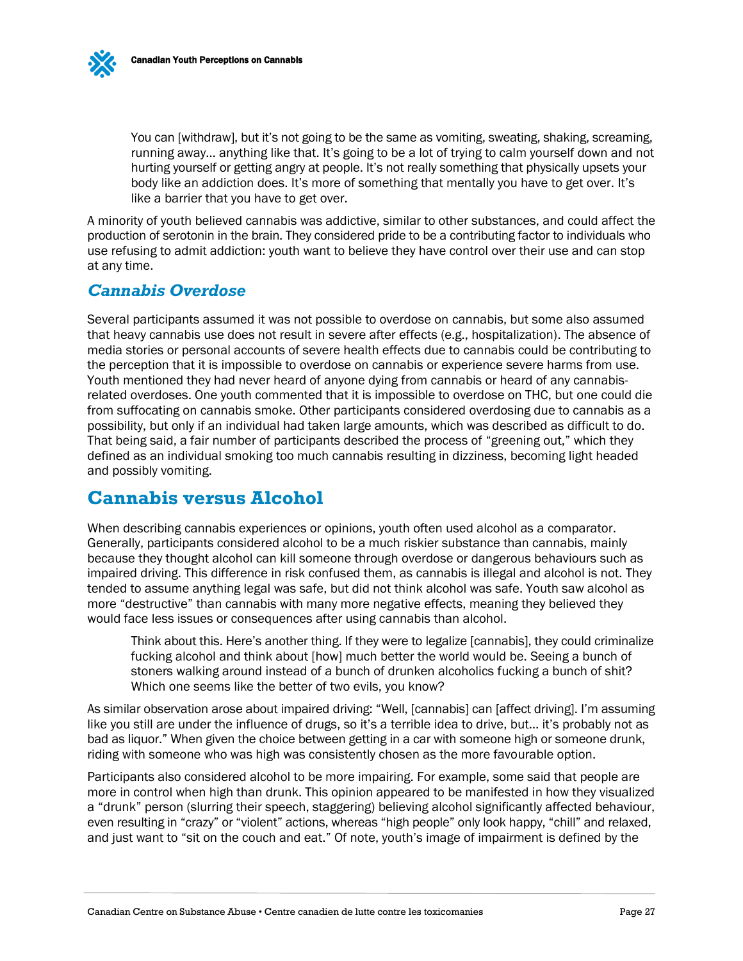You can [withdraw], but it's not going to be the same as vomiting, sweating, shaking, screaming, running away… anything like that. It's going to be a lot of trying to calm yourself down and not hurting yourself or getting angry at people. It's not really something that physically upsets your body like an addiction does. It's more of something that mentally you have to get over. It's like a barrier that you have to get over.

A minority of youth believed cannabis was addictive, similar to other substances, and could affect the production of serotonin in the brain. They considered pride to be a contributing factor to individuals who use refusing to admit addiction: youth want to believe they have control over their use and can stop at any time.

### <span id="page-28-0"></span>*Cannabis Overdose*

Several participants assumed it was not possible to overdose on cannabis, but some also assumed that heavy cannabis use does not result in severe after effects (e.g., hospitalization). The absence of media stories or personal accounts of severe health effects due to cannabis could be contributing to the perception that it is impossible to overdose on cannabis or experience severe harms from use. Youth mentioned they had never heard of anyone dying from cannabis or heard of any cannabisrelated overdoses. One youth commented that it is impossible to overdose on THC, but one could die from suffocating on cannabis smoke. Other participants considered overdosing due to cannabis as a possibility, but only if an individual had taken large amounts, which was described as difficult to do. That being said, a fair number of participants described the process of "greening out," which they defined as an individual smoking too much cannabis resulting in dizziness, becoming light headed and possibly vomiting.

## <span id="page-28-1"></span>**Cannabis versus Alcohol**

When describing cannabis experiences or opinions, youth often used alcohol as a comparator. Generally, participants considered alcohol to be a much riskier substance than cannabis, mainly because they thought alcohol can kill someone through overdose or dangerous behaviours such as impaired driving. This difference in risk confused them, as cannabis is illegal and alcohol is not. They tended to assume anything legal was safe, but did not think alcohol was safe. Youth saw alcohol as more "destructive" than cannabis with many more negative effects, meaning they believed they would face less issues or consequences after using cannabis than alcohol.

Think about this. Here's another thing. If they were to legalize [cannabis], they could criminalize fucking alcohol and think about [how] much better the world would be. Seeing a bunch of stoners walking around instead of a bunch of drunken alcoholics fucking a bunch of shit? Which one seems like the better of two evils, you know?

As similar observation arose about impaired driving: "Well, [cannabis] can [affect driving]. I'm assuming like you still are under the influence of drugs, so it's a terrible idea to drive, but… it's probably not as bad as liquor." When given the choice between getting in a car with someone high or someone drunk, riding with someone who was high was consistently chosen as the more favourable option.

Participants also considered alcohol to be more impairing. For example, some said that people are more in control when high than drunk. This opinion appeared to be manifested in how they visualized a "drunk" person (slurring their speech, staggering) believing alcohol significantly affected behaviour, even resulting in "crazy" or "violent" actions, whereas "high people" only look happy, "chill" and relaxed, and just want to "sit on the couch and eat." Of note, youth's image of impairment is defined by the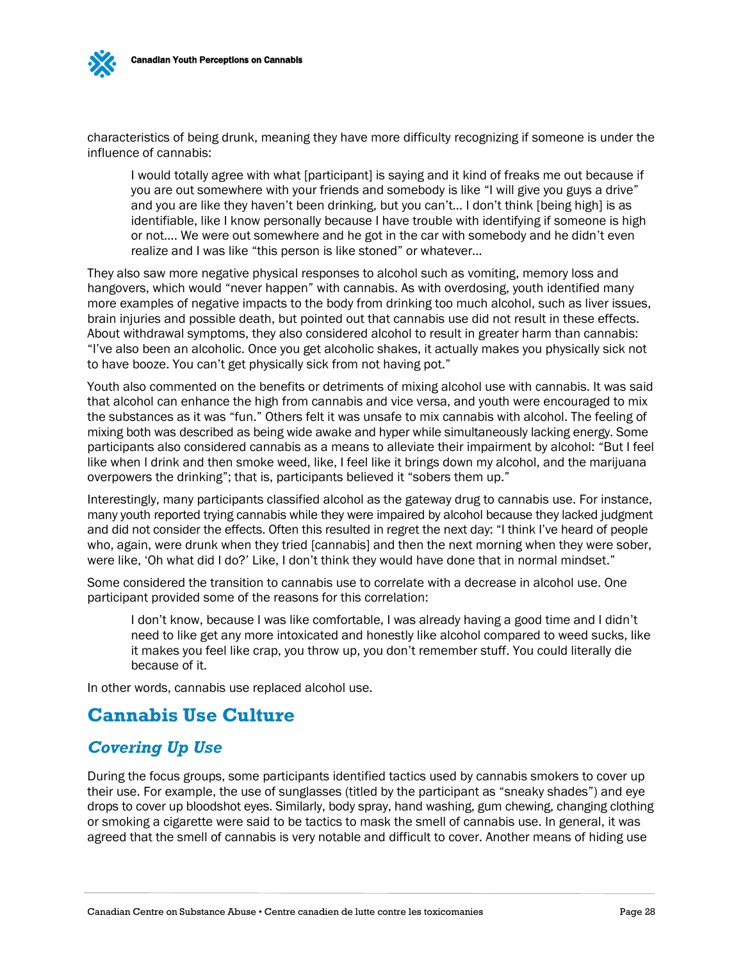

I would totally agree with what [participant] is saying and it kind of freaks me out because if you are out somewhere with your friends and somebody is like "I will give you guys a drive" and you are like they haven't been drinking, but you can't… I don't think [being high] is as identifiable, like I know personally because I have trouble with identifying if someone is high or not…. We were out somewhere and he got in the car with somebody and he didn't even realize and I was like "this person is like stoned" or whatever…

They also saw more negative physical responses to alcohol such as vomiting, memory loss and hangovers, which would "never happen" with cannabis. As with overdosing, youth identified many more examples of negative impacts to the body from drinking too much alcohol, such as liver issues, brain injuries and possible death, but pointed out that cannabis use did not result in these effects. About withdrawal symptoms, they also considered alcohol to result in greater harm than cannabis: "I've also been an alcoholic. Once you get alcoholic shakes, it actually makes you physically sick not to have booze. You can't get physically sick from not having pot."

Youth also commented on the benefits or detriments of mixing alcohol use with cannabis. It was said that alcohol can enhance the high from cannabis and vice versa, and youth were encouraged to mix the substances as it was "fun." Others felt it was unsafe to mix cannabis with alcohol. The feeling of mixing both was described as being wide awake and hyper while simultaneously lacking energy. Some participants also considered cannabis as a means to alleviate their impairment by alcohol: "But I feel like when I drink and then smoke weed, like, I feel like it brings down my alcohol, and the marijuana overpowers the drinking"; that is, participants believed it "sobers them up."

Interestingly, many participants classified alcohol as the gateway drug to cannabis use. For instance, many youth reported trying cannabis while they were impaired by alcohol because they lacked judgment and did not consider the effects. Often this resulted in regret the next day: "I think I've heard of people who, again, were drunk when they tried [cannabis] and then the next morning when they were sober, were like, 'Oh what did I do?' Like, I don't think they would have done that in normal mindset."

Some considered the transition to cannabis use to correlate with a decrease in alcohol use. One participant provided some of the reasons for this correlation:

I don't know, because I was like comfortable, I was already having a good time and I didn't need to like get any more intoxicated and honestly like alcohol compared to weed sucks, like it makes you feel like crap, you throw up, you don't remember stuff. You could literally die because of it.

In other words, cannabis use replaced alcohol use.

## <span id="page-29-0"></span>**Cannabis Use Culture**

## <span id="page-29-1"></span>*Covering Up Use*

During the focus groups, some participants identified tactics used by cannabis smokers to cover up their use. For example, the use of sunglasses (titled by the participant as "sneaky shades") and eye drops to cover up bloodshot eyes. Similarly, body spray, hand washing, gum chewing, changing clothing or smoking a cigarette were said to be tactics to mask the smell of cannabis use. In general, it was agreed that the smell of cannabis is very notable and difficult to cover. Another means of hiding use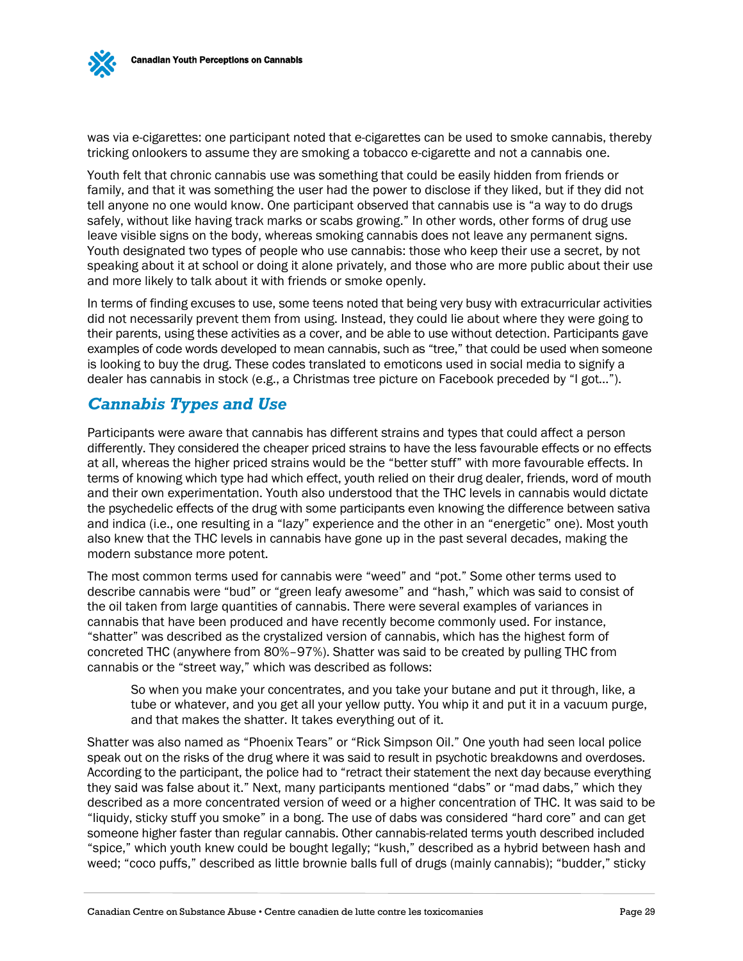

was via e-cigarettes: one participant noted that e-cigarettes can be used to smoke cannabis, thereby tricking onlookers to assume they are smoking a tobacco e-cigarette and not a cannabis one.

Youth felt that chronic cannabis use was something that could be easily hidden from friends or family, and that it was something the user had the power to disclose if they liked, but if they did not tell anyone no one would know. One participant observed that cannabis use is "a way to do drugs safely, without like having track marks or scabs growing." In other words, other forms of drug use leave visible signs on the body, whereas smoking cannabis does not leave any permanent signs. Youth designated two types of people who use cannabis: those who keep their use a secret, by not speaking about it at school or doing it alone privately, and those who are more public about their use and more likely to talk about it with friends or smoke openly.

In terms of finding excuses to use, some teens noted that being very busy with extracurricular activities did not necessarily prevent them from using. Instead, they could lie about where they were going to their parents, using these activities as a cover, and be able to use without detection. Participants gave examples of code words developed to mean cannabis, such as "tree," that could be used when someone is looking to buy the drug. These codes translated to emoticons used in social media to signify a dealer has cannabis in stock (e.g., a Christmas tree picture on Facebook preceded by "I got…").

### <span id="page-30-0"></span>*Cannabis Types and Use*

Participants were aware that cannabis has different strains and types that could affect a person differently. They considered the cheaper priced strains to have the less favourable effects or no effects at all, whereas the higher priced strains would be the "better stuff" with more favourable effects. In terms of knowing which type had which effect, youth relied on their drug dealer, friends, word of mouth and their own experimentation. Youth also understood that the THC levels in cannabis would dictate the psychedelic effects of the drug with some participants even knowing the difference between sativa and indica (i.e., one resulting in a "lazy" experience and the other in an "energetic" one). Most youth also knew that the THC levels in cannabis have gone up in the past several decades, making the modern substance more potent.

The most common terms used for cannabis were "weed" and "pot." Some other terms used to describe cannabis were "bud" or "green leafy awesome" and "hash," which was said to consist of the oil taken from large quantities of cannabis. There were several examples of variances in cannabis that have been produced and have recently become commonly used. For instance, "shatter" was described as the crystalized version of cannabis, which has the highest form of concreted THC (anywhere from 80%–97%). Shatter was said to be created by pulling THC from cannabis or the "street way," which was described as follows:

So when you make your concentrates, and you take your butane and put it through, like, a tube or whatever, and you get all your yellow putty. You whip it and put it in a vacuum purge, and that makes the shatter. It takes everything out of it.

Shatter was also named as "Phoenix Tears" or "Rick Simpson Oil." One youth had seen local police speak out on the risks of the drug where it was said to result in psychotic breakdowns and overdoses. According to the participant, the police had to "retract their statement the next day because everything they said was false about it." Next, many participants mentioned "dabs" or "mad dabs," which they described as a more concentrated version of weed or a higher concentration of THC. It was said to be "liquidy, sticky stuff you smoke" in a bong. The use of dabs was considered "hard core" and can get someone higher faster than regular cannabis. Other cannabis-related terms youth described included "spice," which youth knew could be bought legally; "kush," described as a hybrid between hash and weed; "coco puffs," described as little brownie balls full of drugs (mainly cannabis); "budder," sticky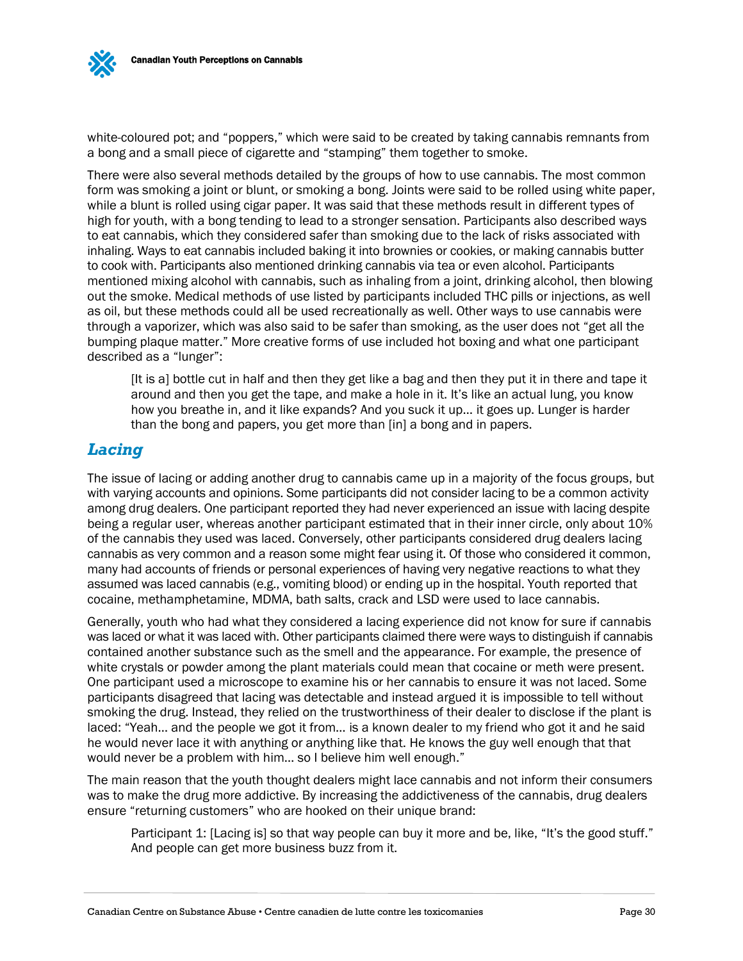

white-coloured pot; and "poppers," which were said to be created by taking cannabis remnants from a bong and a small piece of cigarette and "stamping" them together to smoke.

There were also several methods detailed by the groups of how to use cannabis. The most common form was smoking a joint or blunt, or smoking a bong. Joints were said to be rolled using white paper, while a blunt is rolled using cigar paper. It was said that these methods result in different types of high for youth, with a bong tending to lead to a stronger sensation. Participants also described ways to eat cannabis, which they considered safer than smoking due to the lack of risks associated with inhaling. Ways to eat cannabis included baking it into brownies or cookies, or making cannabis butter to cook with. Participants also mentioned drinking cannabis via tea or even alcohol. Participants mentioned mixing alcohol with cannabis, such as inhaling from a joint, drinking alcohol, then blowing out the smoke. Medical methods of use listed by participants included THC pills or injections, as well as oil, but these methods could all be used recreationally as well. Other ways to use cannabis were through a vaporizer, which was also said to be safer than smoking, as the user does not "get all the bumping plaque matter." More creative forms of use included hot boxing and what one participant described as a "lunger":

[It is a] bottle cut in half and then they get like a bag and then they put it in there and tape it around and then you get the tape, and make a hole in it. It's like an actual lung, you know how you breathe in, and it like expands? And you suck it up… it goes up. Lunger is harder than the bong and papers, you get more than [in] a bong and in papers.

#### <span id="page-31-0"></span>*Lacing*

The issue of lacing or adding another drug to cannabis came up in a majority of the focus groups, but with varying accounts and opinions. Some participants did not consider lacing to be a common activity among drug dealers. One participant reported they had never experienced an issue with lacing despite being a regular user, whereas another participant estimated that in their inner circle, only about 10% of the cannabis they used was laced. Conversely, other participants considered drug dealers lacing cannabis as very common and a reason some might fear using it. Of those who considered it common, many had accounts of friends or personal experiences of having very negative reactions to what they assumed was laced cannabis (e.g., vomiting blood) or ending up in the hospital. Youth reported that cocaine, methamphetamine, MDMA, bath salts, crack and LSD were used to lace cannabis.

Generally, youth who had what they considered a lacing experience did not know for sure if cannabis was laced or what it was laced with. Other participants claimed there were ways to distinguish if cannabis contained another substance such as the smell and the appearance. For example, the presence of white crystals or powder among the plant materials could mean that cocaine or meth were present. One participant used a microscope to examine his or her cannabis to ensure it was not laced. Some participants disagreed that lacing was detectable and instead argued it is impossible to tell without smoking the drug. Instead, they relied on the trustworthiness of their dealer to disclose if the plant is laced: "Yeah… and the people we got it from… is a known dealer to my friend who got it and he said he would never lace it with anything or anything like that. He knows the guy well enough that that would never be a problem with him… so I believe him well enough."

The main reason that the youth thought dealers might lace cannabis and not inform their consumers was to make the drug more addictive. By increasing the addictiveness of the cannabis, drug dealers ensure "returning customers" who are hooked on their unique brand:

Participant 1: [Lacing is] so that way people can buy it more and be, like, "It's the good stuff." And people can get more business buzz from it.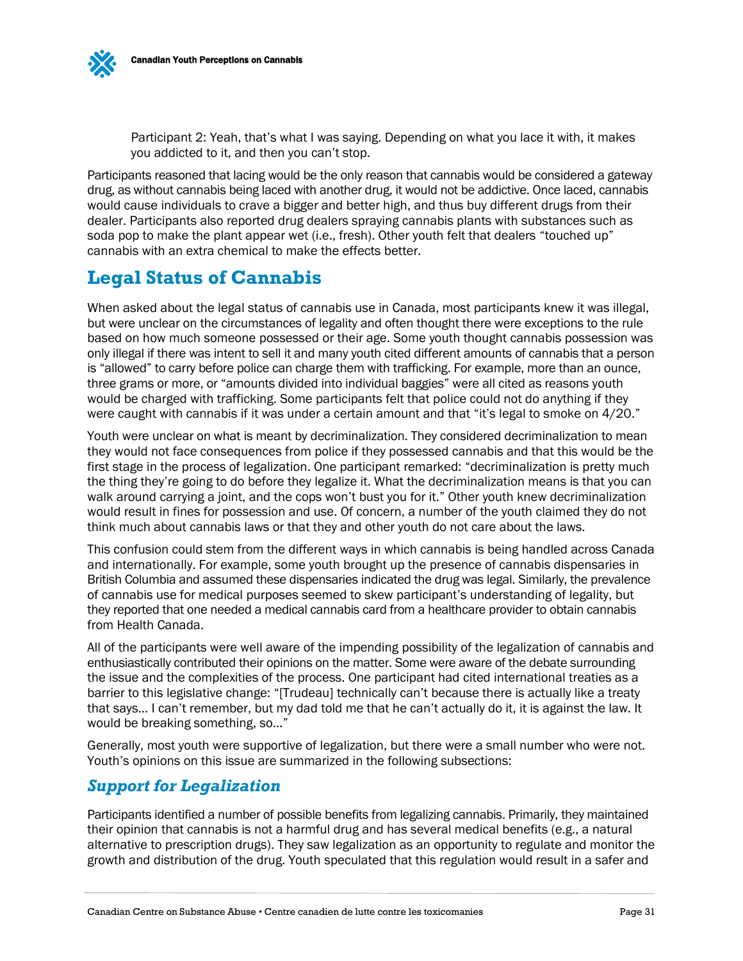

Participant 2: Yeah, that's what I was saying. Depending on what you lace it with, it makes you addicted to it, and then you can't stop.

Participants reasoned that lacing would be the only reason that cannabis would be considered a gateway drug, as without cannabis being laced with another drug, it would not be addictive. Once laced, cannabis would cause individuals to crave a bigger and better high, and thus buy different drugs from their dealer. Participants also reported drug dealers spraying cannabis plants with substances such as soda pop to make the plant appear wet (i.e., fresh). Other youth felt that dealers "touched up" cannabis with an extra chemical to make the effects better.

## <span id="page-32-0"></span>**Legal Status of Cannabis**

When asked about the legal status of cannabis use in Canada, most participants knew it was illegal, but were unclear on the circumstances of legality and often thought there were exceptions to the rule based on how much someone possessed or their age. Some youth thought cannabis possession was only illegal if there was intent to sell it and many youth cited different amounts of cannabis that a person is "allowed" to carry before police can charge them with trafficking. For example, more than an ounce, three grams or more, or "amounts divided into individual baggies" were all cited as reasons youth would be charged with trafficking. Some participants felt that police could not do anything if they were caught with cannabis if it was under a certain amount and that "it's legal to smoke on 4/20."

Youth were unclear on what is meant by decriminalization. They considered decriminalization to mean they would not face consequences from police if they possessed cannabis and that this would be the first stage in the process of legalization. One participant remarked: "decriminalization is pretty much the thing they're going to do before they legalize it. What the decriminalization means is that you can walk around carrying a joint, and the cops won't bust you for it." Other youth knew decriminalization would result in fines for possession and use. Of concern, a number of the youth claimed they do not think much about cannabis laws or that they and other youth do not care about the laws.

This confusion could stem from the different ways in which cannabis is being handled across Canada and internationally. For example, some youth brought up the presence of cannabis dispensaries in British Columbia and assumed these dispensaries indicated the drug was legal. Similarly, the prevalence of cannabis use for medical purposes seemed to skew participant's understanding of legality, but they reported that one needed a medical cannabis card from a healthcare provider to obtain cannabis from Health Canada.

All of the participants were well aware of the impending possibility of the legalization of cannabis and enthusiastically contributed their opinions on the matter. Some were aware of the debate surrounding the issue and the complexities of the process. One participant had cited international treaties as a barrier to this legislative change: "[Trudeau] technically can't because there is actually like a treaty that says… I can't remember, but my dad told me that he can't actually do it, it is against the law. It would be breaking something, so…"

Generally, most youth were supportive of legalization, but there were a small number who were not. Youth's opinions on this issue are summarized in the following subsections:

## <span id="page-32-1"></span>*Support for Legalization*

Participants identified a number of possible benefits from legalizing cannabis. Primarily, they maintained their opinion that cannabis is not a harmful drug and has several medical benefits (e.g., a natural alternative to prescription drugs). They saw legalization as an opportunity to regulate and monitor the growth and distribution of the drug. Youth speculated that this regulation would result in a safer and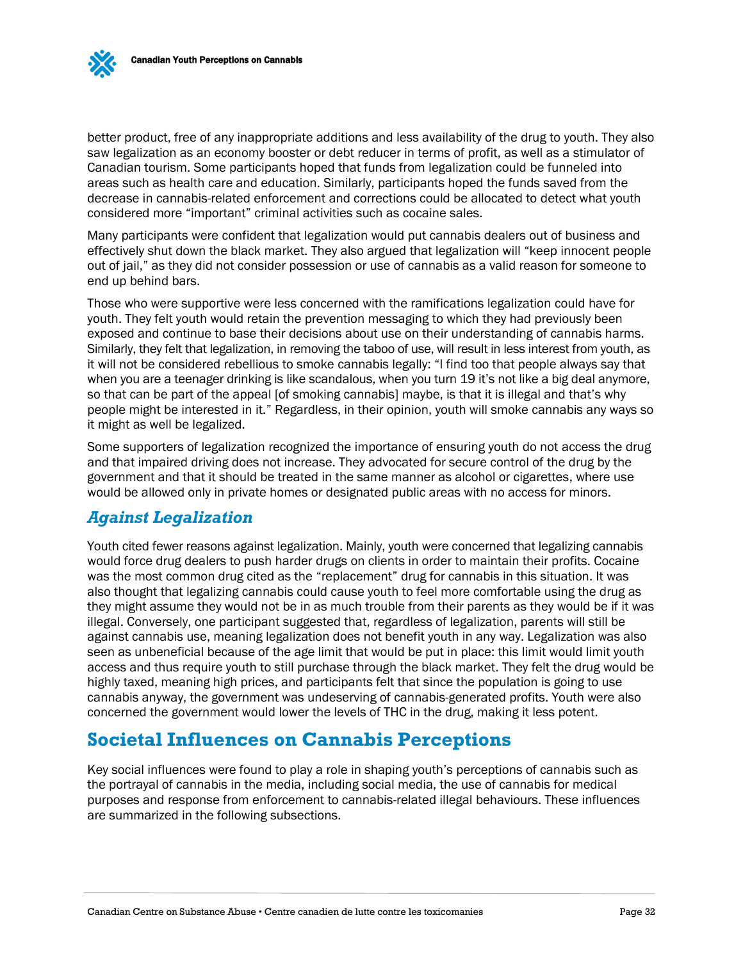better product, free of any inappropriate additions and less availability of the drug to youth. They also saw legalization as an economy booster or debt reducer in terms of profit, as well as a stimulator of Canadian tourism. Some participants hoped that funds from legalization could be funneled into areas such as health care and education. Similarly, participants hoped the funds saved from the decrease in cannabis-related enforcement and corrections could be allocated to detect what youth considered more "important" criminal activities such as cocaine sales.

Many participants were confident that legalization would put cannabis dealers out of business and effectively shut down the black market. They also argued that legalization will "keep innocent people out of jail," as they did not consider possession or use of cannabis as a valid reason for someone to end up behind bars.

Those who were supportive were less concerned with the ramifications legalization could have for youth. They felt youth would retain the prevention messaging to which they had previously been exposed and continue to base their decisions about use on their understanding of cannabis harms. Similarly, they felt that legalization, in removing the taboo of use, will result in less interest from youth, as it will not be considered rebellious to smoke cannabis legally: "I find too that people always say that when you are a teenager drinking is like scandalous, when you turn 19 it's not like a big deal anymore, so that can be part of the appeal [of smoking cannabis] maybe, is that it is illegal and that's why people might be interested in it." Regardless, in their opinion, youth will smoke cannabis any ways so it might as well be legalized.

Some supporters of legalization recognized the importance of ensuring youth do not access the drug and that impaired driving does not increase. They advocated for secure control of the drug by the government and that it should be treated in the same manner as alcohol or cigarettes, where use would be allowed only in private homes or designated public areas with no access for minors.

## <span id="page-33-0"></span>*Against Legalization*

Youth cited fewer reasons against legalization. Mainly, youth were concerned that legalizing cannabis would force drug dealers to push harder drugs on clients in order to maintain their profits. Cocaine was the most common drug cited as the "replacement" drug for cannabis in this situation. It was also thought that legalizing cannabis could cause youth to feel more comfortable using the drug as they might assume they would not be in as much trouble from their parents as they would be if it was illegal. Conversely, one participant suggested that, regardless of legalization, parents will still be against cannabis use, meaning legalization does not benefit youth in any way. Legalization was also seen as unbeneficial because of the age limit that would be put in place: this limit would limit youth access and thus require youth to still purchase through the black market. They felt the drug would be highly taxed, meaning high prices, and participants felt that since the population is going to use cannabis anyway, the government was undeserving of cannabis-generated profits. Youth were also concerned the government would lower the levels of THC in the drug, making it less potent.

## <span id="page-33-1"></span>**Societal Influences on Cannabis Perceptions**

Key social influences were found to play a role in shaping youth's perceptions of cannabis such as the portrayal of cannabis in the media, including social media, the use of cannabis for medical purposes and response from enforcement to cannabis-related illegal behaviours. These influences are summarized in the following subsections.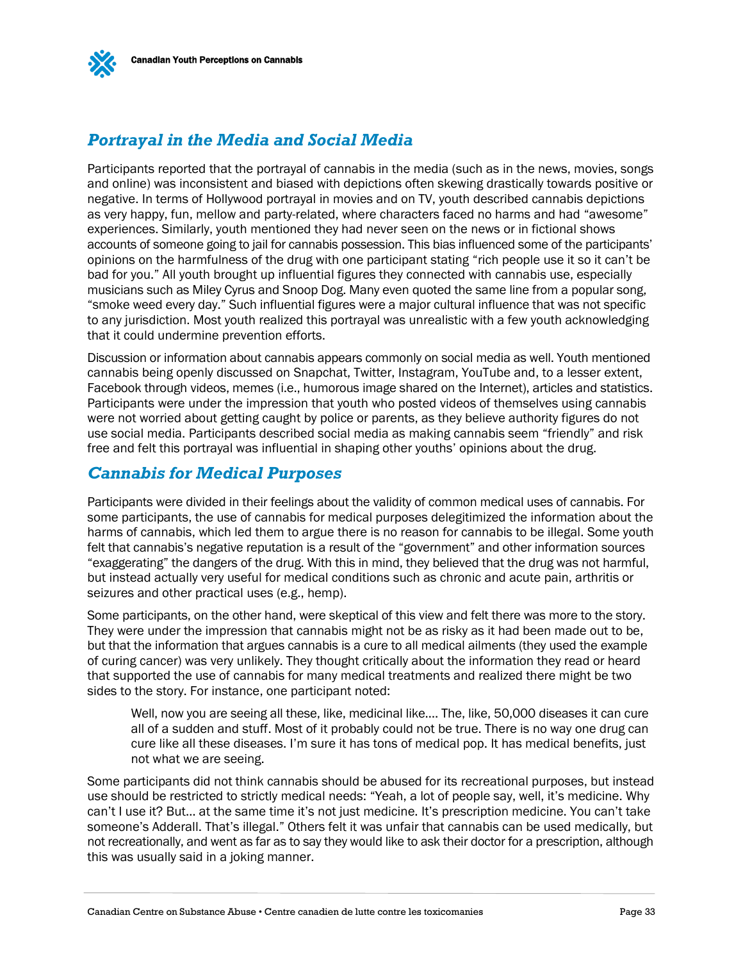

## <span id="page-34-0"></span>*Portrayal in the Media and Social Media*

Participants reported that the portrayal of cannabis in the media (such as in the news, movies, songs and online) was inconsistent and biased with depictions often skewing drastically towards positive or negative. In terms of Hollywood portrayal in movies and on TV, youth described cannabis depictions as very happy, fun, mellow and party-related, where characters faced no harms and had "awesome" experiences. Similarly, youth mentioned they had never seen on the news or in fictional shows accounts of someone going to jail for cannabis possession. This bias influenced some of the participants' opinions on the harmfulness of the drug with one participant stating "rich people use it so it can't be bad for you." All youth brought up influential figures they connected with cannabis use, especially musicians such as Miley Cyrus and Snoop Dog. Many even quoted the same line from a popular song, "smoke weed every day." Such influential figures were a major cultural influence that was not specific to any jurisdiction. Most youth realized this portrayal was unrealistic with a few youth acknowledging that it could undermine prevention efforts.

Discussion or information about cannabis appears commonly on social media as well. Youth mentioned cannabis being openly discussed on Snapchat, Twitter, Instagram, YouTube and, to a lesser extent, Facebook through videos, memes (i.e., humorous image shared on the Internet), articles and statistics. Participants were under the impression that youth who posted videos of themselves using cannabis were not worried about getting caught by police or parents, as they believe authority figures do not use social media. Participants described social media as making cannabis seem "friendly" and risk free and felt this portrayal was influential in shaping other youths' opinions about the drug.

### <span id="page-34-1"></span>*Cannabis for Medical Purposes*

Participants were divided in their feelings about the validity of common medical uses of cannabis. For some participants, the use of cannabis for medical purposes delegitimized the information about the harms of cannabis, which led them to argue there is no reason for cannabis to be illegal. Some youth felt that cannabis's negative reputation is a result of the "government" and other information sources "exaggerating" the dangers of the drug. With this in mind, they believed that the drug was not harmful, but instead actually very useful for medical conditions such as chronic and acute pain, arthritis or seizures and other practical uses (e.g., hemp).

Some participants, on the other hand, were skeptical of this view and felt there was more to the story. They were under the impression that cannabis might not be as risky as it had been made out to be, but that the information that argues cannabis is a cure to all medical ailments (they used the example of curing cancer) was very unlikely. They thought critically about the information they read or heard that supported the use of cannabis for many medical treatments and realized there might be two sides to the story. For instance, one participant noted:

Well, now you are seeing all these, like, medicinal like…. The, like, 50,000 diseases it can cure all of a sudden and stuff. Most of it probably could not be true. There is no way one drug can cure like all these diseases. I'm sure it has tons of medical pop. It has medical benefits, just not what we are seeing.

Some participants did not think cannabis should be abused for its recreational purposes, but instead use should be restricted to strictly medical needs: "Yeah, a lot of people say, well, it's medicine. Why can't I use it? But… at the same time it's not just medicine. It's prescription medicine. You can't take someone's Adderall. That's illegal." Others felt it was unfair that cannabis can be used medically, but not recreationally, and went as far as to say they would like to ask their doctor for a prescription, although this was usually said in a joking manner.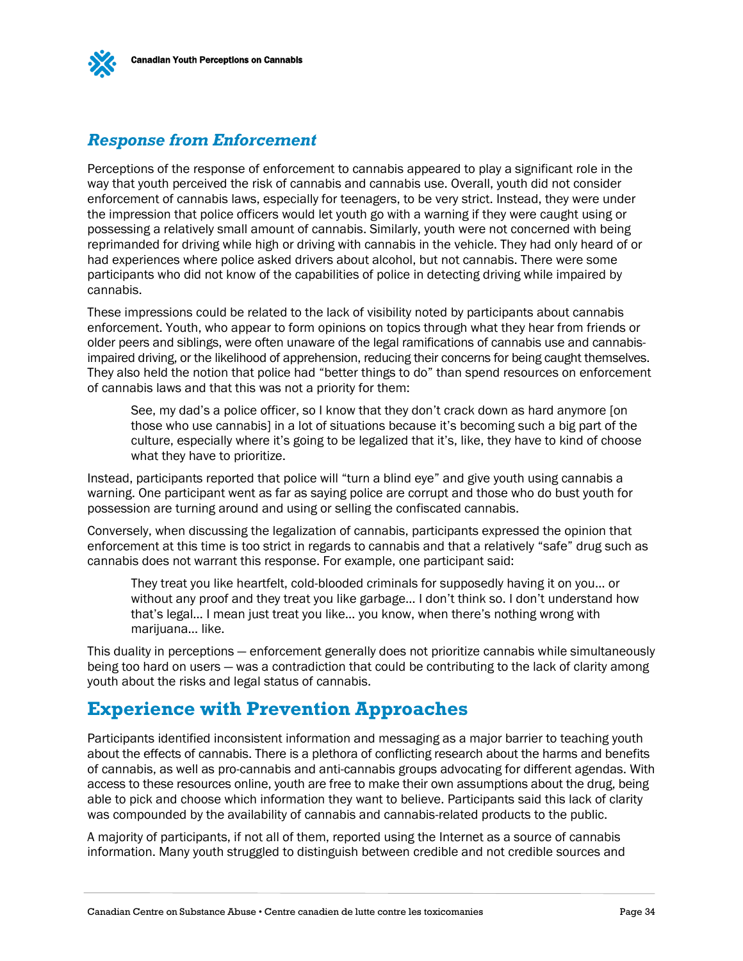<span id="page-35-0"></span>

Perceptions of the response of enforcement to cannabis appeared to play a significant role in the way that youth perceived the risk of cannabis and cannabis use. Overall, youth did not consider enforcement of cannabis laws, especially for teenagers, to be very strict. Instead, they were under the impression that police officers would let youth go with a warning if they were caught using or possessing a relatively small amount of cannabis. Similarly, youth were not concerned with being reprimanded for driving while high or driving with cannabis in the vehicle. They had only heard of or had experiences where police asked drivers about alcohol, but not cannabis. There were some participants who did not know of the capabilities of police in detecting driving while impaired by cannabis.

These impressions could be related to the lack of visibility noted by participants about cannabis enforcement. Youth, who appear to form opinions on topics through what they hear from friends or older peers and siblings, were often unaware of the legal ramifications of cannabis use and cannabisimpaired driving, or the likelihood of apprehension, reducing their concerns for being caught themselves. They also held the notion that police had "better things to do" than spend resources on enforcement of cannabis laws and that this was not a priority for them:

See, my dad's a police officer, so I know that they don't crack down as hard anymore [on those who use cannabis] in a lot of situations because it's becoming such a big part of the culture, especially where it's going to be legalized that it's, like, they have to kind of choose what they have to prioritize.

Instead, participants reported that police will "turn a blind eye" and give youth using cannabis a warning. One participant went as far as saying police are corrupt and those who do bust youth for possession are turning around and using or selling the confiscated cannabis.

Conversely, when discussing the legalization of cannabis, participants expressed the opinion that enforcement at this time is too strict in regards to cannabis and that a relatively "safe" drug such as cannabis does not warrant this response. For example, one participant said:

They treat you like heartfelt, cold-blooded criminals for supposedly having it on you… or without any proof and they treat you like garbage… I don't think so. I don't understand how that's legal… I mean just treat you like… you know, when there's nothing wrong with marijuana... like.

This duality in perceptions — enforcement generally does not prioritize cannabis while simultaneously being too hard on users — was a contradiction that could be contributing to the lack of clarity among youth about the risks and legal status of cannabis.

## <span id="page-35-1"></span>**Experience with Prevention Approaches**

Participants identified inconsistent information and messaging as a major barrier to teaching youth about the effects of cannabis. There is a plethora of conflicting research about the harms and benefits of cannabis, as well as pro-cannabis and anti-cannabis groups advocating for different agendas. With access to these resources online, youth are free to make their own assumptions about the drug, being able to pick and choose which information they want to believe. Participants said this lack of clarity was compounded by the availability of cannabis and cannabis-related products to the public.

A majority of participants, if not all of them, reported using the Internet as a source of cannabis information. Many youth struggled to distinguish between credible and not credible sources and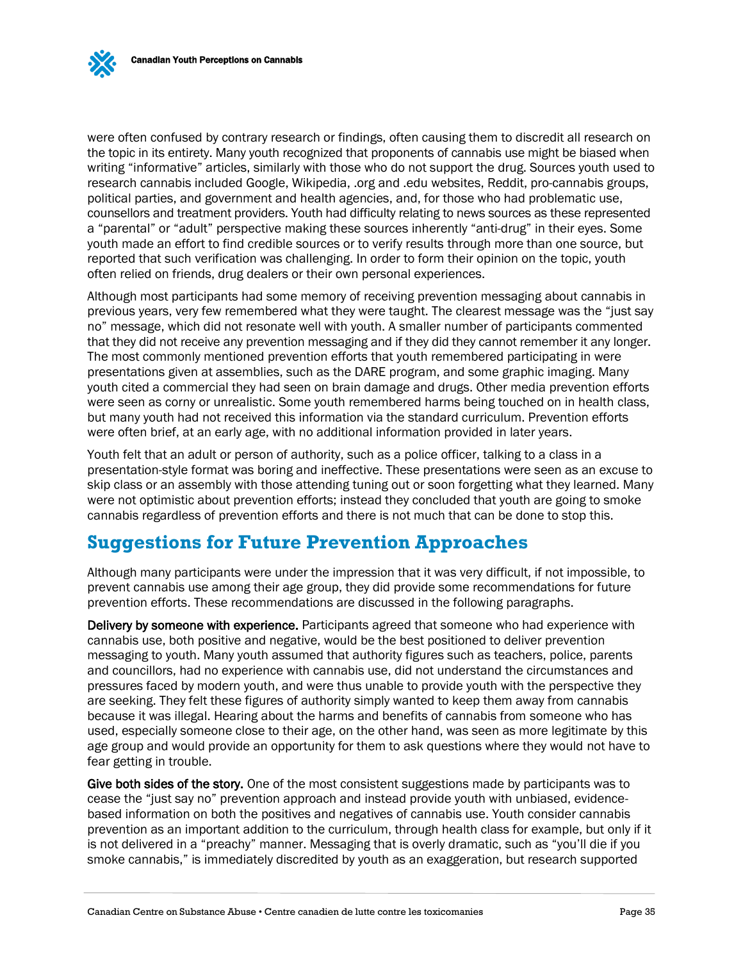were often confused by contrary research or findings, often causing them to discredit all research on the topic in its entirety. Many youth recognized that proponents of cannabis use might be biased when writing "informative" articles, similarly with those who do not support the drug. Sources youth used to research cannabis included Google, Wikipedia, .org and .edu websites, Reddit, pro-cannabis groups, political parties, and government and health agencies, and, for those who had problematic use, counsellors and treatment providers. Youth had difficulty relating to news sources as these represented a "parental" or "adult" perspective making these sources inherently "anti-drug" in their eyes. Some youth made an effort to find credible sources or to verify results through more than one source, but reported that such verification was challenging. In order to form their opinion on the topic, youth often relied on friends, drug dealers or their own personal experiences.

Although most participants had some memory of receiving prevention messaging about cannabis in previous years, very few remembered what they were taught. The clearest message was the "just say no" message, which did not resonate well with youth. A smaller number of participants commented that they did not receive any prevention messaging and if they did they cannot remember it any longer. The most commonly mentioned prevention efforts that youth remembered participating in were presentations given at assemblies, such as the DARE program, and some graphic imaging. Many youth cited a commercial they had seen on brain damage and drugs. Other media prevention efforts were seen as corny or unrealistic. Some youth remembered harms being touched on in health class, but many youth had not received this information via the standard curriculum. Prevention efforts were often brief, at an early age, with no additional information provided in later years.

Youth felt that an adult or person of authority, such as a police officer, talking to a class in a presentation-style format was boring and ineffective. These presentations were seen as an excuse to skip class or an assembly with those attending tuning out or soon forgetting what they learned. Many were not optimistic about prevention efforts; instead they concluded that youth are going to smoke cannabis regardless of prevention efforts and there is not much that can be done to stop this.

# <span id="page-36-0"></span>**Suggestions for Future Prevention Approaches**

Although many participants were under the impression that it was very difficult, if not impossible, to prevent cannabis use among their age group, they did provide some recommendations for future prevention efforts. These recommendations are discussed in the following paragraphs.

Delivery by someone with experience. Participants agreed that someone who had experience with cannabis use, both positive and negative, would be the best positioned to deliver prevention messaging to youth. Many youth assumed that authority figures such as teachers, police, parents and councillors, had no experience with cannabis use, did not understand the circumstances and pressures faced by modern youth, and were thus unable to provide youth with the perspective they are seeking. They felt these figures of authority simply wanted to keep them away from cannabis because it was illegal. Hearing about the harms and benefits of cannabis from someone who has used, especially someone close to their age, on the other hand, was seen as more legitimate by this age group and would provide an opportunity for them to ask questions where they would not have to fear getting in trouble.

Give both sides of the story. One of the most consistent suggestions made by participants was to cease the "just say no" prevention approach and instead provide youth with unbiased, evidencebased information on both the positives and negatives of cannabis use. Youth consider cannabis prevention as an important addition to the curriculum, through health class for example, but only if it is not delivered in a "preachy" manner. Messaging that is overly dramatic, such as "you'll die if you smoke cannabis," is immediately discredited by youth as an exaggeration, but research supported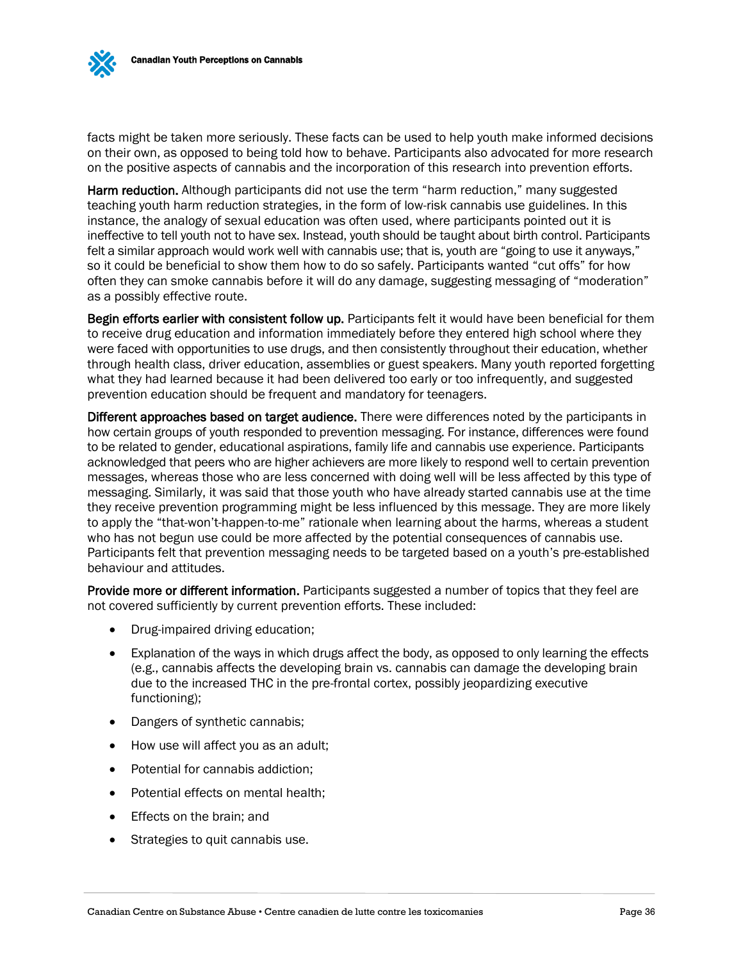facts might be taken more seriously. These facts can be used to help youth make informed decisions on their own, as opposed to being told how to behave. Participants also advocated for more research on the positive aspects of cannabis and the incorporation of this research into prevention efforts.

Harm reduction. Although participants did not use the term "harm reduction," many suggested teaching youth harm reduction strategies, in the form of low-risk cannabis use guidelines. In this instance, the analogy of sexual education was often used, where participants pointed out it is ineffective to tell youth not to have sex. Instead, youth should be taught about birth control. Participants felt a similar approach would work well with cannabis use; that is, youth are "going to use it anyways," so it could be beneficial to show them how to do so safely. Participants wanted "cut offs" for how often they can smoke cannabis before it will do any damage, suggesting messaging of "moderation" as a possibly effective route.

Begin efforts earlier with consistent follow up. Participants felt it would have been beneficial for them to receive drug education and information immediately before they entered high school where they were faced with opportunities to use drugs, and then consistently throughout their education, whether through health class, driver education, assemblies or guest speakers. Many youth reported forgetting what they had learned because it had been delivered too early or too infrequently, and suggested prevention education should be frequent and mandatory for teenagers.

Different approaches based on target audience. There were differences noted by the participants in how certain groups of youth responded to prevention messaging. For instance, differences were found to be related to gender, educational aspirations, family life and cannabis use experience. Participants acknowledged that peers who are higher achievers are more likely to respond well to certain prevention messages, whereas those who are less concerned with doing well will be less affected by this type of messaging. Similarly, it was said that those youth who have already started cannabis use at the time they receive prevention programming might be less influenced by this message. They are more likely to apply the "that-won't-happen-to-me" rationale when learning about the harms, whereas a student who has not begun use could be more affected by the potential consequences of cannabis use. Participants felt that prevention messaging needs to be targeted based on a youth's pre-established behaviour and attitudes.

Provide more or different information. Participants suggested a number of topics that they feel are not covered sufficiently by current prevention efforts. These included:

- Drug-impaired driving education;
- Explanation of the ways in which drugs affect the body, as opposed to only learning the effects (e.g., cannabis affects the developing brain vs. cannabis can damage the developing brain due to the increased THC in the pre-frontal cortex, possibly jeopardizing executive functioning);
- Dangers of synthetic cannabis;
- How use will affect you as an adult;
- Potential for cannabis addiction:
- Potential effects on mental health;
- Effects on the brain; and
- Strategies to quit cannabis use.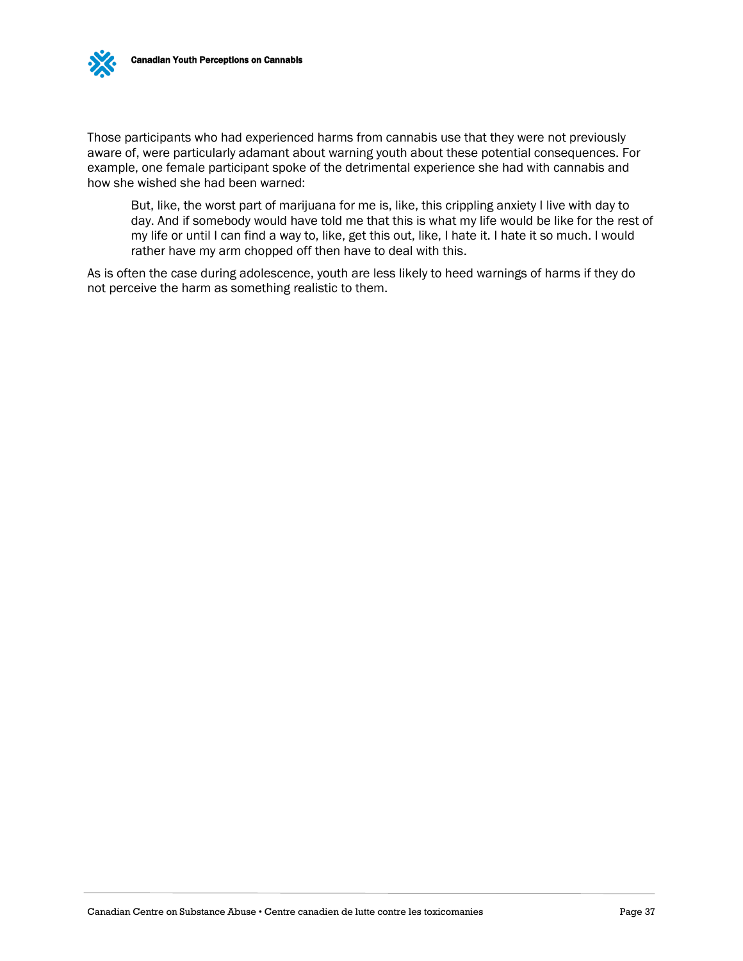Those participants who had experienced harms from cannabis use that they were not previously aware of, were particularly adamant about warning youth about these potential consequences. For example, one female participant spoke of the detrimental experience she had with cannabis and how she wished she had been warned:

But, like, the worst part of marijuana for me is, like, this crippling anxiety I live with day to day. And if somebody would have told me that this is what my life would be like for the rest of my life or until I can find a way to, like, get this out, like, I hate it. I hate it so much. I would rather have my arm chopped off then have to deal with this.

As is often the case during adolescence, youth are less likely to heed warnings of harms if they do not perceive the harm as something realistic to them.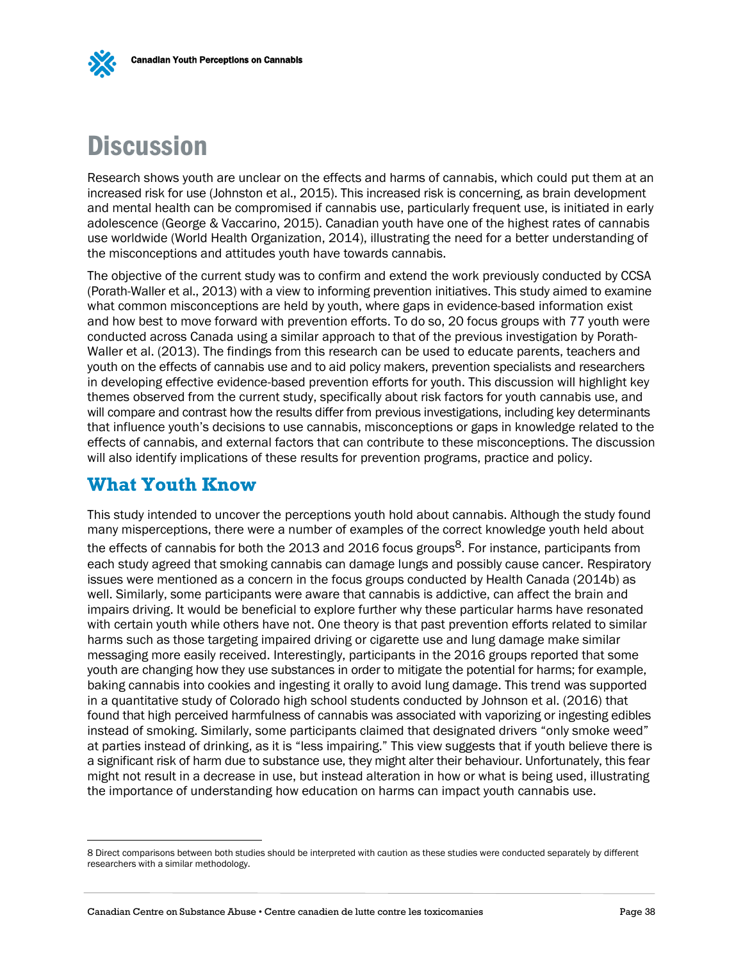# <span id="page-39-0"></span>**Discussion**

Research shows youth are unclear on the effects and harms of cannabis, which could put them at an increased risk for use (Johnston et al., 2015). This increased risk is concerning, as brain development and mental health can be compromised if cannabis use, particularly frequent use, is initiated in early adolescence (George & Vaccarino, 2015). Canadian youth have one of the highest rates of cannabis use worldwide (World Health Organization, 2014), illustrating the need for a better understanding of the misconceptions and attitudes youth have towards cannabis.

The objective of the current study was to confirm and extend the work previously conducted by CCSA (Porath-Waller et al., 2013) with a view to informing prevention initiatives. This study aimed to examine what common misconceptions are held by youth, where gaps in evidence-based information exist and how best to move forward with prevention efforts. To do so, 20 focus groups with 77 youth were conducted across Canada using a similar approach to that of the previous investigation by Porath-Waller et al. (2013). The findings from this research can be used to educate parents, teachers and youth on the effects of cannabis use and to aid policy makers, prevention specialists and researchers in developing effective evidence-based prevention efforts for youth. This discussion will highlight key themes observed from the current study, specifically about risk factors for youth cannabis use, and will compare and contrast how the results differ from previous investigations, including key determinants that influence youth's decisions to use cannabis, misconceptions or gaps in knowledge related to the effects of cannabis, and external factors that can contribute to these misconceptions. The discussion will also identify implications of these results for prevention programs, practice and policy.

## **What Youth Know**

 $\overline{a}$ 

This study intended to uncover the perceptions youth hold about cannabis. Although the study found many misperceptions, there were a number of examples of the correct knowledge youth held about the effects of cannabis for both the 2013 and 2016 focus groups<sup>8</sup>. For instance, participants from each study agreed that smoking cannabis can damage lungs and possibly cause cancer. Respiratory issues were mentioned as a concern in the focus groups conducted by Health Canada (2014b) as well. Similarly, some participants were aware that cannabis is addictive, can affect the brain and impairs driving. It would be beneficial to explore further why these particular harms have resonated with certain youth while others have not. One theory is that past prevention efforts related to similar harms such as those targeting impaired driving or cigarette use and lung damage make similar messaging more easily received. Interestingly, participants in the 2016 groups reported that some youth are changing how they use substances in order to mitigate the potential for harms; for example, baking cannabis into cookies and ingesting it orally to avoid lung damage. This trend was supported in a quantitative study of Colorado high school students conducted by Johnson et al. (2016) that found that high perceived harmfulness of cannabis was associated with vaporizing or ingesting edibles instead of smoking. Similarly, some participants claimed that designated drivers "only smoke weed" at parties instead of drinking, as it is "less impairing." This view suggests that if youth believe there is a significant risk of harm due to substance use, they might alter their behaviour. Unfortunately, this fear might not result in a decrease in use, but instead alteration in how or what is being used, illustrating the importance of understanding how education on harms can impact youth cannabis use.

<sup>8</sup> Direct comparisons between both studies should be interpreted with caution as these studies were conducted separately by different researchers with a similar methodology.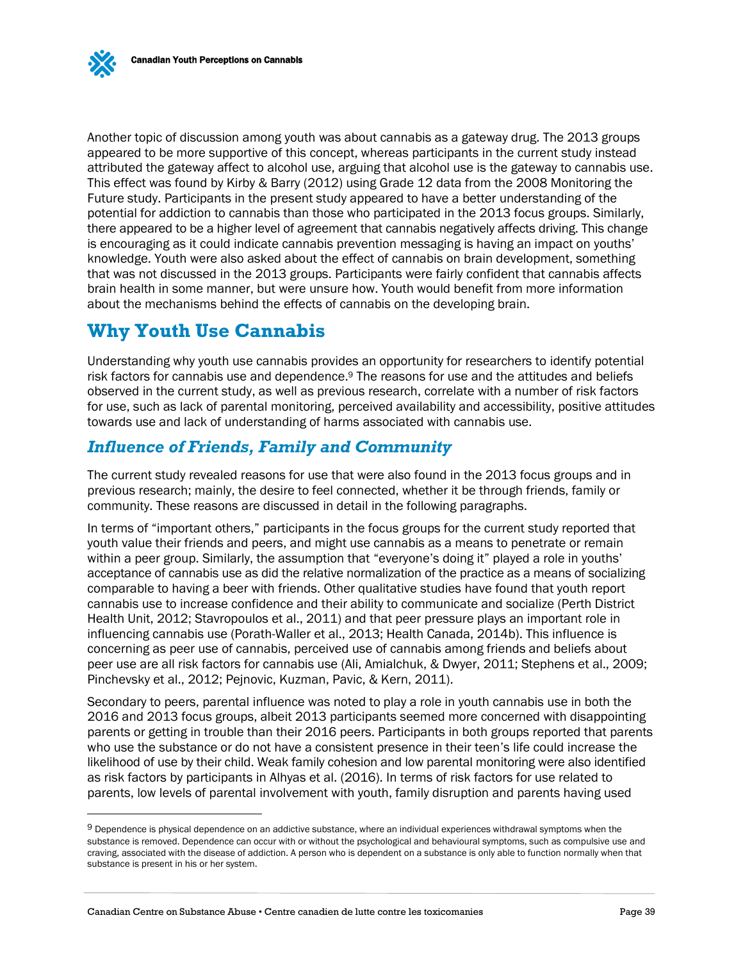

l

Another topic of discussion among youth was about cannabis as a gateway drug. The 2013 groups appeared to be more supportive of this concept, whereas participants in the current study instead attributed the gateway affect to alcohol use, arguing that alcohol use is the gateway to cannabis use. This effect was found by Kirby & Barry (2012) using Grade 12 data from the 2008 Monitoring the Future study. Participants in the present study appeared to have a better understanding of the potential for addiction to cannabis than those who participated in the 2013 focus groups. Similarly, there appeared to be a higher level of agreement that cannabis negatively affects driving. This change is encouraging as it could indicate cannabis prevention messaging is having an impact on youths' knowledge. Youth were also asked about the effect of cannabis on brain development, something that was not discussed in the 2013 groups. Participants were fairly confident that cannabis affects brain health in some manner, but were unsure how. Youth would benefit from more information about the mechanisms behind the effects of cannabis on the developing brain.

# **Why Youth Use Cannabis**

Understanding why youth use cannabis provides an opportunity for researchers to identify potential risk factors for cannabis use and dependence.<sup>9</sup> The reasons for use and the attitudes and beliefs observed in the current study, as well as previous research, correlate with a number of risk factors for use, such as lack of parental monitoring, perceived availability and accessibility, positive attitudes towards use and lack of understanding of harms associated with cannabis use.

### <span id="page-40-0"></span>*Influence of Friends, Family and Community*

The current study revealed reasons for use that were also found in the 2013 focus groups and in previous research; mainly, the desire to feel connected, whether it be through friends, family or community. These reasons are discussed in detail in the following paragraphs.

In terms of "important others," participants in the focus groups for the current study reported that youth value their friends and peers, and might use cannabis as a means to penetrate or remain within a peer group. Similarly, the assumption that "everyone's doing it" played a role in youths' acceptance of cannabis use as did the relative normalization of the practice as a means of socializing comparable to having a beer with friends. Other qualitative studies have found that youth report cannabis use to increase confidence and their ability to communicate and socialize (Perth District Health Unit, 2012; Stavropoulos et al., 2011) and that peer pressure plays an important role in influencing cannabis use (Porath-Waller et al., 2013; Health Canada, 2014b). This influence is concerning as peer use of cannabis, perceived use of cannabis among friends and beliefs about peer use are all risk factors for cannabis use (Ali, Amialchuk, & Dwyer, 2011; Stephens et al., 2009; Pinchevsky et al., 2012; Pejnovic, Kuzman, Pavic, & Kern, 2011).

Secondary to peers, parental influence was noted to play a role in youth cannabis use in both the 2016 and 2013 focus groups, albeit 2013 participants seemed more concerned with disappointing parents or getting in trouble than their 2016 peers. Participants in both groups reported that parents who use the substance or do not have a consistent presence in their teen's life could increase the likelihood of use by their child. Weak family cohesion and low parental monitoring were also identified as risk factors by participants in Alhyas et al. (2016). In terms of risk factors for use related to parents, low levels of parental involvement with youth, family disruption and parents having used

<sup>9</sup> Dependence is physical dependence on an addictive substance, where an individual experiences withdrawal symptoms when the substance is removed. Dependence can occur with or without the psychological and behavioural symptoms, such as compulsive use and craving, associated with the disease of addiction. A person who is dependent on a substance is only able to function normally when that substance is present in his or her system.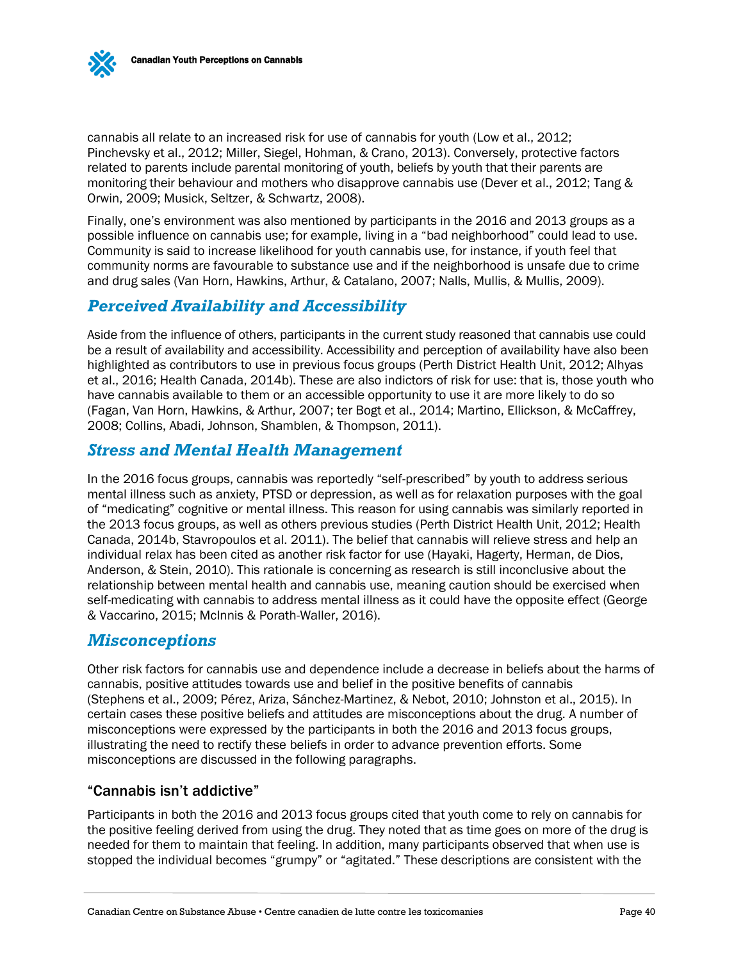cannabis all relate to an increased risk for use of cannabis for youth (Low et al., 2012; Pinchevsky et al., 2012; Miller, Siegel, Hohman, & Crano, 2013). Conversely, protective factors related to parents include parental monitoring of youth, beliefs by youth that their parents are monitoring their behaviour and mothers who disapprove cannabis use (Dever et al., 2012; Tang & Orwin, 2009; Musick, Seltzer, & Schwartz, 2008).

Finally, one's environment was also mentioned by participants in the 2016 and 2013 groups as a possible influence on cannabis use; for example, living in a "bad neighborhood" could lead to use. Community is said to increase likelihood for youth cannabis use, for instance, if youth feel that community norms are favourable to substance use and if the neighborhood is unsafe due to crime and drug sales (Van Horn, Hawkins, Arthur, & Catalano, 2007; Nalls, Mullis, & Mullis, 2009).

## <span id="page-41-0"></span>*Perceived Availability and Accessibility*

Aside from the influence of others, participants in the current study reasoned that cannabis use could be a result of availability and accessibility. Accessibility and perception of availability have also been highlighted as contributors to use in previous focus groups (Perth District Health Unit, 2012; Alhyas et al., 2016; Health Canada, 2014b). These are also indictors of risk for use: that is, those youth who have cannabis available to them or an accessible opportunity to use it are more likely to do so (Fagan, Van Horn, Hawkins, & Arthur, 2007; ter Bogt et al., 2014; Martino, Ellickson, & McCaffrey, 2008; Collins, Abadi, Johnson, Shamblen, & Thompson, 2011).

#### <span id="page-41-1"></span>*Stress and Mental Health Management*

In the 2016 focus groups, cannabis was reportedly "self-prescribed" by youth to address serious mental illness such as anxiety, PTSD or depression, as well as for relaxation purposes with the goal of "medicating" cognitive or mental illness. This reason for using cannabis was similarly reported in the 2013 focus groups, as well as others previous studies (Perth District Health Unit, 2012; Health Canada, 2014b, Stavropoulos et al. 2011). The belief that cannabis will relieve stress and help an individual relax has been cited as another risk factor for use (Hayaki, Hagerty, Herman, de Dios, Anderson, & Stein, 2010). This rationale is concerning as research is still inconclusive about the relationship between mental health and cannabis use, meaning caution should be exercised when self-medicating with cannabis to address mental illness as it could have the opposite effect (George & Vaccarino, 2015; McInnis & Porath-Waller, 2016).

#### <span id="page-41-2"></span>*Misconceptions*

Other risk factors for cannabis use and dependence include a decrease in beliefs about the harms of cannabis, positive attitudes towards use and belief in the positive benefits of cannabis (Stephens et al., 2009; Pérez, Ariza, Sánchez-Martinez, & Nebot, 2010; Johnston et al., 2015). In certain cases these positive beliefs and attitudes are misconceptions about the drug. A number of misconceptions were expressed by the participants in both the 2016 and 2013 focus groups, illustrating the need to rectify these beliefs in order to advance prevention efforts. Some misconceptions are discussed in the following paragraphs.

#### "Cannabis isn't addictive"

Participants in both the 2016 and 2013 focus groups cited that youth come to rely on cannabis for the positive feeling derived from using the drug. They noted that as time goes on more of the drug is needed for them to maintain that feeling. In addition, many participants observed that when use is stopped the individual becomes "grumpy" or "agitated." These descriptions are consistent with the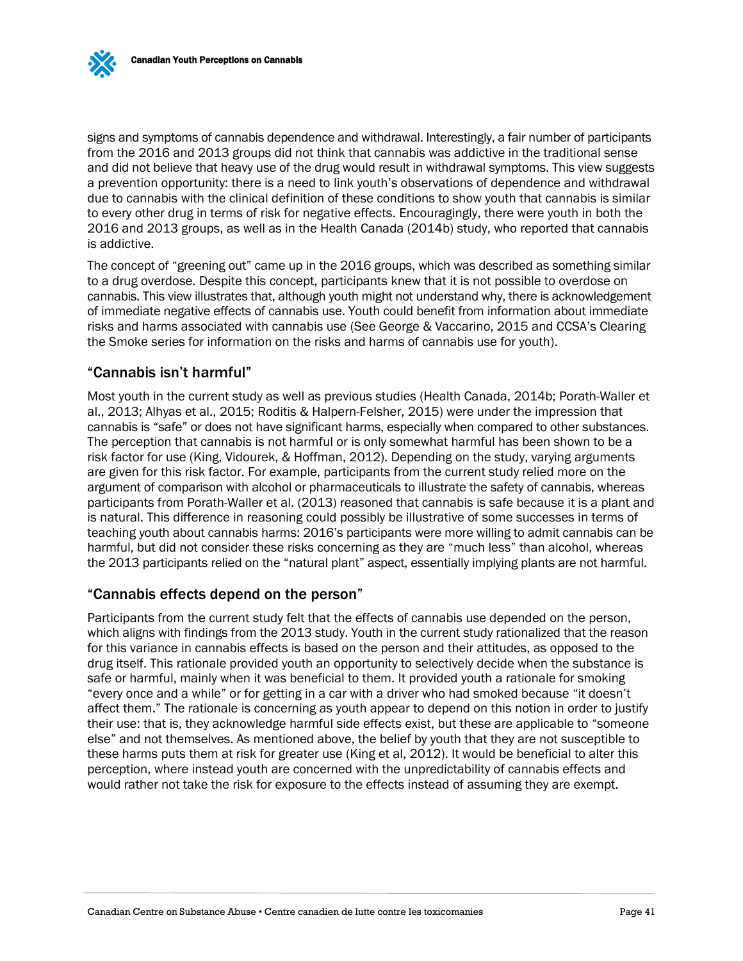signs and symptoms of cannabis dependence and withdrawal. Interestingly, a fair number of participants from the 2016 and 2013 groups did not think that cannabis was addictive in the traditional sense and did not believe that heavy use of the drug would result in withdrawal symptoms. This view suggests a prevention opportunity: there is a need to link youth's observations of dependence and withdrawal due to cannabis with the clinical definition of these conditions to show youth that cannabis is similar to every other drug in terms of risk for negative effects. Encouragingly, there were youth in both the 2016 and 2013 groups, as well as in the Health Canada (2014b) study, who reported that cannabis is addictive.

The concept of "greening out" came up in the 2016 groups, which was described as something similar to a drug overdose. Despite this concept, participants knew that it is not possible to overdose on cannabis. This view illustrates that, although youth might not understand why, there is acknowledgement of immediate negative effects of cannabis use. Youth could benefit from information about immediate risks and harms associated with cannabis use (See George & Vaccarino, 2015 and CCSA's Clearing the Smoke series for information on the risks and harms of cannabis use for youth).

#### "Cannabis isn't harmful"

Most youth in the current study as well as previous studies (Health Canada, 2014b; Porath-Waller et al., 2013; Alhyas et al., 2015; Roditis & Halpern-Felsher, 2015) were under the impression that cannabis is "safe" or does not have significant harms, especially when compared to other substances. The perception that cannabis is not harmful or is only somewhat harmful has been shown to be a risk factor for use (King, Vidourek, & Hoffman, 2012). Depending on the study, varying arguments are given for this risk factor. For example, participants from the current study relied more on the argument of comparison with alcohol or pharmaceuticals to illustrate the safety of cannabis, whereas participants from Porath-Waller et al. (2013) reasoned that cannabis is safe because it is a plant and is natural. This difference in reasoning could possibly be illustrative of some successes in terms of teaching youth about cannabis harms: 2016's participants were more willing to admit cannabis can be harmful, but did not consider these risks concerning as they are "much less" than alcohol, whereas the 2013 participants relied on the "natural plant" aspect, essentially implying plants are not harmful.

#### "Cannabis effects depend on the person"

Participants from the current study felt that the effects of cannabis use depended on the person, which aligns with findings from the 2013 study. Youth in the current study rationalized that the reason for this variance in cannabis effects is based on the person and their attitudes, as opposed to the drug itself. This rationale provided youth an opportunity to selectively decide when the substance is safe or harmful, mainly when it was beneficial to them. It provided youth a rationale for smoking "every once and a while" or for getting in a car with a driver who had smoked because "it doesn't affect them." The rationale is concerning as youth appear to depend on this notion in order to justify their use: that is, they acknowledge harmful side effects exist, but these are applicable to "someone else" and not themselves. As mentioned above, the belief by youth that they are not susceptible to these harms puts them at risk for greater use (King et al, 2012). It would be beneficial to alter this perception, where instead youth are concerned with the unpredictability of cannabis effects and would rather not take the risk for exposure to the effects instead of assuming they are exempt.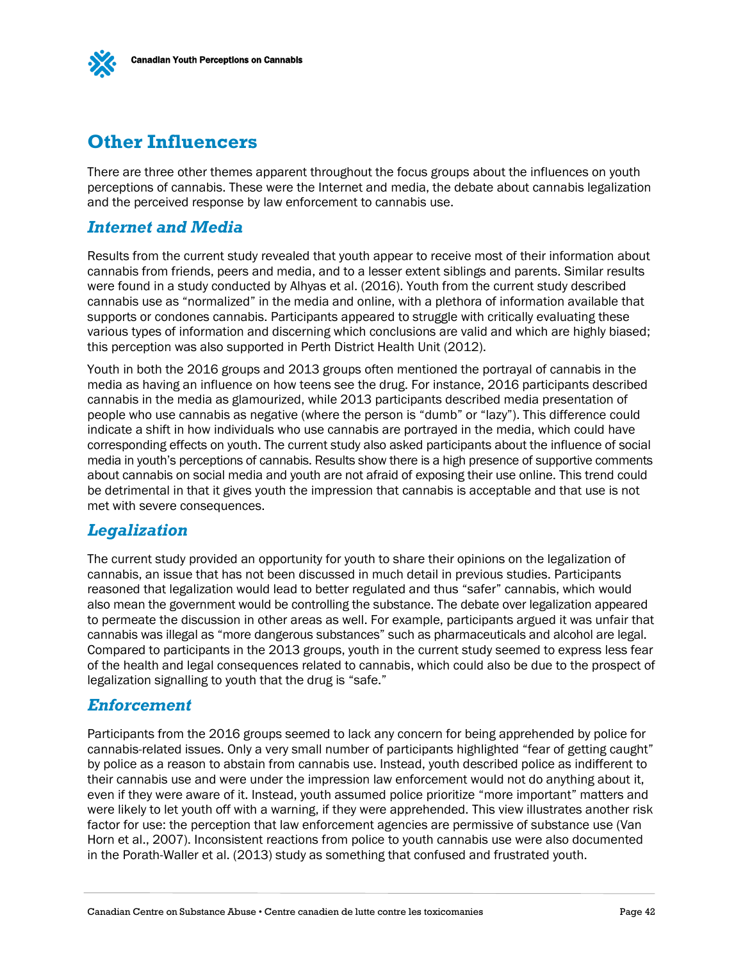

## **Other Influencers**

There are three other themes apparent throughout the focus groups about the influences on youth perceptions of cannabis. These were the Internet and media, the debate about cannabis legalization and the perceived response by law enforcement to cannabis use.

### <span id="page-43-0"></span>*Internet and Media*

Results from the current study revealed that youth appear to receive most of their information about cannabis from friends, peers and media, and to a lesser extent siblings and parents. Similar results were found in a study conducted by Alhyas et al. (2016). Youth from the current study described cannabis use as "normalized" in the media and online, with a plethora of information available that supports or condones cannabis. Participants appeared to struggle with critically evaluating these various types of information and discerning which conclusions are valid and which are highly biased; this perception was also supported in Perth District Health Unit (2012).

Youth in both the 2016 groups and 2013 groups often mentioned the portrayal of cannabis in the media as having an influence on how teens see the drug. For instance, 2016 participants described cannabis in the media as glamourized, while 2013 participants described media presentation of people who use cannabis as negative (where the person is "dumb" or "lazy"). This difference could indicate a shift in how individuals who use cannabis are portrayed in the media, which could have corresponding effects on youth. The current study also asked participants about the influence of social media in youth's perceptions of cannabis. Results show there is a high presence of supportive comments about cannabis on social media and youth are not afraid of exposing their use online. This trend could be detrimental in that it gives youth the impression that cannabis is acceptable and that use is not met with severe consequences.

#### <span id="page-43-1"></span>*Legalization*

The current study provided an opportunity for youth to share their opinions on the legalization of cannabis, an issue that has not been discussed in much detail in previous studies. Participants reasoned that legalization would lead to better regulated and thus "safer" cannabis, which would also mean the government would be controlling the substance. The debate over legalization appeared to permeate the discussion in other areas as well. For example, participants argued it was unfair that cannabis was illegal as "more dangerous substances" such as pharmaceuticals and alcohol are legal. Compared to participants in the 2013 groups, youth in the current study seemed to express less fear of the health and legal consequences related to cannabis, which could also be due to the prospect of legalization signalling to youth that the drug is "safe."

#### <span id="page-43-2"></span>*Enforcement*

Participants from the 2016 groups seemed to lack any concern for being apprehended by police for cannabis-related issues. Only a very small number of participants highlighted "fear of getting caught" by police as a reason to abstain from cannabis use. Instead, youth described police as indifferent to their cannabis use and were under the impression law enforcement would not do anything about it, even if they were aware of it. Instead, youth assumed police prioritize "more important" matters and were likely to let youth off with a warning, if they were apprehended. This view illustrates another risk factor for use: the perception that law enforcement agencies are permissive of substance use (Van Horn et al., 2007). Inconsistent reactions from police to youth cannabis use were also documented in the Porath-Waller et al. (2013) study as something that confused and frustrated youth.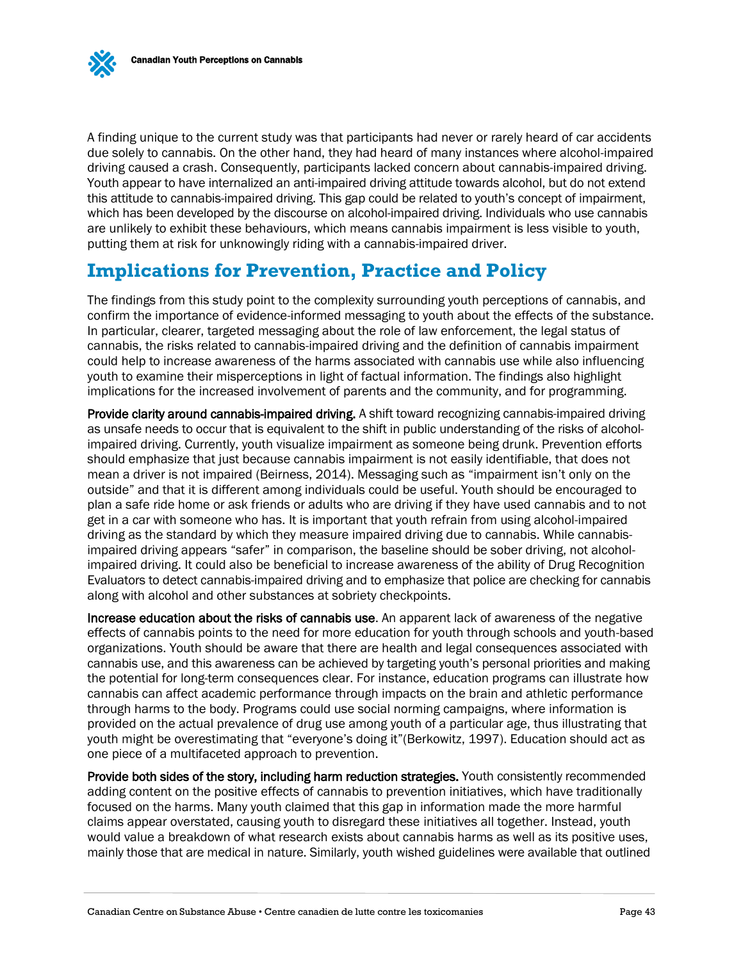A finding unique to the current study was that participants had never or rarely heard of car accidents due solely to cannabis. On the other hand, they had heard of many instances where alcohol-impaired driving caused a crash. Consequently, participants lacked concern about cannabis-impaired driving. Youth appear to have internalized an anti-impaired driving attitude towards alcohol, but do not extend this attitude to cannabis-impaired driving. This gap could be related to youth's concept of impairment, which has been developed by the discourse on alcohol-impaired driving. Individuals who use cannabis are unlikely to exhibit these behaviours, which means cannabis impairment is less visible to youth, putting them at risk for unknowingly riding with a cannabis-impaired driver.

## <span id="page-44-0"></span>**Implications for Prevention, Practice and Policy**

The findings from this study point to the complexity surrounding youth perceptions of cannabis, and confirm the importance of evidence-informed messaging to youth about the effects of the substance. In particular, clearer, targeted messaging about the role of law enforcement, the legal status of cannabis, the risks related to cannabis-impaired driving and the definition of cannabis impairment could help to increase awareness of the harms associated with cannabis use while also influencing youth to examine their misperceptions in light of factual information. The findings also highlight implications for the increased involvement of parents and the community, and for programming.

Provide clarity around cannabis-impaired driving. A shift toward recognizing cannabis-impaired driving as unsafe needs to occur that is equivalent to the shift in public understanding of the risks of alcoholimpaired driving. Currently, youth visualize impairment as someone being drunk. Prevention efforts should emphasize that just because cannabis impairment is not easily identifiable, that does not mean a driver is not impaired (Beirness, 2014). Messaging such as "impairment isn't only on the outside" and that it is different among individuals could be useful. Youth should be encouraged to plan a safe ride home or ask friends or adults who are driving if they have used cannabis and to not get in a car with someone who has. It is important that youth refrain from using alcohol-impaired driving as the standard by which they measure impaired driving due to cannabis. While cannabisimpaired driving appears "safer" in comparison, the baseline should be sober driving, not alcoholimpaired driving. It could also be beneficial to increase awareness of the ability of Drug Recognition Evaluators to detect cannabis-impaired driving and to emphasize that police are checking for cannabis along with alcohol and other substances at sobriety checkpoints.

Increase education about the risks of cannabis use. An apparent lack of awareness of the negative effects of cannabis points to the need for more education for youth through schools and youth-based organizations. Youth should be aware that there are health and legal consequences associated with cannabis use, and this awareness can be achieved by targeting youth's personal priorities and making the potential for long-term consequences clear. For instance, education programs can illustrate how cannabis can affect academic performance through impacts on the brain and athletic performance through harms to the body. Programs could use social norming campaigns, where information is provided on the actual prevalence of drug use among youth of a particular age, thus illustrating that youth might be overestimating that "everyone's doing it"(Berkowitz, 1997). Education should act as one piece of a multifaceted approach to prevention.

Provide both sides of the story, including harm reduction strategies. Youth consistently recommended adding content on the positive effects of cannabis to prevention initiatives, which have traditionally focused on the harms. Many youth claimed that this gap in information made the more harmful claims appear overstated, causing youth to disregard these initiatives all together. Instead, youth would value a breakdown of what research exists about cannabis harms as well as its positive uses, mainly those that are medical in nature. Similarly, youth wished guidelines were available that outlined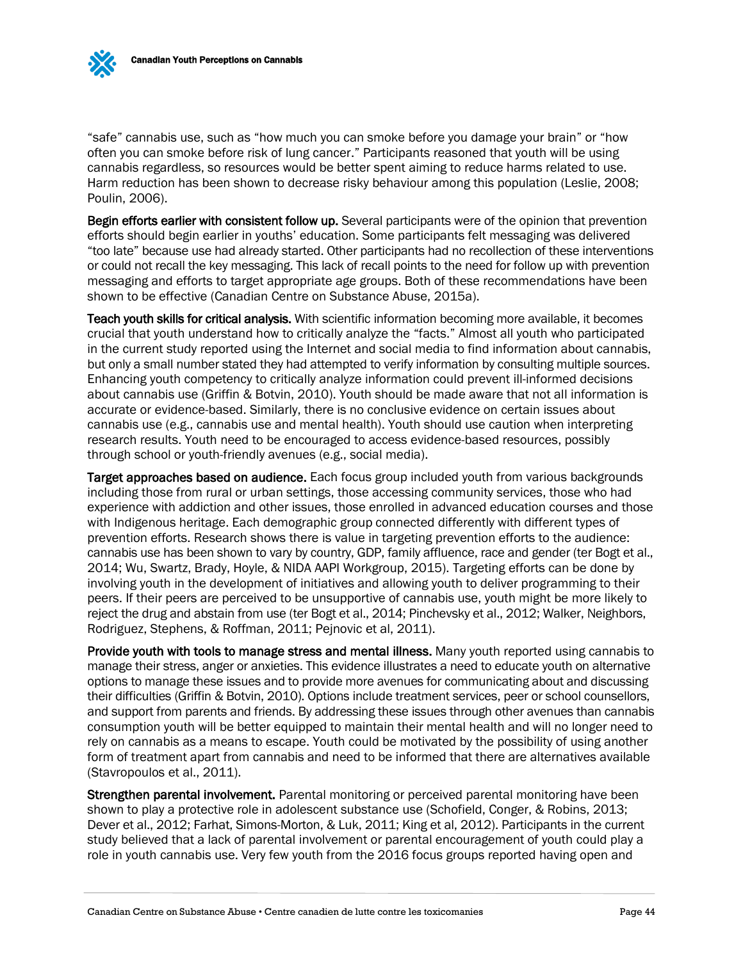"safe" cannabis use, such as "how much you can smoke before you damage your brain" or "how often you can smoke before risk of lung cancer." Participants reasoned that youth will be using cannabis regardless, so resources would be better spent aiming to reduce harms related to use. Harm reduction has been shown to decrease risky behaviour among this population (Leslie, 2008; Poulin, 2006).

Begin efforts earlier with consistent follow up. Several participants were of the opinion that prevention efforts should begin earlier in youths' education. Some participants felt messaging was delivered "too late" because use had already started. Other participants had no recollection of these interventions or could not recall the key messaging. This lack of recall points to the need for follow up with prevention messaging and efforts to target appropriate age groups. Both of these recommendations have been shown to be effective (Canadian Centre on Substance Abuse, 2015a).

Teach youth skills for critical analysis. With scientific information becoming more available, it becomes crucial that youth understand how to critically analyze the "facts." Almost all youth who participated in the current study reported using the Internet and social media to find information about cannabis, but only a small number stated they had attempted to verify information by consulting multiple sources. Enhancing youth competency to critically analyze information could prevent ill-informed decisions about cannabis use (Griffin & Botvin, 2010). Youth should be made aware that not all information is accurate or evidence-based. Similarly, there is no conclusive evidence on certain issues about cannabis use (e.g., cannabis use and mental health). Youth should use caution when interpreting research results. Youth need to be encouraged to access evidence-based resources, possibly through school or youth-friendly avenues (e.g., social media).

Target approaches based on audience. Each focus group included youth from various backgrounds including those from rural or urban settings, those accessing community services, those who had experience with addiction and other issues, those enrolled in advanced education courses and those with Indigenous heritage. Each demographic group connected differently with different types of prevention efforts. Research shows there is value in targeting prevention efforts to the audience: cannabis use has been shown to vary by country, GDP, family affluence, race and gender (ter Bogt et al., 2014; Wu, Swartz, Brady, Hoyle, & NIDA AAPI Workgroup, 2015). Targeting efforts can be done by involving youth in the development of initiatives and allowing youth to deliver programming to their peers. If their peers are perceived to be unsupportive of cannabis use, youth might be more likely to reject the drug and abstain from use (ter Bogt et al., 2014; Pinchevsky et al., 2012; Walker, Neighbors, Rodriguez, Stephens, & Roffman, 2011; Pejnovic et al, 2011).

Provide youth with tools to manage stress and mental illness. Many youth reported using cannabis to manage their stress, anger or anxieties. This evidence illustrates a need to educate youth on alternative options to manage these issues and to provide more avenues for communicating about and discussing their difficulties (Griffin & Botvin, 2010). Options include treatment services, peer or school counsellors, and support from parents and friends. By addressing these issues through other avenues than cannabis consumption youth will be better equipped to maintain their mental health and will no longer need to rely on cannabis as a means to escape. Youth could be motivated by the possibility of using another form of treatment apart from cannabis and need to be informed that there are alternatives available (Stavropoulos et al., 2011).

Strengthen parental involvement. Parental monitoring or perceived parental monitoring have been shown to play a protective role in adolescent substance use (Schofield, Conger, & Robins, 2013; Dever et al., 2012; Farhat, Simons-Morton, & Luk, 2011; King et al, 2012). Participants in the current study believed that a lack of parental involvement or parental encouragement of youth could play a role in youth cannabis use. Very few youth from the 2016 focus groups reported having open and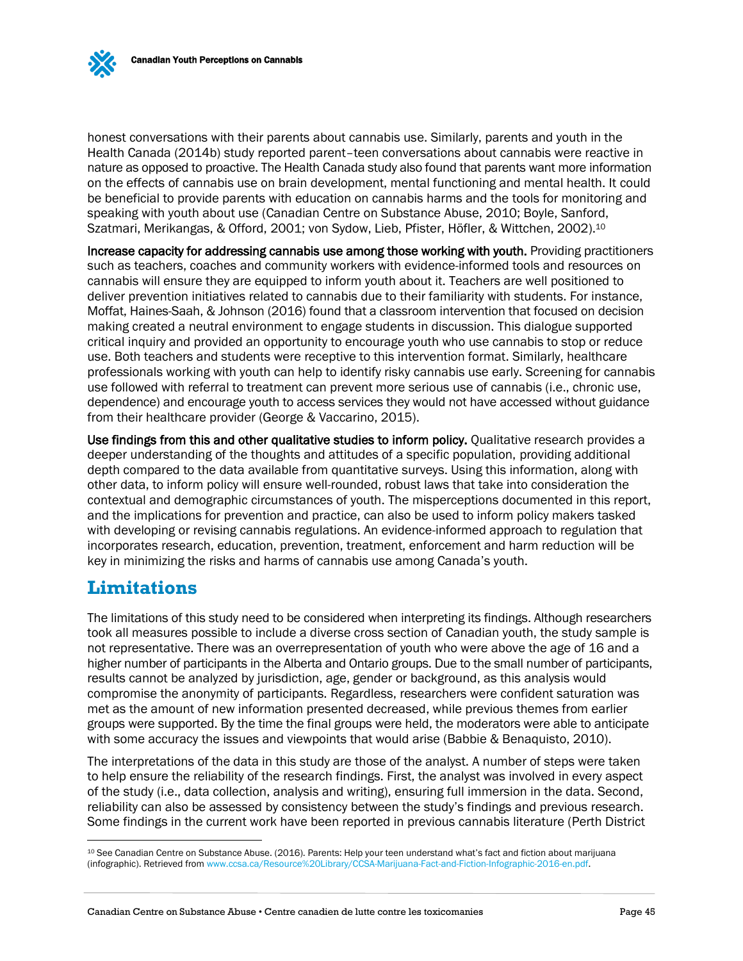honest conversations with their parents about cannabis use. Similarly, parents and youth in the Health Canada (2014b) study reported parent–teen conversations about cannabis were reactive in nature as opposed to proactive. The Health Canada study also found that parents want more information on the effects of cannabis use on brain development, mental functioning and mental health. It could be beneficial to provide parents with education on cannabis harms and the tools for monitoring and speaking with youth about use (Canadian Centre on Substance Abuse, 2010; Boyle, Sanford, Szatmari, Merikangas, & Offord, 2001; von Sydow, Lieb, Pfister, Höfler, & Wittchen, 2002).<sup>10</sup>

Increase capacity for addressing cannabis use among those working with youth. Providing practitioners such as teachers, coaches and community workers with evidence-informed tools and resources on cannabis will ensure they are equipped to inform youth about it. Teachers are well positioned to deliver prevention initiatives related to cannabis due to their familiarity with students. For instance, Moffat, Haines-Saah, & Johnson (2016) found that a classroom intervention that focused on decision making created a neutral environment to engage students in discussion. This dialogue supported critical inquiry and provided an opportunity to encourage youth who use cannabis to stop or reduce use. Both teachers and students were receptive to this intervention format. Similarly, healthcare professionals working with youth can help to identify risky cannabis use early. Screening for cannabis use followed with referral to treatment can prevent more serious use of cannabis (i.e., chronic use, dependence) and encourage youth to access services they would not have accessed without guidance from their healthcare provider (George & Vaccarino, 2015).

Use findings from this and other qualitative studies to inform policy. Qualitative research provides a deeper understanding of the thoughts and attitudes of a specific population, providing additional depth compared to the data available from quantitative surveys. Using this information, along with other data, to inform policy will ensure well-rounded, robust laws that take into consideration the contextual and demographic circumstances of youth. The misperceptions documented in this report, and the implications for prevention and practice, can also be used to inform policy makers tasked with developing or revising cannabis regulations. An evidence-informed approach to regulation that incorporates research, education, prevention, treatment, enforcement and harm reduction will be key in minimizing the risks and harms of cannabis use among Canada's youth.

## <span id="page-46-0"></span>**Limitations**

 $\overline{a}$ 

The limitations of this study need to be considered when interpreting its findings. Although researchers took all measures possible to include a diverse cross section of Canadian youth, the study sample is not representative. There was an overrepresentation of youth who were above the age of 16 and a higher number of participants in the Alberta and Ontario groups. Due to the small number of participants, results cannot be analyzed by jurisdiction, age, gender or background, as this analysis would compromise the anonymity of participants. Regardless, researchers were confident saturation was met as the amount of new information presented decreased, while previous themes from earlier groups were supported. By the time the final groups were held, the moderators were able to anticipate with some accuracy the issues and viewpoints that would arise (Babbie & Benaquisto, 2010).

The interpretations of the data in this study are those of the analyst. A number of steps were taken to help ensure the reliability of the research findings. First, the analyst was involved in every aspect of the study (i.e., data collection, analysis and writing), ensuring full immersion in the data. Second, reliability can also be assessed by consistency between the study's findings and previous research. Some findings in the current work have been reported in previous cannabis literature (Perth District

<sup>10</sup> See Canadian Centre on Substance Abuse. (2016). Parents: Help your teen understand what's fact and fiction about marijuana (infographic). Retrieved fro[m www.ccsa.ca/Resource%20Library/CCSA-Marijuana-Fact-and-Fiction-Infographic-2016-en.pdf.](http://www.ccsa.ca/Resource%20Library/CCSA-Marijuana-Fact-and-Fiction-Infographic-2016-en.pdf)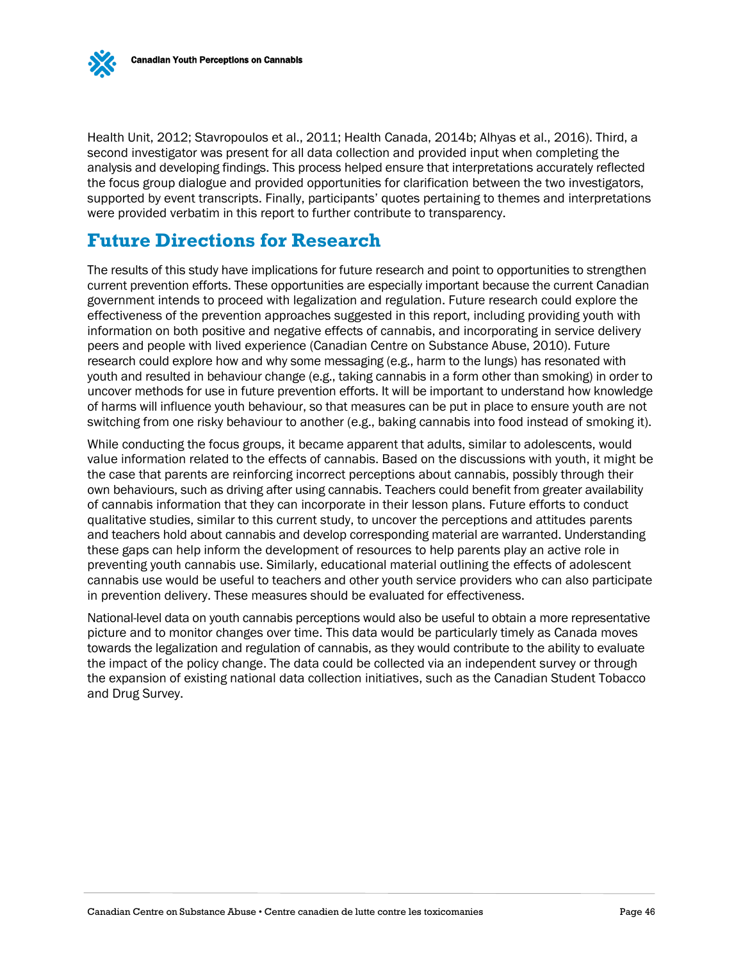

Health Unit, 2012; Stavropoulos et al., 2011; Health Canada, 2014b; Alhyas et al., 2016). Third, a second investigator was present for all data collection and provided input when completing the analysis and developing findings. This process helped ensure that interpretations accurately reflected the focus group dialogue and provided opportunities for clarification between the two investigators, supported by event transcripts. Finally, participants' quotes pertaining to themes and interpretations were provided verbatim in this report to further contribute to transparency.

## <span id="page-47-0"></span>**Future Directions for Research**

The results of this study have implications for future research and point to opportunities to strengthen current prevention efforts. These opportunities are especially important because the current Canadian government intends to proceed with legalization and regulation. Future research could explore the effectiveness of the prevention approaches suggested in this report, including providing youth with information on both positive and negative effects of cannabis, and incorporating in service delivery peers and people with lived experience (Canadian Centre on Substance Abuse, 2010). Future research could explore how and why some messaging (e.g., harm to the lungs) has resonated with youth and resulted in behaviour change (e.g., taking cannabis in a form other than smoking) in order to uncover methods for use in future prevention efforts. It will be important to understand how knowledge of harms will influence youth behaviour, so that measures can be put in place to ensure youth are not switching from one risky behaviour to another (e.g., baking cannabis into food instead of smoking it).

While conducting the focus groups, it became apparent that adults, similar to adolescents, would value information related to the effects of cannabis. Based on the discussions with youth, it might be the case that parents are reinforcing incorrect perceptions about cannabis, possibly through their own behaviours, such as driving after using cannabis. Teachers could benefit from greater availability of cannabis information that they can incorporate in their lesson plans. Future efforts to conduct qualitative studies, similar to this current study, to uncover the perceptions and attitudes parents and teachers hold about cannabis and develop corresponding material are warranted. Understanding these gaps can help inform the development of resources to help parents play an active role in preventing youth cannabis use. Similarly, educational material outlining the effects of adolescent cannabis use would be useful to teachers and other youth service providers who can also participate in prevention delivery. These measures should be evaluated for effectiveness.

National-level data on youth cannabis perceptions would also be useful to obtain a more representative picture and to monitor changes over time. This data would be particularly timely as Canada moves towards the legalization and regulation of cannabis, as they would contribute to the ability to evaluate the impact of the policy change. The data could be collected via an independent survey or through the expansion of existing national data collection initiatives, such as the Canadian Student Tobacco and Drug Survey.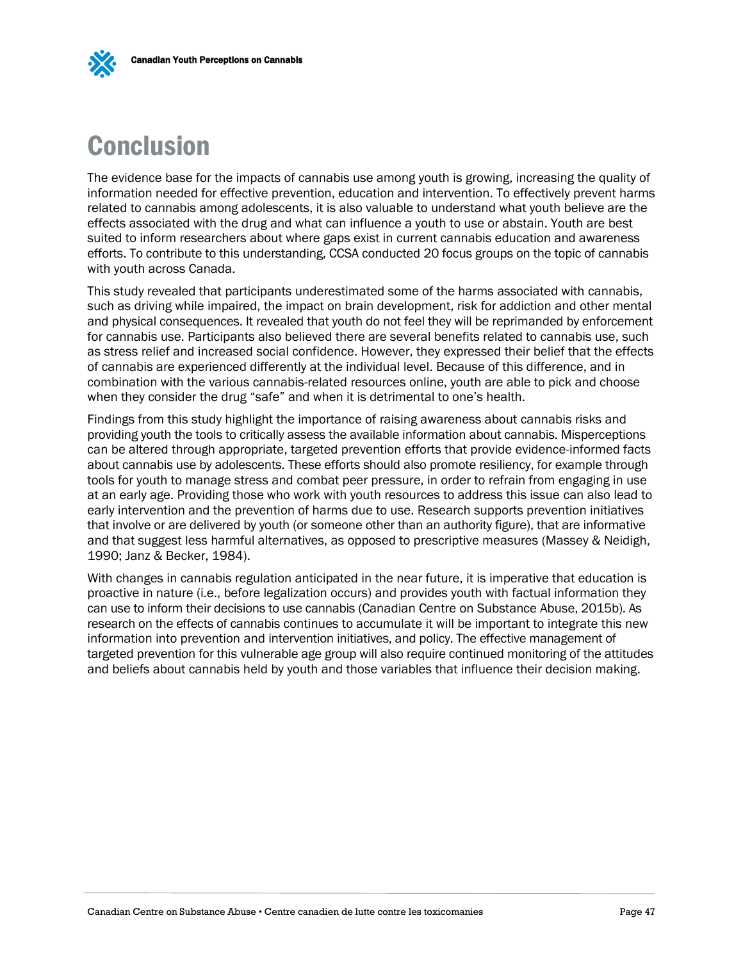# <span id="page-48-0"></span>Conclusion

The evidence base for the impacts of cannabis use among youth is growing, increasing the quality of information needed for effective prevention, education and intervention. To effectively prevent harms related to cannabis among adolescents, it is also valuable to understand what youth believe are the effects associated with the drug and what can influence a youth to use or abstain. Youth are best suited to inform researchers about where gaps exist in current cannabis education and awareness efforts. To contribute to this understanding, CCSA conducted 20 focus groups on the topic of cannabis with youth across Canada.

This study revealed that participants underestimated some of the harms associated with cannabis, such as driving while impaired, the impact on brain development, risk for addiction and other mental and physical consequences. It revealed that youth do not feel they will be reprimanded by enforcement for cannabis use. Participants also believed there are several benefits related to cannabis use, such as stress relief and increased social confidence. However, they expressed their belief that the effects of cannabis are experienced differently at the individual level. Because of this difference, and in combination with the various cannabis-related resources online, youth are able to pick and choose when they consider the drug "safe" and when it is detrimental to one's health.

Findings from this study highlight the importance of raising awareness about cannabis risks and providing youth the tools to critically assess the available information about cannabis. Misperceptions can be altered through appropriate, targeted prevention efforts that provide evidence-informed facts about cannabis use by adolescents. These efforts should also promote resiliency, for example through tools for youth to manage stress and combat peer pressure, in order to refrain from engaging in use at an early age. Providing those who work with youth resources to address this issue can also lead to early intervention and the prevention of harms due to use. Research supports prevention initiatives that involve or are delivered by youth (or someone other than an authority figure), that are informative and that suggest less harmful alternatives, as opposed to prescriptive measures (Massey & Neidigh, 1990; Janz & Becker, 1984).

With changes in cannabis regulation anticipated in the near future, it is imperative that education is proactive in nature (i.e., before legalization occurs) and provides youth with factual information they can use to inform their decisions to use cannabis (Canadian Centre on Substance Abuse, 2015b). As research on the effects of cannabis continues to accumulate it will be important to integrate this new information into prevention and intervention initiatives, and policy. The effective management of targeted prevention for this vulnerable age group will also require continued monitoring of the attitudes and beliefs about cannabis held by youth and those variables that influence their decision making.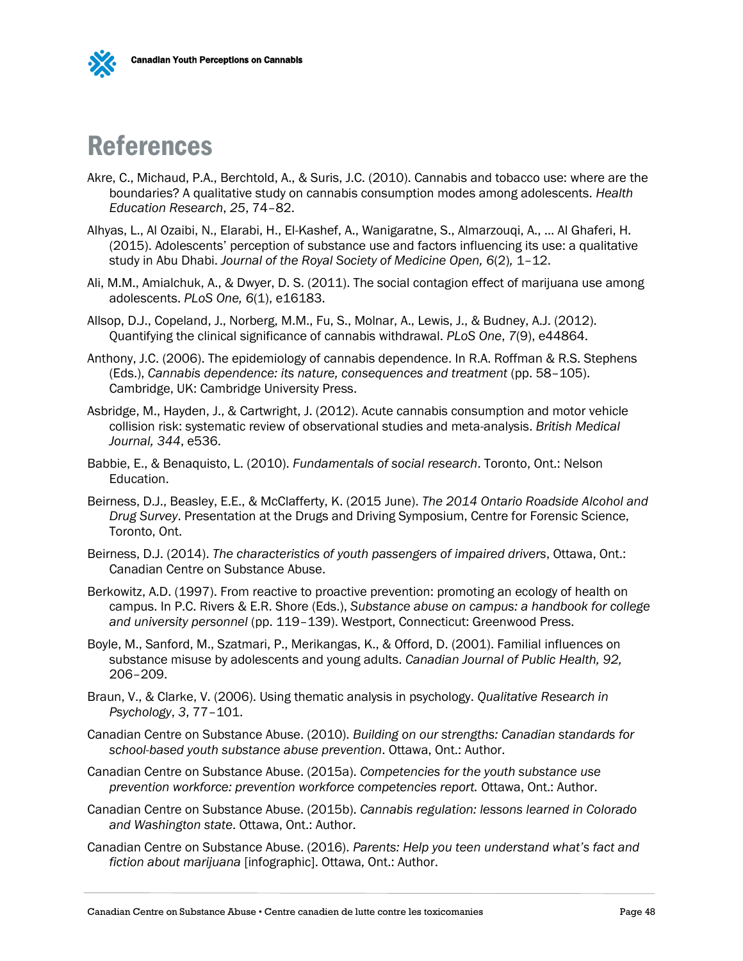

# <span id="page-49-0"></span>References

- Akre, C., Michaud, P.A., Berchtold, A., & Suris, J.C. (2010). Cannabis and tobacco use: where are the boundaries? A qualitative study on cannabis consumption modes among adolescents. *Health Education Research*, *25*, 74–82.
- Alhyas, L., Al Ozaibi, N., Elarabi, H., El-Kashef, A., Wanigaratne, S., Almarzouqi, A., … Al Ghaferi, H. (2015). Adolescents' perception of substance use and factors influencing its use: a qualitative study in Abu Dhabi. *Journal of the Royal Society of Medicine Open, 6*(2)*,* 1–12.
- Ali, M.M., Amialchuk, A., & Dwyer, D. S. (2011). The social contagion effect of marijuana use among adolescents. *PLoS One, 6*(1), e16183.
- Allsop, D.J., Copeland, J., Norberg, M.M., Fu, S., Molnar, A., Lewis, J., & Budney, A.J. (2012). Quantifying the clinical significance of cannabis withdrawal. *PLoS One*, *7*(9), e44864.
- Anthony, J.C. (2006). The epidemiology of cannabis dependence. In R.A. Roffman & R.S. Stephens (Eds.), *Cannabis dependence: its nature, consequences and treatment* (pp. 58-105). Cambridge, UK: Cambridge University Press.
- Asbridge, M., Hayden, J., & Cartwright, J. (2012). Acute cannabis consumption and motor vehicle collision risk: systematic review of observational studies and meta-analysis. *British Medical Journal, 344*, e536.
- Babbie, E., & Benaquisto, L. (2010). *Fundamentals of social research*. Toronto, Ont.: Nelson Education.
- Beirness, D.J., Beasley, E.E., & McClafferty, K. (2015 June). *The 2014 Ontario Roadside Alcohol and Drug Survey*. Presentation at the Drugs and Driving Symposium, Centre for Forensic Science, Toronto, Ont.
- Beirness, D.J. (2014). *The characteristics of youth passengers of impaired drivers*, Ottawa, Ont.: Canadian Centre on Substance Abuse.
- Berkowitz, A.D. (1997). From reactive to proactive prevention: promoting an ecology of health on campus. In P.C. Rivers & E.R. Shore (Eds.), *Substance abuse on campus: a handbook for college and university personnel* (pp. 119–139). Westport, Connecticut: Greenwood Press.
- Boyle, M., Sanford, M., Szatmari, P., Merikangas, K., & Offord, D. (2001). Familial influences on substance misuse by adolescents and young adults. *Canadian Journal of Public Health, 92,* 206–209.
- Braun, V., & Clarke, V. (2006). Using thematic analysis in psychology. *Qualitative Research in Psychology*, *3*, 77–101.
- Canadian Centre on Substance Abuse. (2010). *Building on our strengths: Canadian standards for school-based youth substance abuse prevention*. Ottawa, Ont.: Author.
- Canadian Centre on Substance Abuse. (2015a). *Competencies for the youth substance use prevention workforce: prevention workforce competencies report.* Ottawa, Ont.: Author.
- Canadian Centre on Substance Abuse. (2015b). *Cannabis regulation: lessons learned in Colorado and Washington state*. Ottawa, Ont.: Author.
- Canadian Centre on Substance Abuse. (2016). *Parents: Help you teen understand what's fact and fiction about marijuana* [infographic]. Ottawa, Ont.: Author.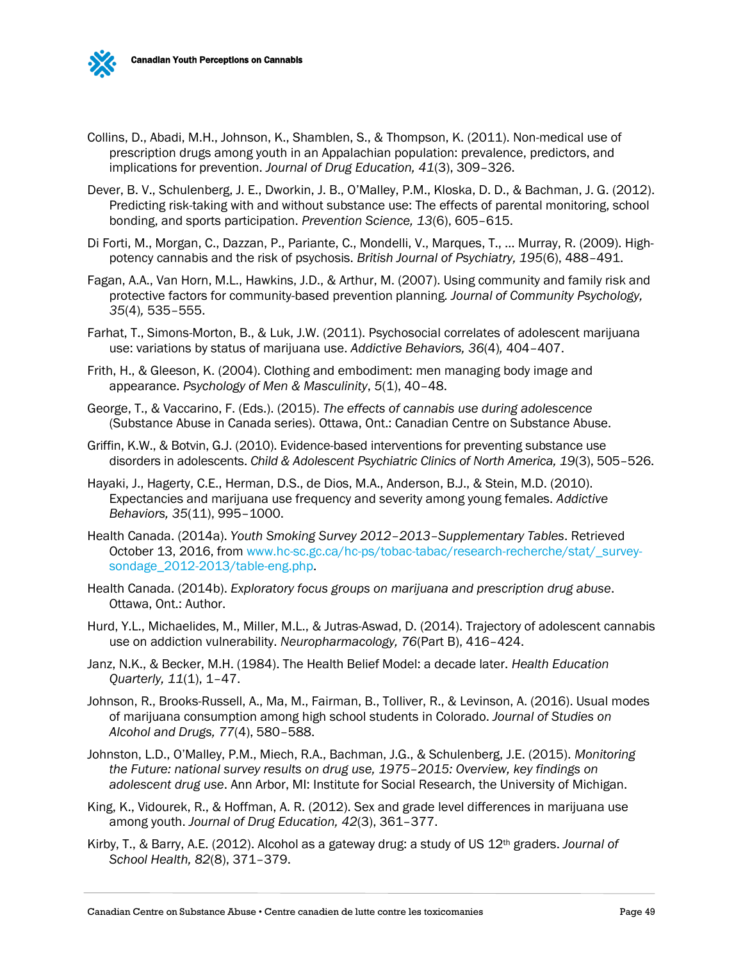

- Collins, D., Abadi, M.H., Johnson, K., Shamblen, S., & Thompson, K. (2011). Non-medical use of prescription drugs among youth in an Appalachian population: prevalence, predictors, and implications for prevention. *Journal of Drug Education, 41*(3), 309–326.
- Dever, B. V., Schulenberg, J. E., Dworkin, J. B., O'Malley, P.M., Kloska, D. D., & Bachman, J. G. (2012). Predicting risk-taking with and without substance use: The effects of parental monitoring, school bonding, and sports participation. *Prevention Science, 13*(6), 605–615.
- Di Forti, M., Morgan, C., Dazzan, P., Pariante, C., Mondelli, V., Marques, T., … Murray, R. (2009). Highpotency cannabis and the risk of psychosis. *British Journal of Psychiatry, 195*(6), 488–491.
- Fagan, A.A., Van Horn, M.L., Hawkins, J.D., & Arthur, M. (2007). Using community and family risk and protective factors for community-based prevention planning*. Journal of Community Psychology, 35*(4)*,* 535–555.
- Farhat, T., Simons-Morton, B., & Luk, J.W. (2011). Psychosocial correlates of adolescent marijuana use: variations by status of marijuana use. *Addictive Behaviors, 36*(4)*,* 404–407.
- Frith, H., & Gleeson, K. (2004). Clothing and embodiment: men managing body image and appearance. *Psychology of Men & Masculinity*, *5*(1), 40–48.
- George, T., & Vaccarino, F. (Eds.). (2015). *The effects of cannabis use during adolescence* (Substance Abuse in Canada series). Ottawa, Ont.: Canadian Centre on Substance Abuse.
- Griffin, K.W., & Botvin, G.J. (2010). Evidence-based interventions for preventing substance use disorders in adolescents. *Child & Adolescent Psychiatric Clinics of North America, 19*(3), 505–526.
- Hayaki, J., Hagerty, C.E., Herman, D.S., de Dios, M.A., Anderson, B.J., & Stein, M.D. (2010). Expectancies and marijuana use frequency and severity among young females. *Addictive Behaviors, 35*(11), 995–1000.
- Health Canada. (2014a). *Youth Smoking Survey 2012–2013–Supplementary Tables*. Retrieved October 13, 2016, from [www.hc-sc.gc.ca/hc-ps/tobac-tabac/research-recherche/stat/\\_survey](http://www.hc-sc.gc.ca/hc-ps/tobac-tabac/research-recherche/stat/_survey-sondage_2012-2013/table-eng.php)[sondage\\_2012-2013/table-eng.php.](http://www.hc-sc.gc.ca/hc-ps/tobac-tabac/research-recherche/stat/_survey-sondage_2012-2013/table-eng.php)
- Health Canada. (2014b). *Exploratory focus groups on marijuana and prescription drug abuse*. Ottawa, Ont.: Author.
- Hurd, Y.L., Michaelides, M., Miller, M.L., & Jutras-Aswad, D. (2014). Trajectory of adolescent cannabis use on addiction vulnerability. *Neuropharmacology, 76*(Part B), 416–424.
- Janz, N.K., & Becker, M.H. (1984). The Health Belief Model: a decade later. *Health Education Quarterly, 11*(1), 1–47.
- Johnson, R., Brooks-Russell, A., Ma, M., Fairman, B., Tolliver, R., & Levinson, A. (2016). Usual modes of marijuana consumption among high school students in Colorado. *Journal of Studies on Alcohol and Drugs, 77*(4), 580–588.
- Johnston, L.D., O'Malley, P.M., Miech, R.A., Bachman, J.G., & Schulenberg, J.E. (2015). *Monitoring the Future: national survey results on drug use, 1975–2015: Overview, key findings on adolescent drug use*. Ann Arbor, MI: Institute for Social Research, the University of Michigan.
- King, K., Vidourek, R., & Hoffman, A. R. (2012). Sex and grade level differences in marijuana use among youth. *Journal of Drug Education, 42*(3), 361–377.
- Kirby, T., & Barry, A.E. (2012). Alcohol as a gateway drug: a study of US 12th graders. *Journal of School Health, 82*(8), 371–379.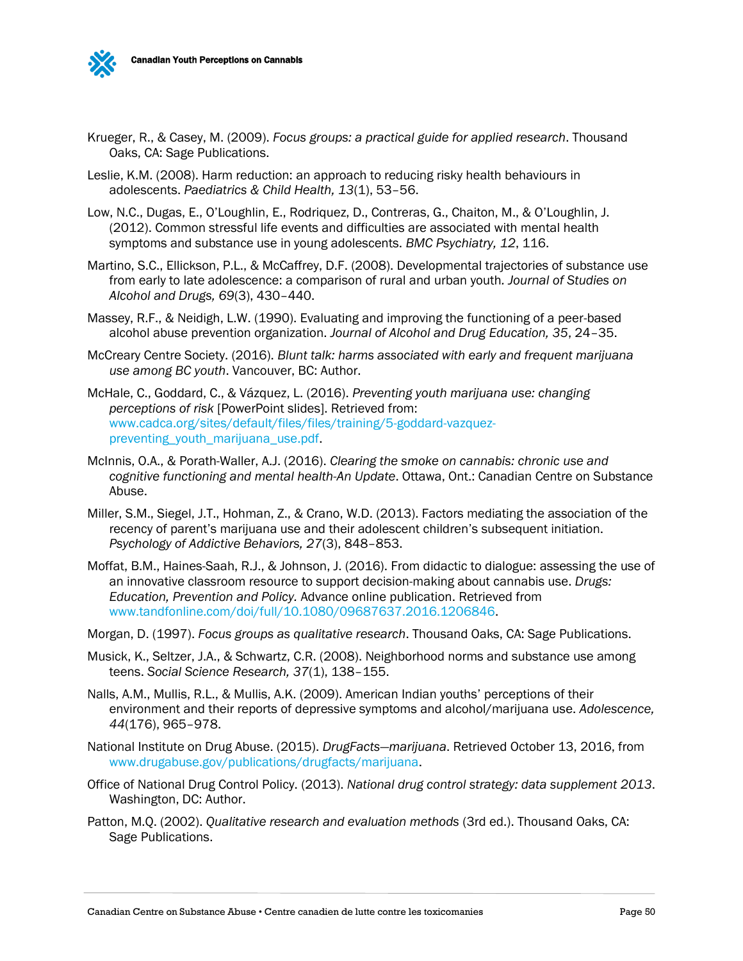

- Krueger, R., & Casey, M. (2009). *Focus groups: a practical guide for applied research*. Thousand Oaks, CA: Sage Publications.
- Leslie, K.M. (2008). Harm reduction: an approach to reducing risky health behaviours in adolescents. *Paediatrics & Child Health, 13*(1), 53–56.
- Low, N.C., Dugas, E., O'Loughlin, E., Rodriquez, D., Contreras, G., Chaiton, M., & O'Loughlin, J. (2012). Common stressful life events and difficulties are associated with mental health symptoms and substance use in young adolescents. *BMC Psychiatry, 12*, 116.
- Martino, S.C., Ellickson, P.L., & McCaffrey, D.F. (2008). Developmental trajectories of substance use from early to late adolescence: a comparison of rural and urban youth*. Journal of Studies on Alcohol and Drugs, 69*(3), 430–440.
- Massey, R.F., & Neidigh, L.W. (1990). Evaluating and improving the functioning of a peer-based alcohol abuse prevention organization. *Journal of Alcohol and Drug Education, 35*, 24–35.
- McCreary Centre Society. (2016). *Blunt talk: harms associated with early and frequent marijuana use among BC youth*. Vancouver, BC: Author.
- McHale, C., Goddard, C., & Vázquez, L. (2016). *Preventing youth marijuana use: changing perceptions of risk* [PowerPoint slides]. Retrieved from: [www.cadca.org/sites/default/files/files/training/5-goddard-vazquez](http://www.cadca.org/sites/default/files/files/training/5-goddard-vazquez-preventing_youth_marijuana_use.pdf)[preventing\\_youth\\_marijuana\\_use.pdf.](http://www.cadca.org/sites/default/files/files/training/5-goddard-vazquez-preventing_youth_marijuana_use.pdf)
- McInnis, O.A., & Porath-Waller, A.J. (2016). *Clearing the smoke on cannabis: chronic use and cognitive functioning and mental health-An Update*. Ottawa, Ont.: Canadian Centre on Substance Abuse.
- Miller, S.M., Siegel, J.T., Hohman, Z., & Crano, W.D. (2013). Factors mediating the association of the recency of parent's marijuana use and their adolescent children's subsequent initiation. *Psychology of Addictive Behaviors, 27*(3), 848–853.
- Moffat, B.M., Haines-Saah, R.J., & Johnson, J. (2016). From didactic to dialogue: assessing the use of an innovative classroom resource to support decision-making about cannabis use. *Drugs: Education, Prevention and Policy.* Advance online publication. Retrieved from [www.tandfonline.com/doi/full/10.1080/09687637.2016.1206846.](http://www.tandfonline.com/doi/full/10.1080/09687637.2016.1206846)
- Morgan, D. (1997). *Focus groups as qualitative research*. Thousand Oaks, CA: Sage Publications.
- Musick, K., Seltzer, J.A., & Schwartz, C.R. (2008). Neighborhood norms and substance use among teens. *Social Science Research, 37*(1), 138–155.
- Nalls, A.M., Mullis, R.L., & Mullis, A.K. (2009). American Indian youths' perceptions of their environment and their reports of depressive symptoms and alcohol/marijuana use. *Adolescence, 44*(176), 965–978.
- National Institute on Drug Abuse. (2015). *DrugFacts—marijuana*. Retrieved October 13, 2016, from [www.drugabuse.gov/publications/drugfacts/marijuana.](http://www.drugabuse.gov/publications/drugfacts/marijuana)
- Office of National Drug Control Policy. (2013). *National drug control strategy: data supplement 2013*. Washington, DC: Author.
- Patton, M.Q. (2002). *Qualitative research and evaluation methods* (3rd ed.). Thousand Oaks, CA: Sage Publications.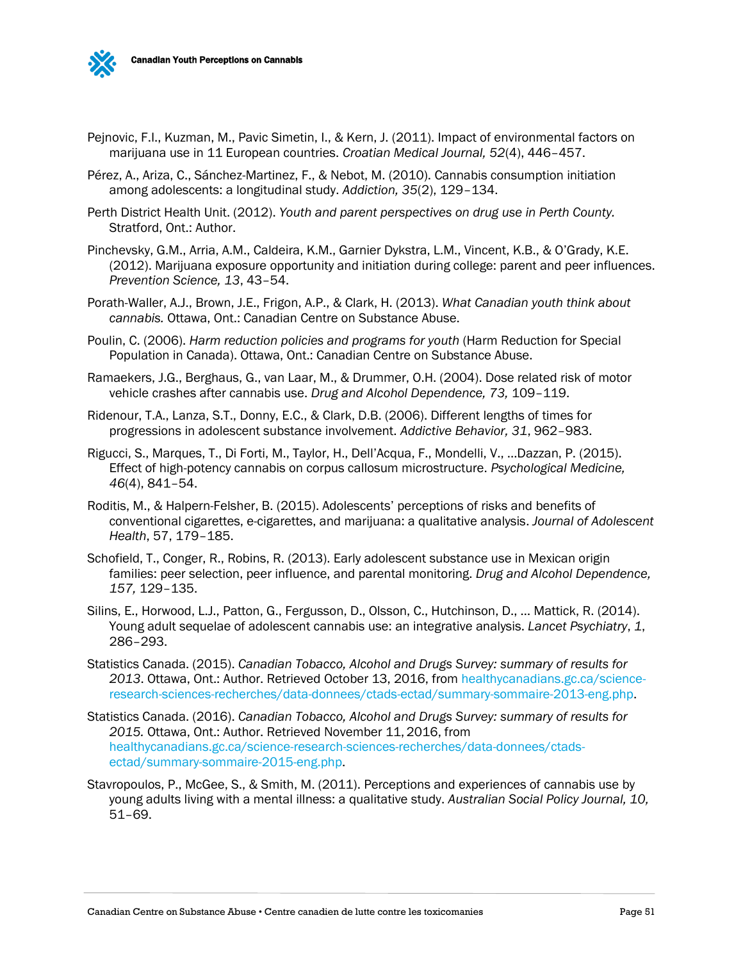

- Pejnovic, F.I., Kuzman, M., Pavic Simetin, I., & Kern, J. (2011). Impact of environmental factors on marijuana use in 11 European countries. *Croatian Medical Journal, 52*(4), 446–457.
- Pérez, A., Ariza, C., Sánchez-Martinez, F., & Nebot, M. (2010). Cannabis consumption initiation among adolescents: a longitudinal study. *Addiction, 35*(2), 129–134.
- Perth District Health Unit. (2012). *Youth and parent perspectives on drug use in Perth County.*  Stratford, Ont.: Author.
- Pinchevsky, G.M., Arria, A.M., Caldeira, K.M., Garnier Dykstra, L.M., Vincent, K.B., & O'Grady, K.E. (2012). Marijuana exposure opportunity and initiation during college: parent and peer influences. *Prevention Science, 13*, 43–54.
- Porath-Waller, A.J., Brown, J.E., Frigon, A.P., & Clark, H. (2013). *What Canadian youth think about cannabis.* Ottawa, Ont.: Canadian Centre on Substance Abuse.
- Poulin, C. (2006). *Harm reduction policies and programs for youth* (Harm Reduction for Special Population in Canada). Ottawa, Ont.: Canadian Centre on Substance Abuse.
- Ramaekers, J.G., Berghaus, G., van Laar, M., & Drummer, O.H. (2004). Dose related risk of motor vehicle crashes after cannabis use. *Drug and Alcohol Dependence, 73,* 109–119.
- Ridenour, T.A., Lanza, S.T., Donny, E.C., & Clark, D.B. (2006). Different lengths of times for progressions in adolescent substance involvement. *Addictive Behavior, 31*, 962–983.
- Rigucci, S., Marques, T., Di Forti, M., Taylor, H., Dell'Acqua, F., Mondelli, V., ...Dazzan, P. (2015). Effect of high-potency cannabis on corpus callosum microstructure. *Psychological Medicine, 46*(4), 841–54.
- Roditis, M., & Halpern-Felsher, B. (2015). Adolescents' perceptions of risks and benefits of conventional cigarettes, e-cigarettes, and marijuana: a qualitative analysis. *Journal of Adolescent Health*, 57, 179–185.
- Schofield, T., Conger, R., Robins, R. (2013). Early adolescent substance use in Mexican origin families: peer selection, peer influence, and parental monitoring. *Drug and Alcohol Dependence, 157,* 129–135.
- Silins, E., Horwood, L.J., Patton, G., Fergusson, D., Olsson, C., Hutchinson, D., … Mattick, R. (2014). Young adult sequelae of adolescent cannabis use: an integrative analysis. *Lancet Psychiatry*, *1*, 286–293.
- Statistics Canada. (2015). *Canadian Tobacco, Alcohol and Drugs Survey: summary of results for 2013*. Ottawa, Ont.: Author. Retrieved October 13, 2016, from [healthycanadians.gc.ca/science](http://healthycanadians.gc.ca/science-research-sciences-recherches/data-donnees/ctads-ectad/summary-sommaire-2013-eng.php)[research-sciences-recherches/data-donnees/ctads-ectad/summary-sommaire-2013-eng.php.](http://healthycanadians.gc.ca/science-research-sciences-recherches/data-donnees/ctads-ectad/summary-sommaire-2013-eng.php)
- Statistics Canada. (2016). *Canadian Tobacco, Alcohol and Drugs Survey: summary of results for 2015.* Ottawa, Ont.: Author. Retrieved November 11, 2016, from [healthycanadians.gc.ca/science-research-sciences-recherches/data-donnees/ctads](http://healthycanadians.gc.ca/science-research-sciences-recherches/data-donnees/ctads-ectad/summary-sommaire-2015-eng.php)[ectad/summary-sommaire-2015-eng.php.](http://healthycanadians.gc.ca/science-research-sciences-recherches/data-donnees/ctads-ectad/summary-sommaire-2015-eng.php)
- Stavropoulos, P., McGee, S., & Smith, M. (2011). Perceptions and experiences of cannabis use by young adults living with a mental illness: a qualitative study. *Australian Social Policy Journal, 10,*  51–69.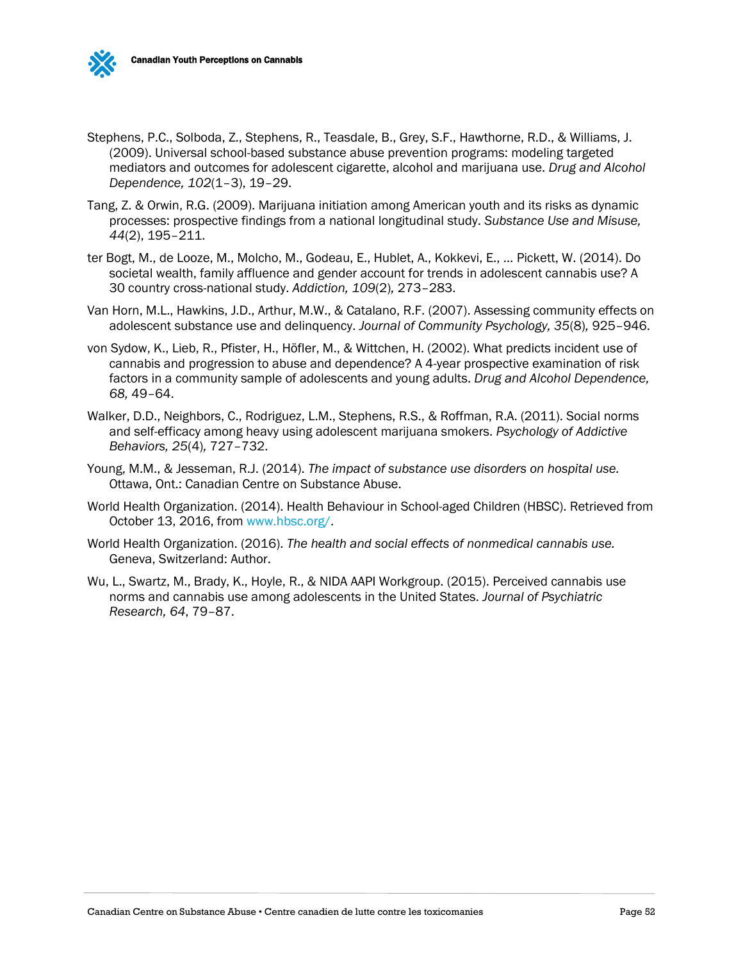



- Stephens, P.C., Solboda, Z., Stephens, R., Teasdale, B., Grey, S.F., Hawthorne, R.D., & Williams, J. (2009). Universal school-based substance abuse prevention programs: modeling targeted mediators and outcomes for adolescent cigarette, alcohol and marijuana use. *Drug and Alcohol Dependence, 102*(1–3), 19–29.
- Tang, Z. & Orwin, R.G. (2009). Marijuana initiation among American youth and its risks as dynamic processes: prospective findings from a national longitudinal study. *Substance Use and Misuse, 44*(2), 195–211.
- ter Bogt, M., de Looze, M., Molcho, M., Godeau, E., Hublet, A., Kokkevi, E., … Pickett, W. (2014). Do societal wealth, family affluence and gender account for trends in adolescent cannabis use? A 30 country cross-national study. *Addiction, 109*(2)*,* 273–283.
- Van Horn, M.L., Hawkins, J.D., Arthur, M.W., & Catalano, R.F. (2007). Assessing community effects on adolescent substance use and delinquency. *Journal of Community Psychology, 35*(8)*,* 925–946.
- von Sydow, K., Lieb, R., Pfister, H., Höfler, M., & Wittchen, H. (2002). What predicts incident use of cannabis and progression to abuse and dependence? A 4-year prospective examination of risk factors in a community sample of adolescents and young adults. *Drug and Alcohol Dependence, 68,* 49–64.
- Walker, D.D., Neighbors, C., Rodriguez, L.M., Stephens, R.S., & Roffman, R.A. (2011). Social norms and self-efficacy among heavy using adolescent marijuana smokers. *Psychology of Addictive Behaviors, 25*(4)*,* 727–732.
- Young, M.M., & Jesseman, R.J. (2014). *The impact of substance use disorders on hospital use.*  Ottawa, Ont.: Canadian Centre on Substance Abuse.
- World Health Organization. (2014). Health Behaviour in School-aged Children (HBSC). Retrieved from October 13, 2016, from [www.hbsc.org/.](http://www.hbsc.org/)
- World Health Organization. (2016). *The health and social effects of nonmedical cannabis use.*  Geneva, Switzerland: Author.
- Wu, L., Swartz, M., Brady, K., Hoyle, R., & NIDA AAPI Workgroup. (2015). Perceived cannabis use norms and cannabis use among adolescents in the United States. *Journal of Psychiatric Research, 64*, 79–87.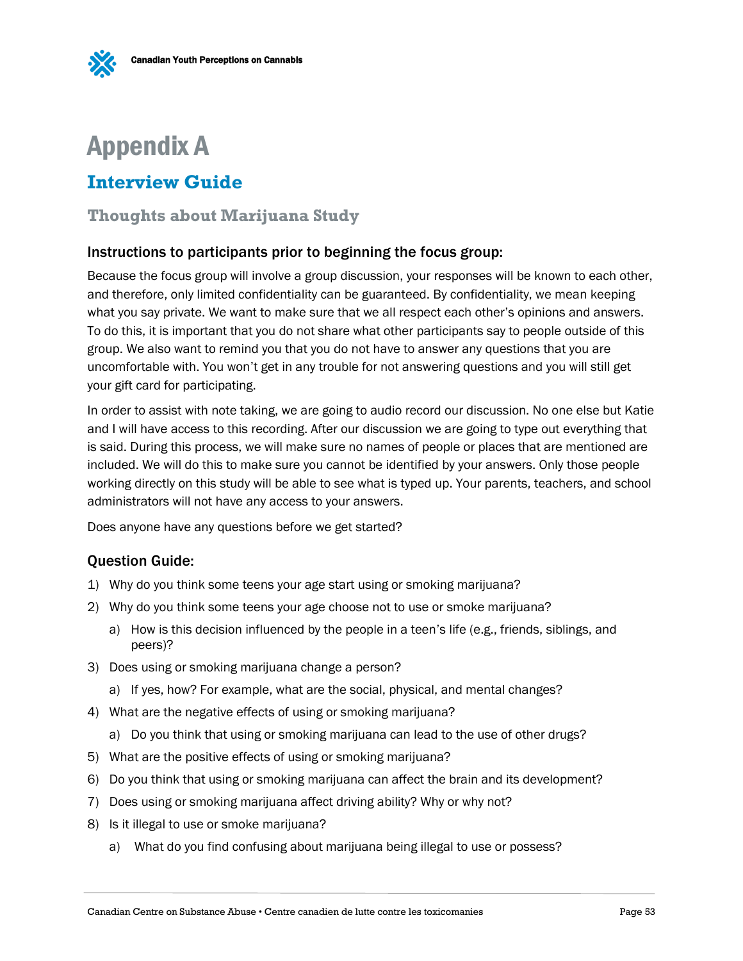<span id="page-54-0"></span>

## <span id="page-54-1"></span>**Interview Guide**

### **Thoughts about Marijuana Study**

#### Instructions to participants prior to beginning the focus group:

Because the focus group will involve a group discussion, your responses will be known to each other, and therefore, only limited confidentiality can be guaranteed. By confidentiality, we mean keeping what you say private. We want to make sure that we all respect each other's opinions and answers. To do this, it is important that you do not share what other participants say to people outside of this group. We also want to remind you that you do not have to answer any questions that you are uncomfortable with. You won't get in any trouble for not answering questions and you will still get your gift card for participating.

In order to assist with note taking, we are going to audio record our discussion. No one else but Katie and I will have access to this recording. After our discussion we are going to type out everything that is said. During this process, we will make sure no names of people or places that are mentioned are included. We will do this to make sure you cannot be identified by your answers. Only those people working directly on this study will be able to see what is typed up. Your parents, teachers, and school administrators will not have any access to your answers.

Does anyone have any questions before we get started?

#### Question Guide:

- 1) Why do you think some teens your age start using or smoking marijuana?
- 2) Why do you think some teens your age choose not to use or smoke marijuana?
	- a) How is this decision influenced by the people in a teen's life (e.g., friends, siblings, and peers)?
- 3) Does using or smoking marijuana change a person?
	- a) If yes, how? For example, what are the social, physical, and mental changes?
- 4) What are the negative effects of using or smoking marijuana?
	- a) Do you think that using or smoking marijuana can lead to the use of other drugs?
- 5) What are the positive effects of using or smoking marijuana?
- 6) Do you think that using or smoking marijuana can affect the brain and its development?
- 7) Does using or smoking marijuana affect driving ability? Why or why not?
- 8) Is it illegal to use or smoke marijuana?
	- a) What do you find confusing about marijuana being illegal to use or possess?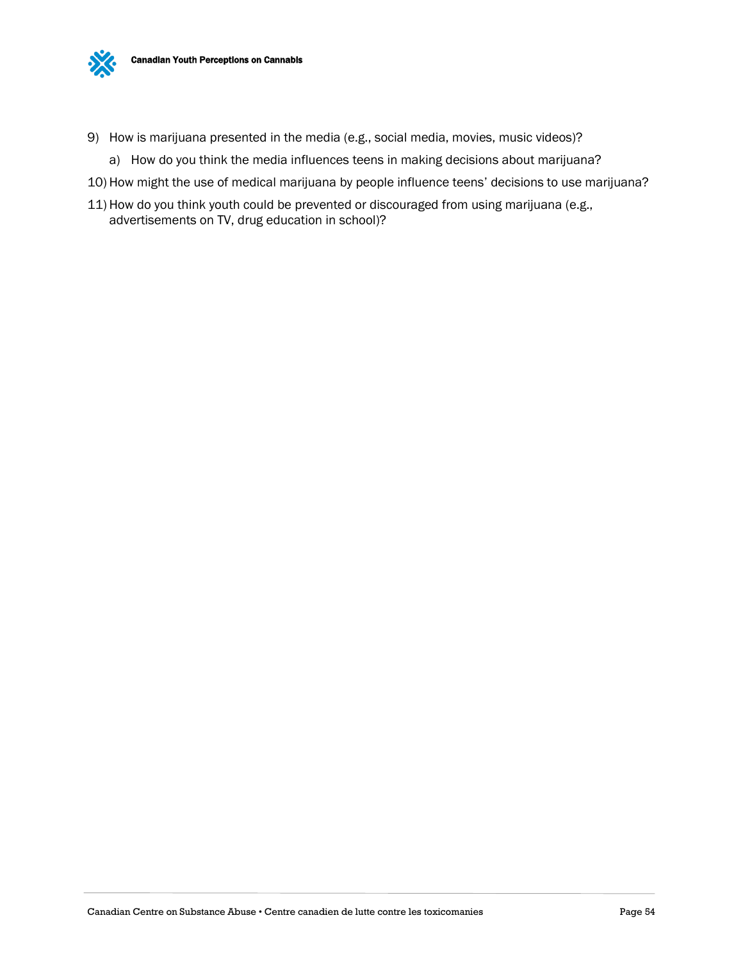

- 9) How is marijuana presented in the media (e.g., social media, movies, music videos)?
	- a) How do you think the media influences teens in making decisions about marijuana?
- 10) How might the use of medical marijuana by people influence teens' decisions to use marijuana?
- 11) How do you think youth could be prevented or discouraged from using marijuana (e.g., advertisements on TV, drug education in school)?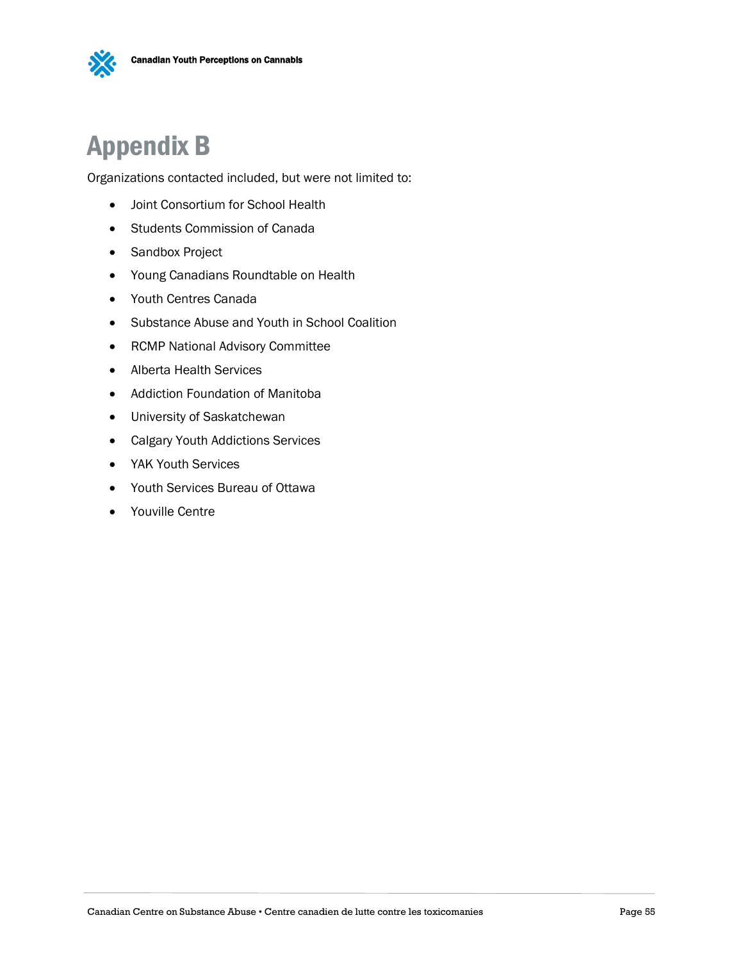

# <span id="page-56-0"></span>Appendix B

Organizations contacted included, but were not limited to:

- Joint Consortium for School Health
- Students Commission of Canada
- Sandbox Project
- Young Canadians Roundtable on Health
- Youth Centres Canada
- Substance Abuse and Youth in School Coalition
- RCMP National Advisory Committee
- Alberta Health Services
- Addiction Foundation of Manitoba
- University of Saskatchewan
- Calgary Youth Addictions Services
- YAK Youth Services
- Youth Services Bureau of Ottawa
- Youville Centre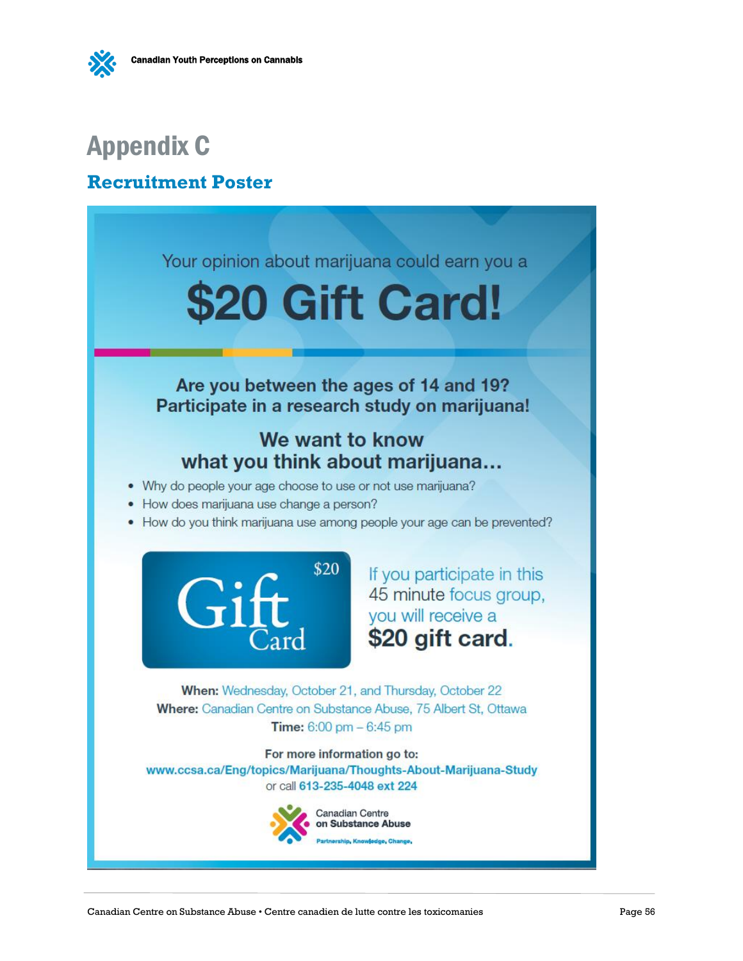# <span id="page-57-0"></span>Appendix C

## <span id="page-57-1"></span>**Recruitment Poster**

Your opinion about marijuana could earn you a \$20 Gift Card! Are you between the ages of 14 and 19? Participate in a research study on marijuana! We want to know what you think about marijuana... • Why do people your age choose to use or not use marijuana? • How does marijuana use change a person? • How do you think marijuana use among people your age can be prevented? \$20 If you participate in this 45 minute focus group, you will receive a \$20 gift card. When: Wednesday, October 21, and Thursday, October 22 Where: Canadian Centre on Substance Abuse, 75 Albert St, Ottawa **Time:**  $6:00 \text{ pm} - 6:45 \text{ pm}$ For more information go to: www.ccsa.ca/Eng/topics/Marijuana/Thoughts-About-Marijuana-Study or call 613-235-4048 ext 224

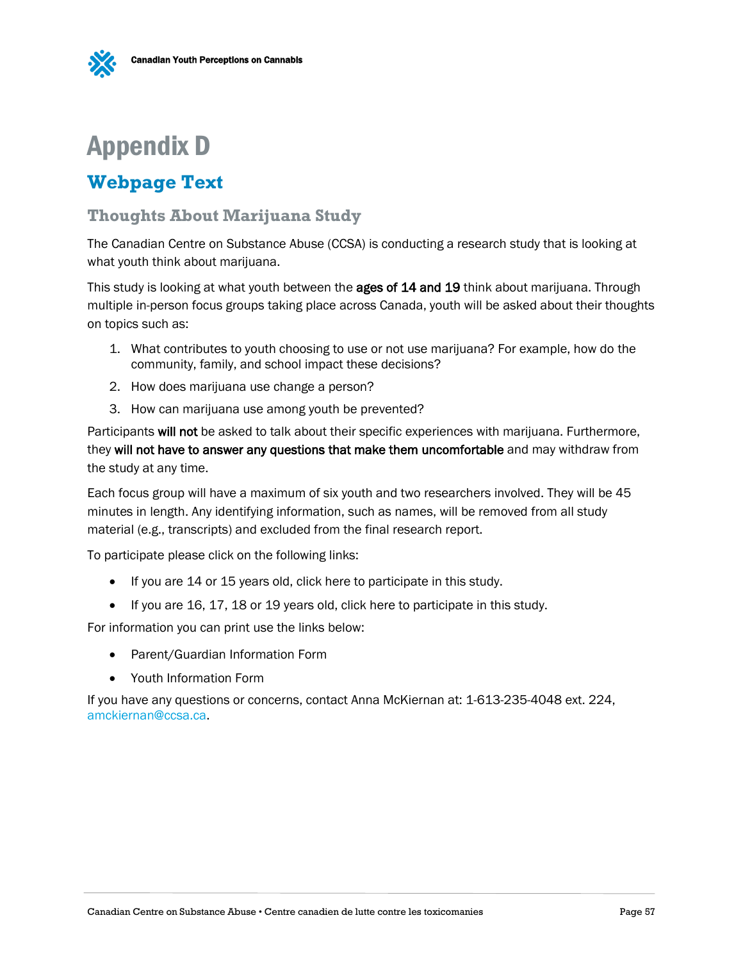# <span id="page-58-0"></span>Appendix D

# <span id="page-58-1"></span>**Webpage Text**

### **Thoughts About Marijuana Study**

The Canadian Centre on Substance Abuse (CCSA) is conducting a research study that is looking at what youth think about marijuana.

This study is looking at what youth between the **ages of 14 and 19** think about marijuana. Through multiple in-person focus groups taking place across Canada, youth will be asked about their thoughts on topics such as:

- 1. What contributes to youth choosing to use or not use marijuana? For example, how do the community, family, and school impact these decisions?
- 2. How does marijuana use change a person?
- 3. How can marijuana use among youth be prevented?

Participants will not be asked to talk about their specific experiences with marijuana. Furthermore, they will not have to answer any questions that make them uncomfortable and may withdraw from the study at any time.

Each focus group will have a maximum of six youth and two researchers involved. They will be 45 minutes in length. Any identifying information, such as names, will be removed from all study material (e.g., transcripts) and excluded from the final research report.

To participate please click on the following links:

- If you are 14 or 15 years old, click here to participate in this study.
- If you are 16, 17, 18 or 19 years old, click here to participate in this study.

For information you can print use the links below:

- Parent/Guardian Information Form
- Youth Information Form

If you have any questions or concerns, contact Anna McKiernan at: 1-613-235-4048 ext. 224, [amckiernan@ccsa.ca.](mailto:amckiernan@ccsa.ca)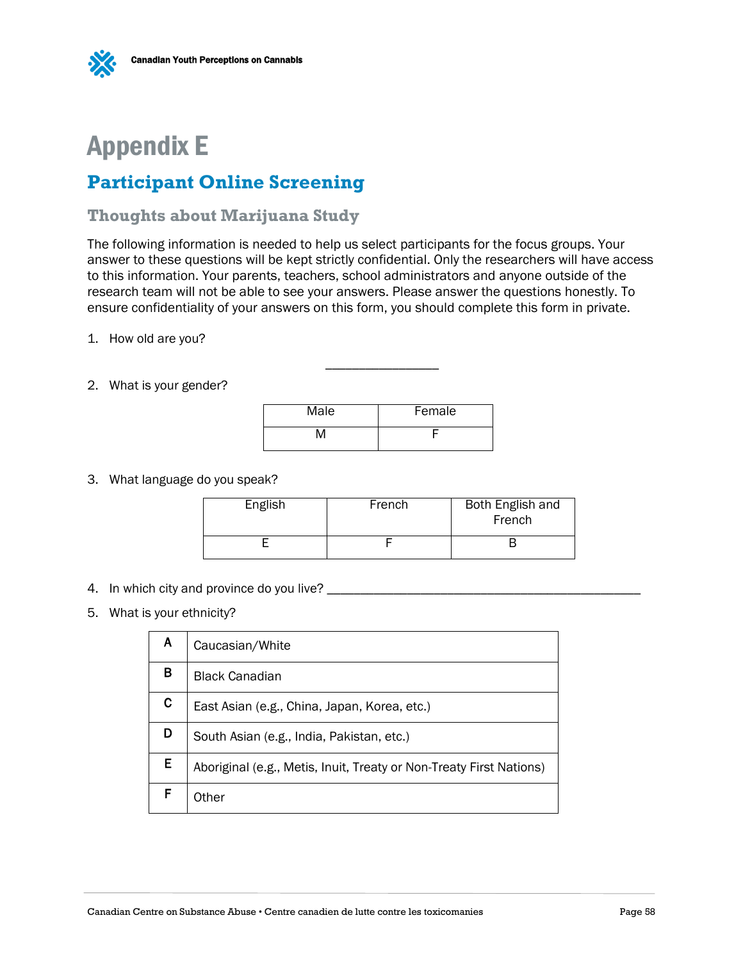

# <span id="page-59-0"></span>Appendix E

## <span id="page-59-1"></span>**Participant Online Screening**

### **Thoughts about Marijuana Study**

The following information is needed to help us select participants for the focus groups. Your answer to these questions will be kept strictly confidential. Only the researchers will have access to this information. Your parents, teachers, school administrators and anyone outside of the research team will not be able to see your answers. Please answer the questions honestly. To ensure confidentiality of your answers on this form, you should complete this form in private.

1. How old are you?

#### 2. What is your gender?

| Male | Female |
|------|--------|
| N۸   |        |

\_\_\_\_\_\_\_\_\_\_\_\_\_\_\_\_\_

3. What language do you speak?

| English | French | Both English and<br>French |
|---------|--------|----------------------------|
|         |        |                            |

- 4. In which city and province do you live?
- 5. What is your ethnicity?

| Α  | Caucasian/White                                                     |
|----|---------------------------------------------------------------------|
| в  | <b>Black Canadian</b>                                               |
| C. | East Asian (e.g., China, Japan, Korea, etc.)                        |
| D  | South Asian (e.g., India, Pakistan, etc.)                           |
| E  | Aboriginal (e.g., Metis, Inuit, Treaty or Non-Treaty First Nations) |
|    | Other                                                               |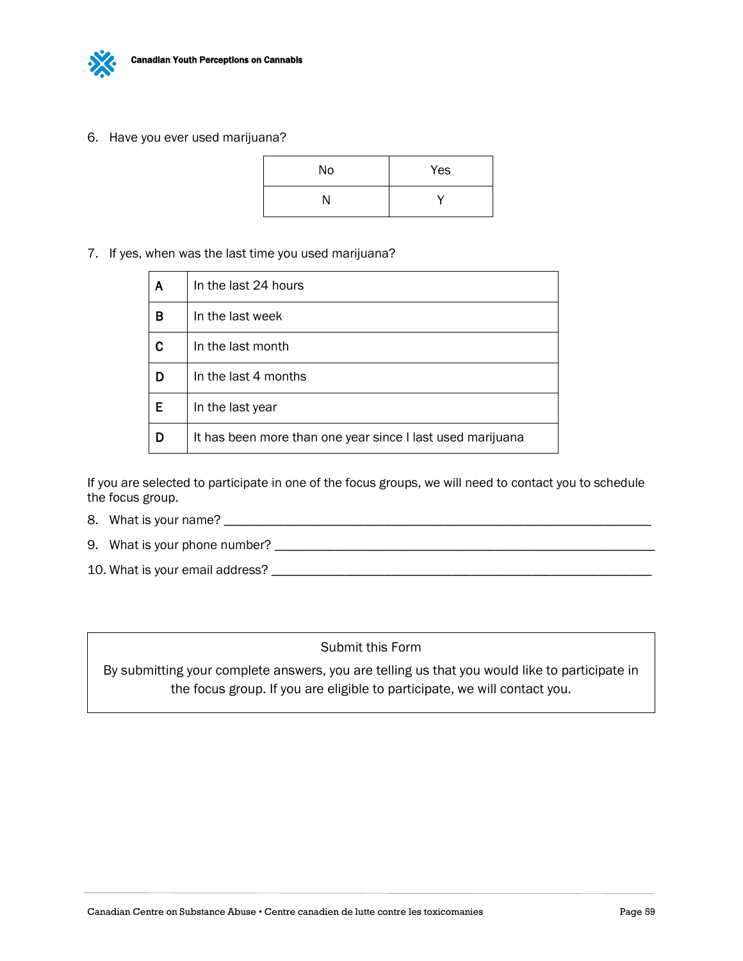

6. Have you ever used marijuana?

| No | Yes |
|----|-----|
| N  | v   |

7. If yes, when was the last time you used marijuana?

| A | In the last 24 hours                                       |
|---|------------------------------------------------------------|
| в | In the last week                                           |
| С | In the last month                                          |
| D | In the last 4 months                                       |
| Е | In the last year                                           |
| D | It has been more than one year since I last used marijuana |

If you are selected to participate in one of the focus groups, we will need to contact you to schedule the focus group.

- 8. What is your name? \_\_\_\_\_\_\_\_\_\_\_\_\_\_\_\_\_\_\_\_\_\_\_\_\_\_\_\_\_\_\_\_\_\_\_\_\_\_\_\_\_\_\_\_\_\_\_\_\_\_\_\_\_\_\_\_\_\_\_\_\_\_\_\_
- 9. What is your phone number? \_\_\_\_\_\_\_\_\_\_\_\_\_\_\_\_\_\_\_\_\_\_\_\_\_\_\_\_\_\_\_\_\_\_\_\_\_\_\_\_\_\_\_\_\_\_\_\_\_\_\_\_\_\_\_\_\_
- 10. What is your email address? \_\_\_\_\_\_\_\_\_\_\_\_\_\_\_\_\_\_\_\_\_\_\_\_\_\_\_\_\_\_\_\_\_\_\_\_\_\_\_\_\_\_\_\_\_\_\_\_\_\_\_\_\_\_\_\_\_

Submit this Form

By submitting your complete answers, you are telling us that you would like to participate in the focus group. If you are eligible to participate, we will contact you.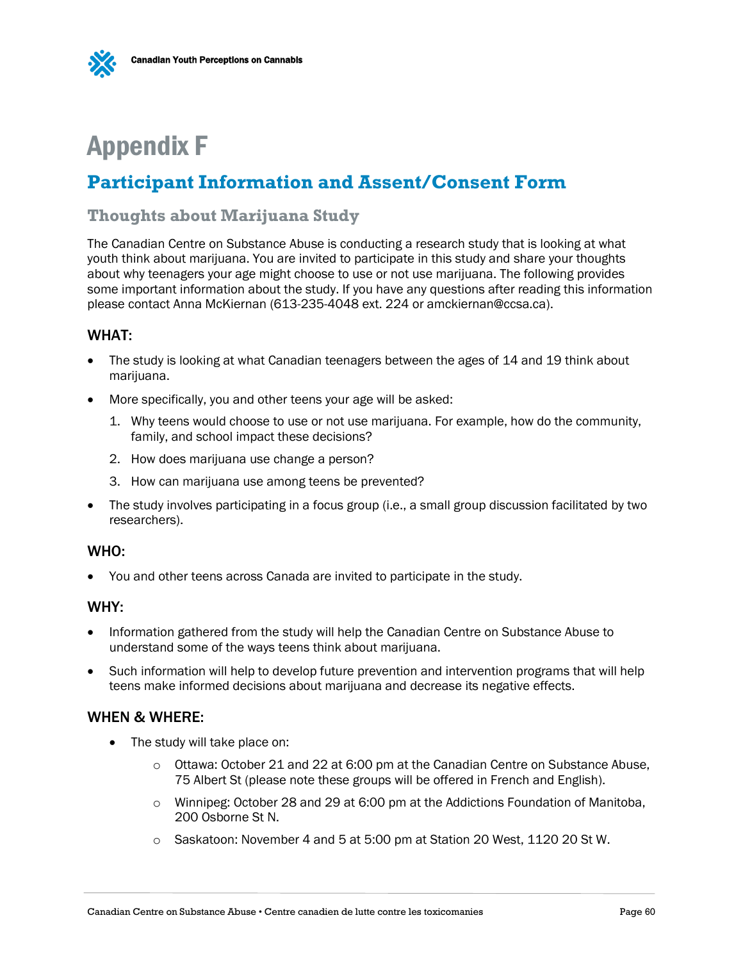

# <span id="page-61-0"></span>Appendix F

# <span id="page-61-1"></span>**Participant Information and Assent/Consent Form**

### **Thoughts about Marijuana Study**

The Canadian Centre on Substance Abuse is conducting a research study that is looking at what youth think about marijuana. You are invited to participate in this study and share your thoughts about why teenagers your age might choose to use or not use marijuana. The following provides some important information about the study. If you have any questions after reading this information please contact Anna McKiernan (613-235-4048 ext. 224 or [amckiernan@ccsa.ca\)](mailto:amckiernan@ccsa.ca).

#### WHAT:

- The study is looking at what Canadian teenagers between the ages of 14 and 19 think about marijuana.
- More specifically, you and other teens your age will be asked:
	- 1. Why teens would choose to use or not use marijuana. For example, how do the community, family, and school impact these decisions?
	- 2. How does marijuana use change a person?
	- 3. How can marijuana use among teens be prevented?
- The study involves participating in a focus group (i.e., a small group discussion facilitated by two researchers).

#### WHO:

You and other teens across Canada are invited to participate in the study.

#### WHY:

- Information gathered from the study will help the Canadian Centre on Substance Abuse to understand some of the ways teens think about marijuana.
- Such information will help to develop future prevention and intervention programs that will help teens make informed decisions about marijuana and decrease its negative effects.

#### WHEN & WHERE:

- The study will take place on:
	- $\circ$  Ottawa: October 21 and 22 at 6:00 pm at the Canadian Centre on Substance Abuse, 75 Albert St (please note these groups will be offered in French and English).
	- o Winnipeg: October 28 and 29 at 6:00 pm at the Addictions Foundation of Manitoba, 200 Osborne St N.
	- o Saskatoon: November 4 and 5 at 5:00 pm at Station 20 West, 1120 20 St W.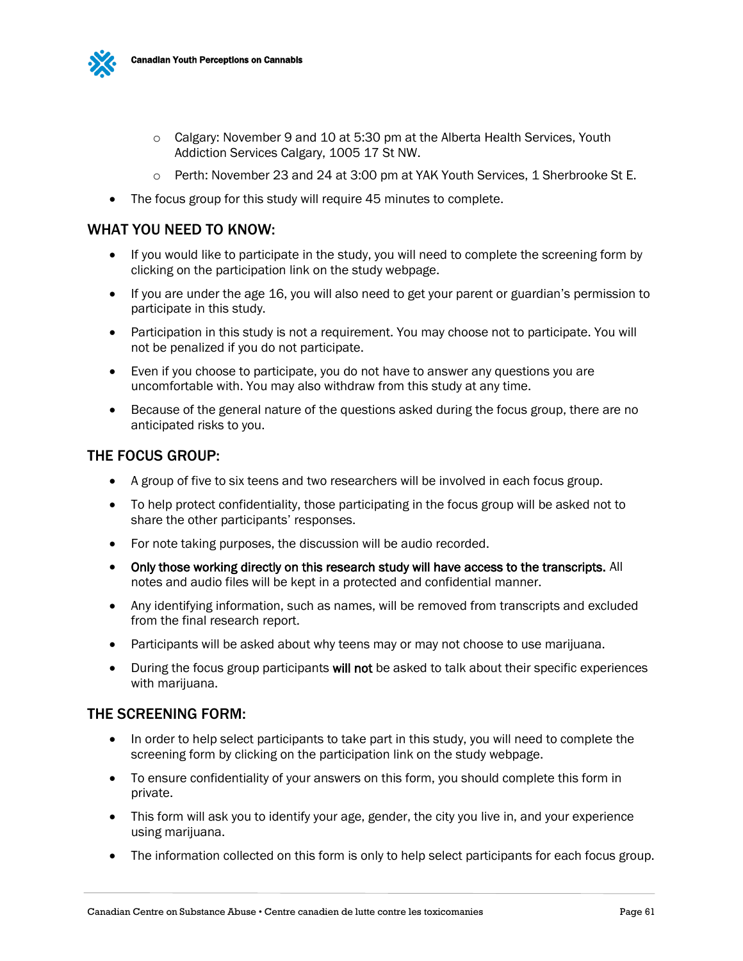

- $\circ$  Calgary: November 9 and 10 at 5:30 pm at the Alberta Health Services, Youth Addiction Services Calgary, 1005 17 St NW.
- o Perth: November 23 and 24 at 3:00 pm at YAK Youth Services, 1 Sherbrooke St E.
- The focus group for this study will require 45 minutes to complete.

#### WHAT YOU NEED TO KNOW:

- If you would like to participate in the study, you will need to complete the screening form by clicking on the participation link on the study webpage.
- If you are under the age 16, you will also need to get your parent or guardian's permission to participate in this study.
- Participation in this study is not a requirement. You may choose not to participate. You will not be penalized if you do not participate.
- Even if you choose to participate, you do not have to answer any questions you are uncomfortable with. You may also withdraw from this study at any time.
- Because of the general nature of the questions asked during the focus group, there are no anticipated risks to you.

#### THE FOCUS GROUP:

- A group of five to six teens and two researchers will be involved in each focus group.
- To help protect confidentiality, those participating in the focus group will be asked not to share the other participants' responses.
- For note taking purposes, the discussion will be audio recorded.
- Only those working directly on this research study will have access to the transcripts. All notes and audio files will be kept in a protected and confidential manner.
- Any identifying information, such as names, will be removed from transcripts and excluded from the final research report.
- Participants will be asked about why teens may or may not choose to use marijuana.
- During the focus group participants will not be asked to talk about their specific experiences with marijuana.

#### THE SCREENING FORM:

- In order to help select participants to take part in this study, you will need to complete the screening form by clicking on the participation link on the study webpage.
- To ensure confidentiality of your answers on this form, you should complete this form in private.
- This form will ask you to identify your age, gender, the city you live in, and your experience using marijuana.
- The information collected on this form is only to help select participants for each focus group.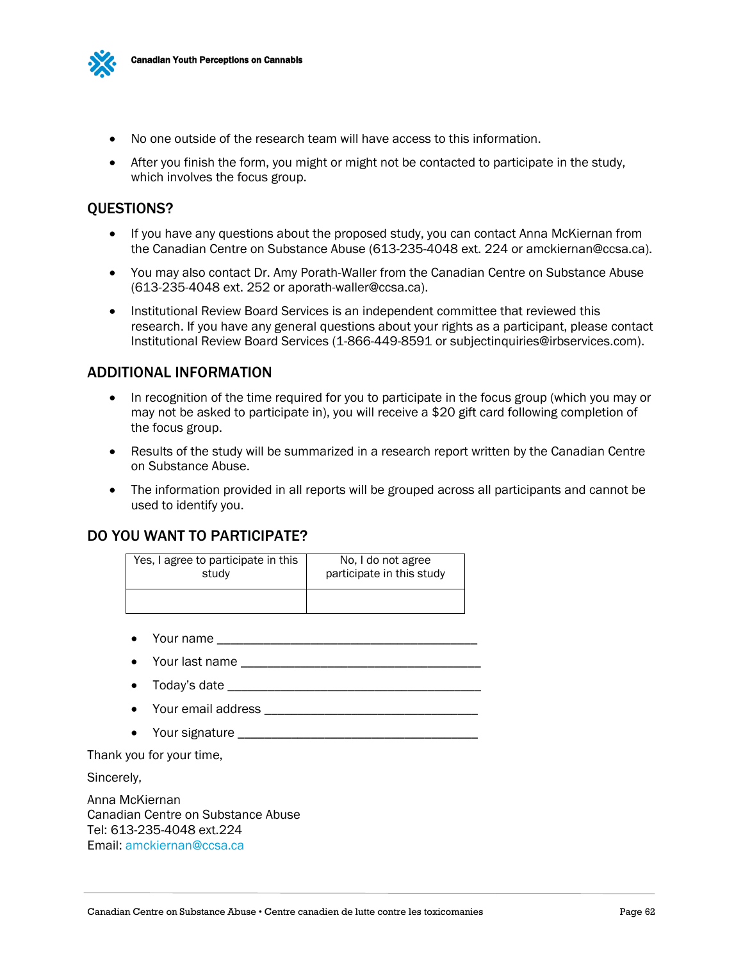

- No one outside of the research team will have access to this information.
- After you finish the form, you might or might not be contacted to participate in the study, which involves the focus group.

#### QUESTIONS?

- If you have any questions about the proposed study, you can contact Anna McKiernan from the Canadian Centre on Substance Abuse (613-235-4048 ext. 224 or amckiernan@ccsa.ca).
- You may also contact Dr. Amy Porath-Waller from the Canadian Centre on Substance Abuse (613-235-4048 ext. 252 or aporath-waller@ccsa.ca).
- Institutional Review Board Services is an independent committee that reviewed this research. If you have any general questions about your rights as a participant, please contact Institutional Review Board Services (1-866-449-8591 or subjectinquiries@irbservices.com).

#### ADDITIONAL INFORMATION

- In recognition of the time required for you to participate in the focus group (which you may or may not be asked to participate in), you will receive a \$20 gift card following completion of the focus group.
- Results of the study will be summarized in a research report written by the Canadian Centre on Substance Abuse.
- The information provided in all reports will be grouped across all participants and cannot be used to identify you.

#### DO YOU WANT TO PARTICIPATE?

| Yes, I agree to participate in this | No. I do not agree        |
|-------------------------------------|---------------------------|
| study                               | participate in this study |
|                                     |                           |

- $\bullet$  Your name  $\_\_$
- Your last name \_\_\_\_\_\_\_\_\_\_\_\_\_\_\_\_\_\_\_\_\_\_\_\_\_\_\_\_\_\_\_\_\_\_\_\_
- Today's date \_\_\_\_\_\_\_\_\_\_\_\_\_\_\_\_\_\_\_\_\_\_\_\_\_\_\_\_\_\_\_\_\_\_\_\_\_\_
- Your email address **example 20 your email address and an analyzing 20 your email of the set of the set of the set of the set of the set of the set of the set of the set of the set of the set of the set of the set of th**
- Your signature

Thank you for your time,

Sincerely,

Anna McKiernan Canadian Centre on Substance Abuse Tel: 613-235-4048 ext.224 Email: [amckiernan@ccsa.ca](mailto:amckiernan@ccsa.ca)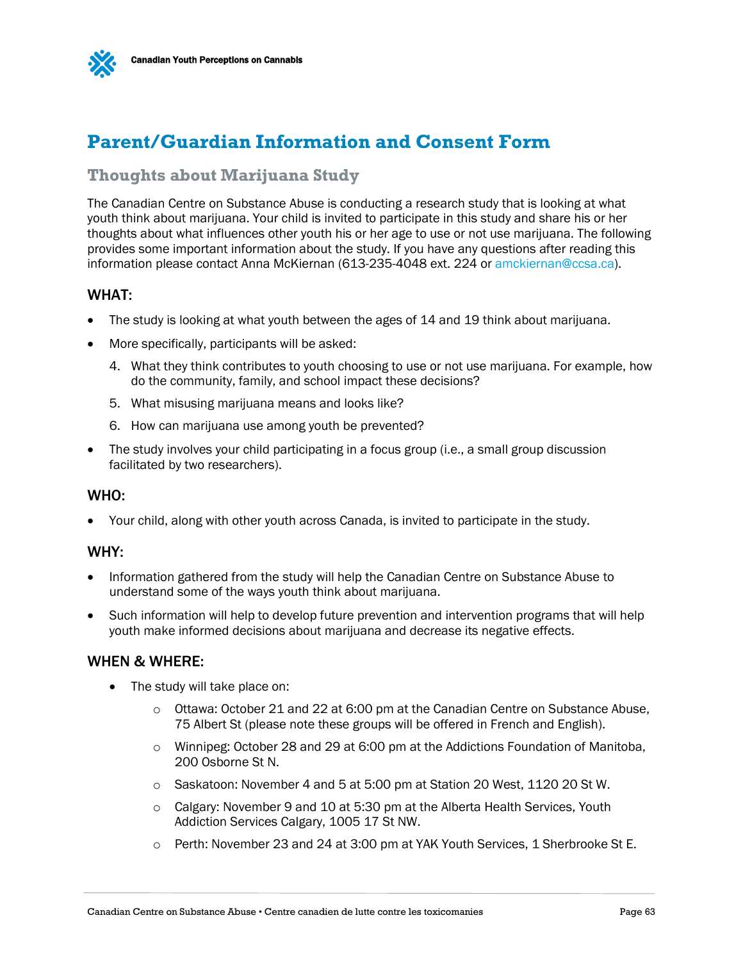



# <span id="page-64-0"></span>**Parent/Guardian Information and Consent Form**

### **Thoughts about Marijuana Study**

The Canadian Centre on Substance Abuse is conducting a research study that is looking at what youth think about marijuana. Your child is invited to participate in this study and share his or her thoughts about what influences other youth his or her age to use or not use marijuana. The following provides some important information about the study. If you have any questions after reading this information please contact Anna McKiernan (613-235-4048 ext. 224 or [amckiernan@ccsa.ca\)](mailto:amckiernan@ccsa.ca).

#### WHAT:

- The study is looking at what youth between the ages of 14 and 19 think about marijuana.
- More specifically, participants will be asked:
	- 4. What they think contributes to youth choosing to use or not use marijuana. For example, how do the community, family, and school impact these decisions?
	- 5. What misusing marijuana means and looks like?
	- 6. How can marijuana use among youth be prevented?
- The study involves your child participating in a focus group (i.e., a small group discussion facilitated by two researchers).

#### WHO:

Your child, along with other youth across Canada, is invited to participate in the study.

#### WHY:

- Information gathered from the study will help the Canadian Centre on Substance Abuse to understand some of the ways youth think about marijuana.
- Such information will help to develop future prevention and intervention programs that will help youth make informed decisions about marijuana and decrease its negative effects.

#### WHEN & WHERE:

- The study will take place on:
	- $\circ$  Ottawa: October 21 and 22 at 6:00 pm at the Canadian Centre on Substance Abuse, 75 Albert St (please note these groups will be offered in French and English).
	- o Winnipeg: October 28 and 29 at 6:00 pm at the Addictions Foundation of Manitoba, 200 Osborne St N.
	- o Saskatoon: November 4 and 5 at 5:00 pm at Station 20 West, 1120 20 St W.
	- $\circ$  Calgary: November 9 and 10 at 5:30 pm at the Alberta Health Services, Youth Addiction Services Calgary, 1005 17 St NW.
	- o Perth: November 23 and 24 at 3:00 pm at YAK Youth Services, 1 Sherbrooke St E.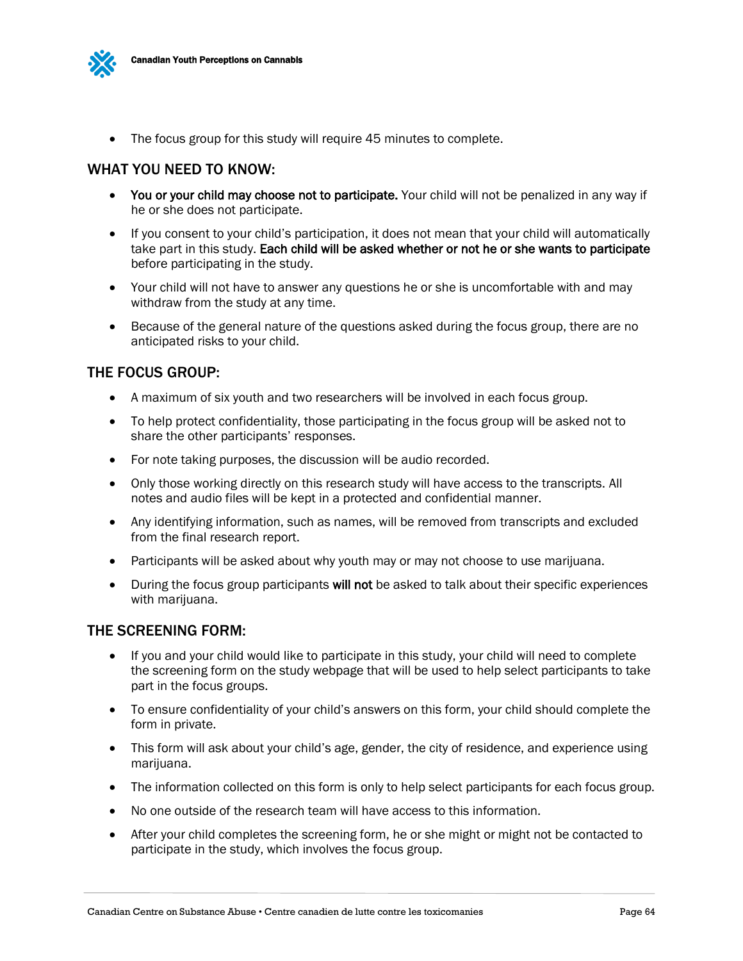

• The focus group for this study will require 45 minutes to complete.

#### WHAT YOU NEED TO KNOW:

- You or your child may choose not to participate. Your child will not be penalized in any way if he or she does not participate.
- If you consent to your child's participation, it does not mean that your child will automatically take part in this study. Each child will be asked whether or not he or she wants to participate before participating in the study.
- Your child will not have to answer any questions he or she is uncomfortable with and may withdraw from the study at any time.
- Because of the general nature of the questions asked during the focus group, there are no anticipated risks to your child.

#### THE FOCUS GROUP:

- A maximum of six youth and two researchers will be involved in each focus group.
- To help protect confidentiality, those participating in the focus group will be asked not to share the other participants' responses.
- For note taking purposes, the discussion will be audio recorded.
- Only those working directly on this research study will have access to the transcripts. All notes and audio files will be kept in a protected and confidential manner.
- Any identifying information, such as names, will be removed from transcripts and excluded from the final research report.
- Participants will be asked about why youth may or may not choose to use marijuana.
- During the focus group participants will not be asked to talk about their specific experiences with marijuana.

#### THE SCREENING FORM:

- If you and your child would like to participate in this study, your child will need to complete the screening form on the study webpage that will be used to help select participants to take part in the focus groups.
- To ensure confidentiality of your child's answers on this form, your child should complete the form in private.
- This form will ask about your child's age, gender, the city of residence, and experience using marijuana.
- The information collected on this form is only to help select participants for each focus group.
- No one outside of the research team will have access to this information.
- After your child completes the screening form, he or she might or might not be contacted to participate in the study, which involves the focus group.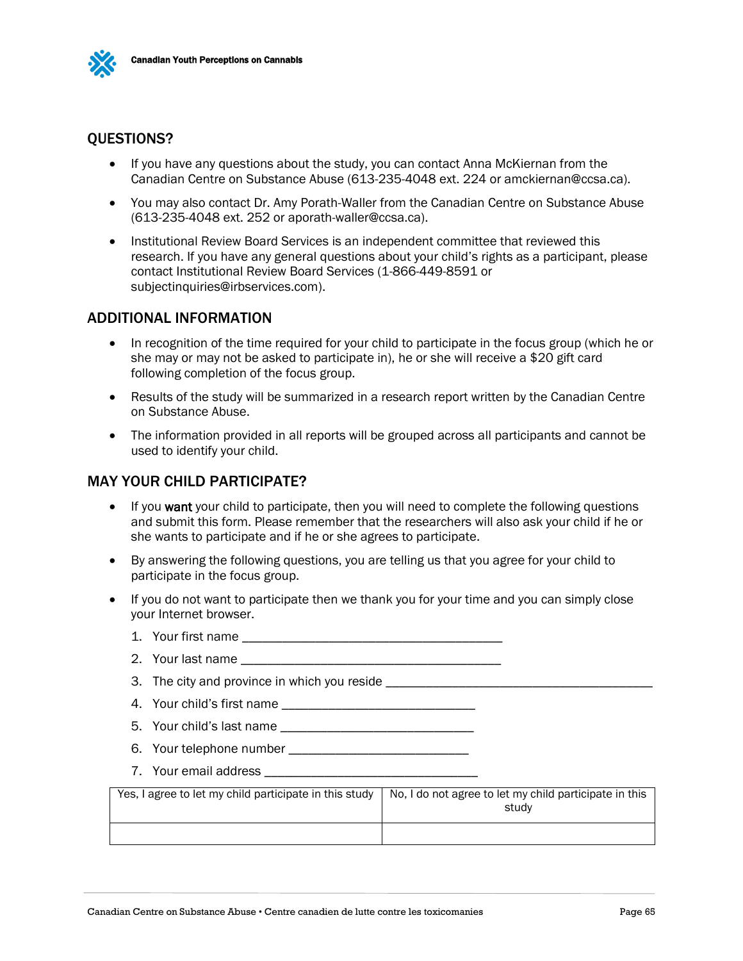

#### QUESTIONS?

- If you have any questions about the study, you can contact Anna McKiernan from the Canadian Centre on Substance Abuse (613-235-4048 ext. 224 or amckiernan@ccsa.ca).
- You may also contact Dr. Amy Porath-Waller from the Canadian Centre on Substance Abuse (613-235-4048 ext. 252 or aporath-waller@ccsa.ca).
- Institutional Review Board Services is an independent committee that reviewed this research. If you have any general questions about your child's rights as a participant, please contact Institutional Review Board Services (1-866-449-8591 or subjectinquiries@irbservices.com).

#### ADDITIONAL INFORMATION

- In recognition of the time required for your child to participate in the focus group (which he or she may or may not be asked to participate in), he or she will receive a \$20 gift card following completion of the focus group.
- Results of the study will be summarized in a research report written by the Canadian Centre on Substance Abuse.
- The information provided in all reports will be grouped across all participants and cannot be used to identify your child.

#### MAY YOUR CHILD PARTICIPATE?

- If you want your child to participate, then you will need to complete the following questions and submit this form. Please remember that the researchers will also ask your child if he or she wants to participate and if he or she agrees to participate.
- By answering the following questions, you are telling us that you agree for your child to participate in the focus group.
- If you do not want to participate then we thank you for your time and you can simply close your Internet browser.
	- 1. Your first name \_\_\_\_\_\_\_\_\_\_\_\_\_\_\_\_\_\_\_\_\_\_\_\_\_\_\_\_\_\_\_\_\_\_\_\_\_\_\_
	- 2. Your last name
	- 3. The city and province in which you reside
	- 4. Your child's first name \_\_\_\_\_\_\_\_\_\_\_\_\_\_\_\_\_\_\_\_\_\_\_\_\_\_\_\_\_
	- 5. Your child's last name
	- 6. Your telephone number
	- 7. Your email address **and the set of the set of the set of the set of the set of the set of the set of the set of the set of the set of the set of the set of the set of the set of the set of the set of the set of the set**

| Yes, I agree to let my child participate in this study | No. I do not agree to let my child participate in this<br>studv |
|--------------------------------------------------------|-----------------------------------------------------------------|
|                                                        |                                                                 |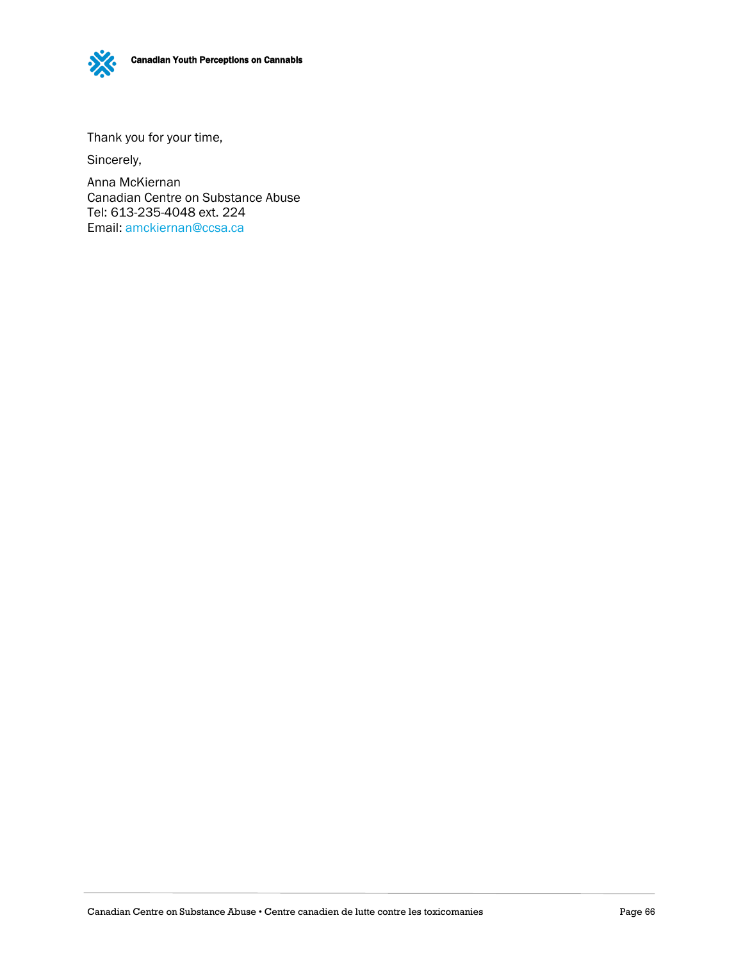Canadian Youth Perceptions on Cannabis

Thank you for your time,

Sincerely,

Anna McKiernan Canadian Centre on Substance Abuse Tel: 613-235-4048 ext. 224 Email: [amckiernan@ccsa.ca](mailto:amckiernan@ccsa.ca)